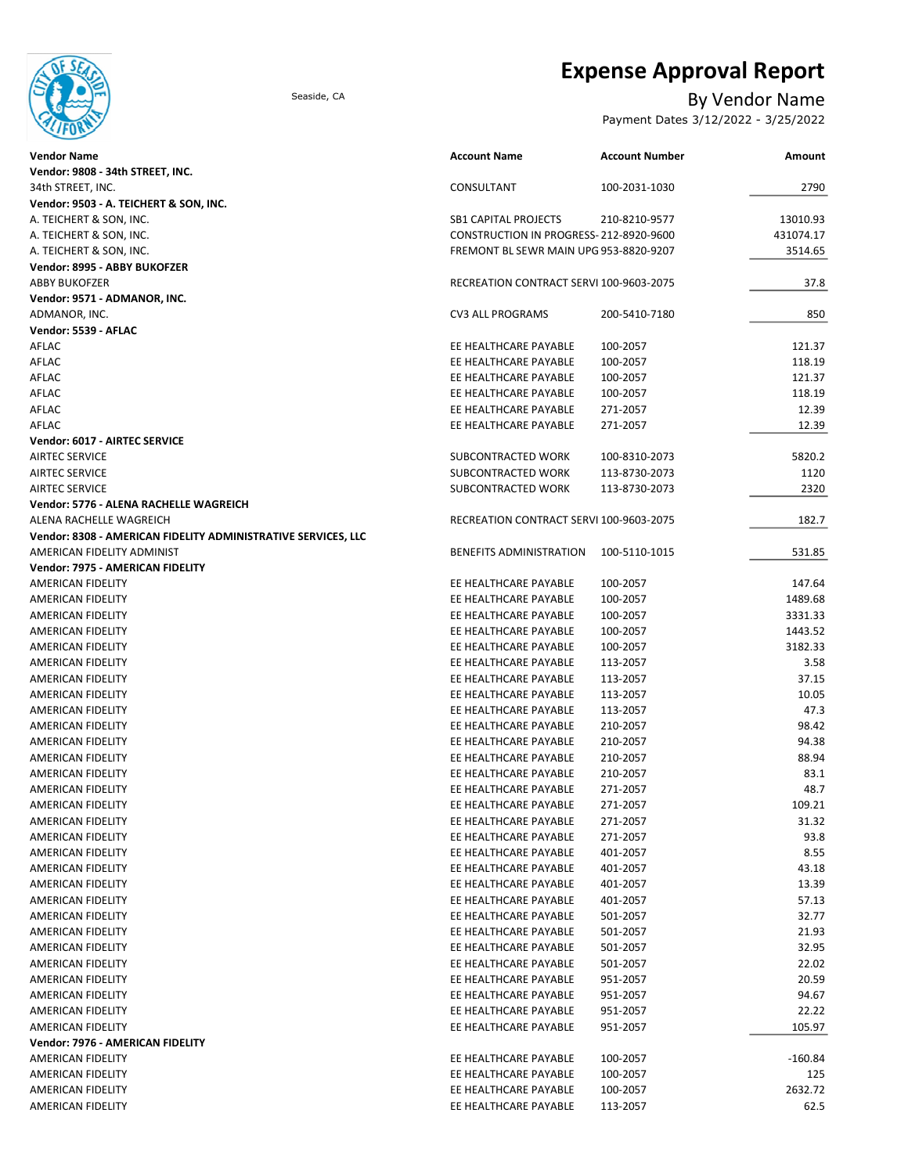

# Expense Approval Report

### Seaside, CA By Vendor Name

Payment Dates 3/12/2022 - 3/25/2022

| <b>Account Number</b><br><b>Vendor Name</b><br><b>Account Name</b>      | <b>Amount</b> |
|-------------------------------------------------------------------------|---------------|
| Vendor: 9808 - 34th STREET, INC.                                        |               |
| 34th STREET, INC.<br>CONSULTANT<br>100-2031-1030                        | 2790          |
| Vendor: 9503 - A. TEICHERT & SON, INC.                                  |               |
| A. TEICHERT & SON, INC.<br><b>SB1 CAPITAL PROJECTS</b><br>210-8210-9577 | 13010.93      |
| A. TEICHERT & SON, INC.<br>CONSTRUCTION IN PROGRESS-212-8920-9600       | 431074.17     |
| A. TEICHERT & SON, INC.<br>FREMONT BL SEWR MAIN UPG 953-8820-9207       | 3514.65       |
| Vendor: 8995 - ABBY BUKOFZER                                            |               |
| <b>ABBY BUKOFZER</b><br>RECREATION CONTRACT SERVI 100-9603-2075         | 37.8          |
| Vendor: 9571 - ADMANOR, INC.                                            |               |
| ADMANOR, INC.<br>CV3 ALL PROGRAMS<br>200-5410-7180                      | 850           |
| Vendor: 5539 - AFLAC                                                    |               |
| AFLAC<br>EE HEALTHCARE PAYABLE<br>100-2057                              | 121.37        |
| AFLAC<br>EE HEALTHCARE PAYABLE<br>100-2057                              | 118.19        |
| AFLAC<br>EE HEALTHCARE PAYABLE<br>100-2057                              | 121.37        |
| AFLAC<br>EE HEALTHCARE PAYABLE<br>100-2057                              | 118.19        |
| AFLAC<br>EE HEALTHCARE PAYABLE<br>271-2057                              | 12.39         |
| AFLAC<br>EE HEALTHCARE PAYABLE<br>271-2057                              | 12.39         |
| Vendor: 6017 - AIRTEC SERVICE                                           |               |
| AIRTEC SERVICE<br>SUBCONTRACTED WORK<br>100-8310-2073                   | 5820.2        |
| <b>AIRTEC SERVICE</b><br>SUBCONTRACTED WORK<br>113-8730-2073            | 1120          |
| <b>AIRTEC SERVICE</b><br>SUBCONTRACTED WORK<br>113-8730-2073            | 2320          |
| Vendor: 5776 - ALENA RACHELLE WAGREICH                                  |               |
| ALENA RACHELLE WAGREICH<br>RECREATION CONTRACT SERVI 100-9603-2075      | 182.7         |
| Vendor: 8308 - AMERICAN FIDELITY ADMINISTRATIVE SERVICES, LLC           |               |
| AMERICAN FIDELITY ADMINIST<br>BENEFITS ADMINISTRATION<br>100-5110-1015  | 531.85        |
| Vendor: 7975 - AMERICAN FIDELITY                                        |               |
|                                                                         |               |
| AMERICAN FIDELITY<br>EE HEALTHCARE PAYABLE<br>100-2057                  | 147.64        |
| EE HEALTHCARE PAYABLE<br>100-2057<br>AMERICAN FIDELITY                  | 1489.68       |
| AMERICAN FIDELITY<br>EE HEALTHCARE PAYABLE<br>100-2057                  | 3331.33       |
| AMERICAN FIDELITY<br>EE HEALTHCARE PAYABLE<br>100-2057                  | 1443.52       |
| AMERICAN FIDELITY<br>EE HEALTHCARE PAYABLE<br>100-2057                  | 3182.33       |
| EE HEALTHCARE PAYABLE<br>113-2057<br>AMERICAN FIDELITY                  | 3.58          |
| AMERICAN FIDELITY<br>EE HEALTHCARE PAYABLE<br>113-2057                  | 37.15         |
| EE HEALTHCARE PAYABLE<br>113-2057<br>AMERICAN FIDELITY                  | 10.05         |
| EE HEALTHCARE PAYABLE<br>113-2057<br>AMERICAN FIDELITY                  | 47.3          |
| EE HEALTHCARE PAYABLE<br>210-2057<br>AMERICAN FIDELITY                  | 98.42         |
| EE HEALTHCARE PAYABLE<br>210-2057<br>AMERICAN FIDELITY                  | 94.38         |
| EE HEALTHCARE PAYABLE<br>210-2057<br>AMERICAN FIDELITY                  | 88.94         |
| EE HEALTHCARE PAYABLE<br>210-2057<br>AMERICAN FIDELITY                  | 83.1          |
| 271-2057<br><b>AMERICAN FIDELITY</b><br>EE HEALTHCARE PAYABLE           | 48.7          |
| EE HEALTHCARE PAYABLE<br>271-2057<br>AMERICAN FIDELITY                  | 109.21        |
| AMERICAN FIDELITY<br>EE HEALTHCARE PAYABLE<br>271-2057                  | 31.32         |
| EE HEALTHCARE PAYABLE<br>AMERICAN FIDELITY<br>271-2057                  | 93.8          |
| AMERICAN FIDELITY<br>EE HEALTHCARE PAYABLE<br>401-2057                  | 8.55          |
| EE HEALTHCARE PAYABLE<br>401-2057<br>AMERICAN FIDELITY                  | 43.18         |
| EE HEALTHCARE PAYABLE<br>AMERICAN FIDELITY<br>401-2057                  | 13.39         |
| EE HEALTHCARE PAYABLE<br>AMERICAN FIDELITY<br>401-2057                  | 57.13         |
| EE HEALTHCARE PAYABLE<br>AMERICAN FIDELITY<br>501-2057                  | 32.77         |
| EE HEALTHCARE PAYABLE<br>AMERICAN FIDELITY<br>501-2057                  | 21.93         |
| EE HEALTHCARE PAYABLE<br>501-2057<br>AMERICAN FIDELITY                  | 32.95         |
| AMERICAN FIDELITY<br>EE HEALTHCARE PAYABLE<br>501-2057                  | 22.02         |
| EE HEALTHCARE PAYABLE<br>951-2057                                       | 20.59         |
| AMERICAN FIDELITY                                                       |               |
| AMERICAN FIDELITY<br>EE HEALTHCARE PAYABLE<br>951-2057                  | 94.67         |
| EE HEALTHCARE PAYABLE<br>951-2057<br>AMERICAN FIDELITY                  | 22.22         |
| EE HEALTHCARE PAYABLE<br>AMERICAN FIDELITY<br>951-2057                  | 105.97        |
| Vendor: 7976 - AMERICAN FIDELITY                                        |               |
| EE HEALTHCARE PAYABLE<br>AMERICAN FIDELITY<br>100-2057                  | -160.84       |
| EE HEALTHCARE PAYABLE<br>100-2057<br>AMERICAN FIDELITY                  | 125           |
| EE HEALTHCARE PAYABLE<br>100-2057<br>AMERICAN FIDELITY                  | 2632.72       |
| AMERICAN FIDELITY<br>EE HEALTHCARE PAYABLE<br>113-2057                  | 62.5          |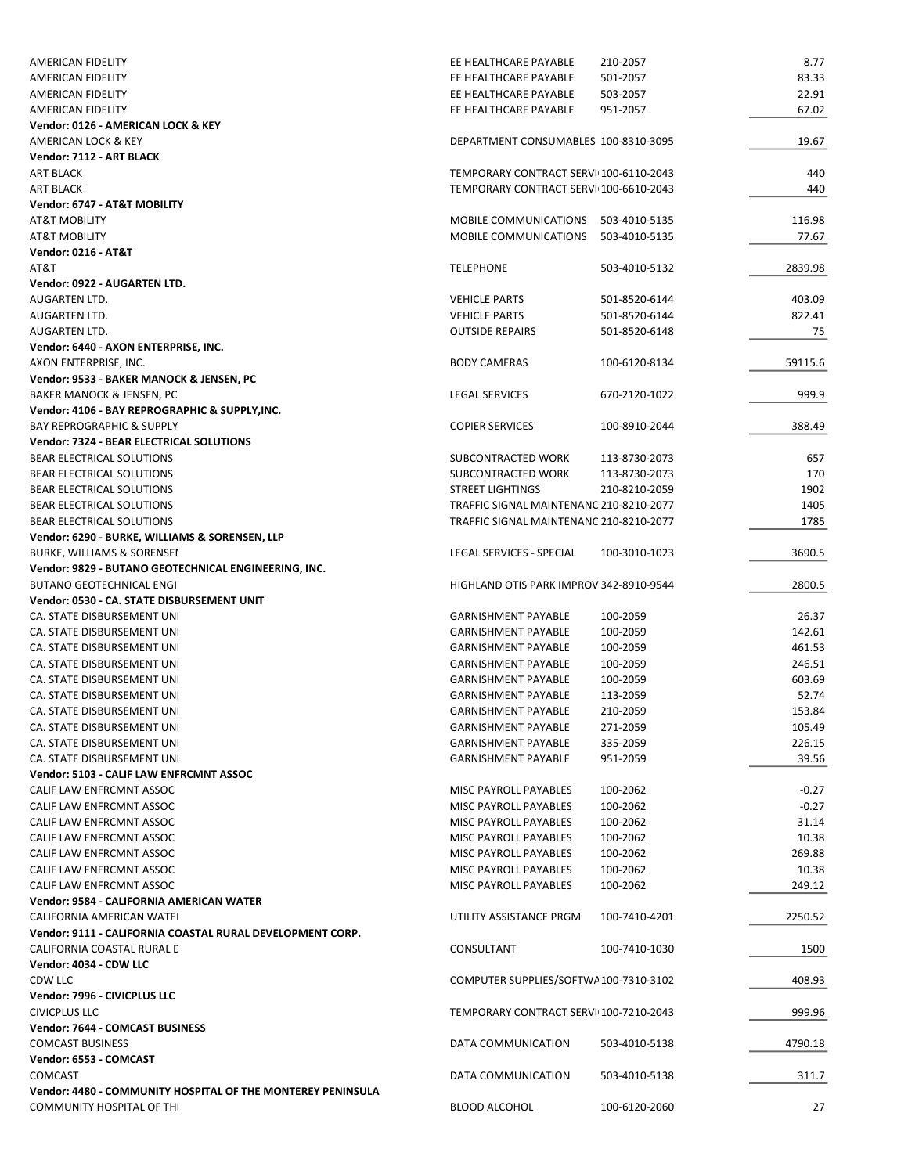| <b>AMERICAN FIDELITY</b>                                    | EE HEALTHCARE PAYABLE                   | 210-2057      | 8.77    |
|-------------------------------------------------------------|-----------------------------------------|---------------|---------|
| AMERICAN FIDELITY                                           | EE HEALTHCARE PAYABLE                   | 501-2057      | 83.33   |
| AMERICAN FIDELITY                                           | EE HEALTHCARE PAYABLE                   | 503-2057      | 22.91   |
| <b>AMERICAN FIDELITY</b>                                    | EE HEALTHCARE PAYABLE                   | 951-2057      | 67.02   |
| Vendor: 0126 - AMERICAN LOCK & KEY<br>AMERICAN LOCK & KEY   | DEPARTMENT CONSUMABLES 100-8310-3095    |               | 19.67   |
| Vendor: 7112 - ART BLACK                                    |                                         |               |         |
| ART BLACK                                                   | TEMPORARY CONTRACT SERVI 100-6110-2043  |               | 440     |
| ART BLACK                                                   | TEMPORARY CONTRACT SERVI 100-6610-2043  |               | 440     |
| Vendor: 6747 - AT&T MOBILITY                                |                                         |               |         |
| <b>AT&amp;T MOBILITY</b>                                    | MOBILE COMMUNICATIONS                   | 503-4010-5135 | 116.98  |
| <b>AT&amp;T MOBILITY</b>                                    | <b>MOBILE COMMUNICATIONS</b>            | 503-4010-5135 | 77.67   |
| <b>Vendor: 0216 - AT&amp;T</b>                              |                                         |               |         |
| AT&T                                                        | <b>TELEPHONE</b>                        | 503-4010-5132 | 2839.98 |
| Vendor: 0922 - AUGARTEN LTD.                                |                                         |               |         |
| AUGARTEN LTD.                                               | <b>VEHICLE PARTS</b>                    | 501-8520-6144 | 403.09  |
| AUGARTEN LTD.                                               | <b>VEHICLE PARTS</b>                    | 501-8520-6144 | 822.41  |
| AUGARTEN LTD.                                               | <b>OUTSIDE REPAIRS</b>                  | 501-8520-6148 | 75      |
| Vendor: 6440 - AXON ENTERPRISE, INC.                        |                                         |               |         |
| AXON ENTERPRISE, INC.                                       | <b>BODY CAMERAS</b>                     | 100-6120-8134 | 59115.6 |
| Vendor: 9533 - BAKER MANOCK & JENSEN, PC                    |                                         |               |         |
| <b>BAKER MANOCK &amp; JENSEN, PC</b>                        | <b>LEGAL SERVICES</b>                   | 670-2120-1022 | 999.9   |
| Vendor: 4106 - BAY REPROGRAPHIC & SUPPLY, INC.              |                                         |               |         |
| <b>BAY REPROGRAPHIC &amp; SUPPLY</b>                        | <b>COPIER SERVICES</b>                  | 100-8910-2044 | 388.49  |
| Vendor: 7324 - BEAR ELECTRICAL SOLUTIONS                    |                                         |               |         |
| BEAR ELECTRICAL SOLUTIONS                                   | SUBCONTRACTED WORK                      | 113-8730-2073 | 657     |
| <b>BEAR ELECTRICAL SOLUTIONS</b>                            | SUBCONTRACTED WORK                      | 113-8730-2073 | 170     |
| <b>BEAR ELECTRICAL SOLUTIONS</b>                            | <b>STREET LIGHTINGS</b>                 | 210-8210-2059 | 1902    |
| BEAR ELECTRICAL SOLUTIONS                                   | TRAFFIC SIGNAL MAINTENANC 210-8210-2077 |               | 1405    |
| <b>BEAR ELECTRICAL SOLUTIONS</b>                            | TRAFFIC SIGNAL MAINTENANC 210-8210-2077 |               | 1785    |
| Vendor: 6290 - BURKE, WILLIAMS & SORENSEN, LLP              |                                         |               |         |
| BURKE, WILLIAMS & SORENSEI                                  | LEGAL SERVICES - SPECIAL                | 100-3010-1023 | 3690.5  |
| Vendor: 9829 - BUTANO GEOTECHNICAL ENGINEERING, INC.        |                                         |               |         |
| <b>BUTANO GEOTECHNICAL ENGIL</b>                            | HIGHLAND OTIS PARK IMPROV 342-8910-9544 |               | 2800.5  |
| Vendor: 0530 - CA. STATE DISBURSEMENT UNIT                  |                                         |               |         |
| CA. STATE DISBURSEMENT UNI                                  | <b>GARNISHMENT PAYABLE</b>              | 100-2059      | 26.37   |
| CA. STATE DISBURSEMENT UNI                                  | <b>GARNISHMENT PAYABLE</b>              | 100-2059      | 142.61  |
| CA. STATE DISBURSEMENT UNI                                  | <b>GARNISHMENT PAYABLE</b>              | 100-2059      | 461.53  |
| CA. STATE DISBURSEMENT UNI                                  | <b>GARNISHMENT PAYABLE</b>              | 100-2059      | 246.51  |
| CA. STATE DISBURSEMENT UNI                                  | <b>GARNISHMENT PAYABLE</b>              | 100-2059      | 603.69  |
| CA. STATE DISBURSEMENT UNI                                  | <b>GARNISHMENT PAYABLE</b>              | 113-2059      | 52.74   |
| CA. STATE DISBURSEMENT UNI                                  | <b>GARNISHMENT PAYABLE</b>              | 210-2059      | 153.84  |
| CA. STATE DISBURSEMENT UNI                                  | <b>GARNISHMENT PAYABLE</b>              | 271-2059      | 105.49  |
| CA. STATE DISBURSEMENT UNI                                  | <b>GARNISHMENT PAYABLE</b>              | 335-2059      | 226.15  |
| CA. STATE DISBURSEMENT UNI                                  | <b>GARNISHMENT PAYABLE</b>              | 951-2059      | 39.56   |
| Vendor: 5103 - CALIF LAW ENFRCMNT ASSOC                     |                                         |               |         |
| CALIF LAW ENFRCMNT ASSOC                                    | MISC PAYROLL PAYABLES                   | 100-2062      | $-0.27$ |
| CALIF LAW ENFRCMNT ASSOC                                    | <b>MISC PAYROLL PAYABLES</b>            | 100-2062      | $-0.27$ |
| CALIF LAW ENFRCMNT ASSOC                                    | <b>MISC PAYROLL PAYABLES</b>            | 100-2062      | 31.14   |
| CALIF LAW ENFRCMNT ASSOC                                    | MISC PAYROLL PAYABLES                   | 100-2062      | 10.38   |
| CALIF LAW ENFRCMNT ASSOC                                    | MISC PAYROLL PAYABLES                   | 100-2062      | 269.88  |
| <b>CALIF LAW ENFRCMNT ASSOC</b>                             | MISC PAYROLL PAYABLES                   | 100-2062      | 10.38   |
| CALIF LAW ENFRCMNT ASSOC                                    | MISC PAYROLL PAYABLES                   | 100-2062      | 249.12  |
| Vendor: 9584 - CALIFORNIA AMERICAN WATER                    |                                         |               |         |
| CALIFORNIA AMERICAN WATEI                                   | UTILITY ASSISTANCE PRGM                 | 100-7410-4201 | 2250.52 |
| Vendor: 9111 - CALIFORNIA COASTAL RURAL DEVELOPMENT CORP.   |                                         |               |         |
| CALIFORNIA COASTAL RURAL D                                  | CONSULTANT                              | 100-7410-1030 | 1500    |
| Vendor: 4034 - CDW LLC                                      |                                         |               |         |
| CDW LLC                                                     | COMPUTER SUPPLIES/SOFTWA100-7310-3102   |               | 408.93  |
| Vendor: 7996 - CIVICPLUS LLC                                |                                         |               |         |
| <b>CIVICPLUS LLC</b>                                        | TEMPORARY CONTRACT SERVI 100-7210-2043  |               | 999.96  |
| Vendor: 7644 - COMCAST BUSINESS                             |                                         |               |         |
| <b>COMCAST BUSINESS</b>                                     | DATA COMMUNICATION                      | 503-4010-5138 | 4790.18 |
| Vendor: 6553 - COMCAST                                      |                                         |               |         |
| <b>COMCAST</b>                                              | DATA COMMUNICATION                      | 503-4010-5138 | 311.7   |
| Vendor: 4480 - COMMUNITY HOSPITAL OF THE MONTEREY PENINSULA |                                         |               |         |
| <b>COMMUNITY HOSPITAL OF THI</b>                            | <b>BLOOD ALCOHOL</b>                    | 100-6120-2060 | 27      |
|                                                             |                                         |               |         |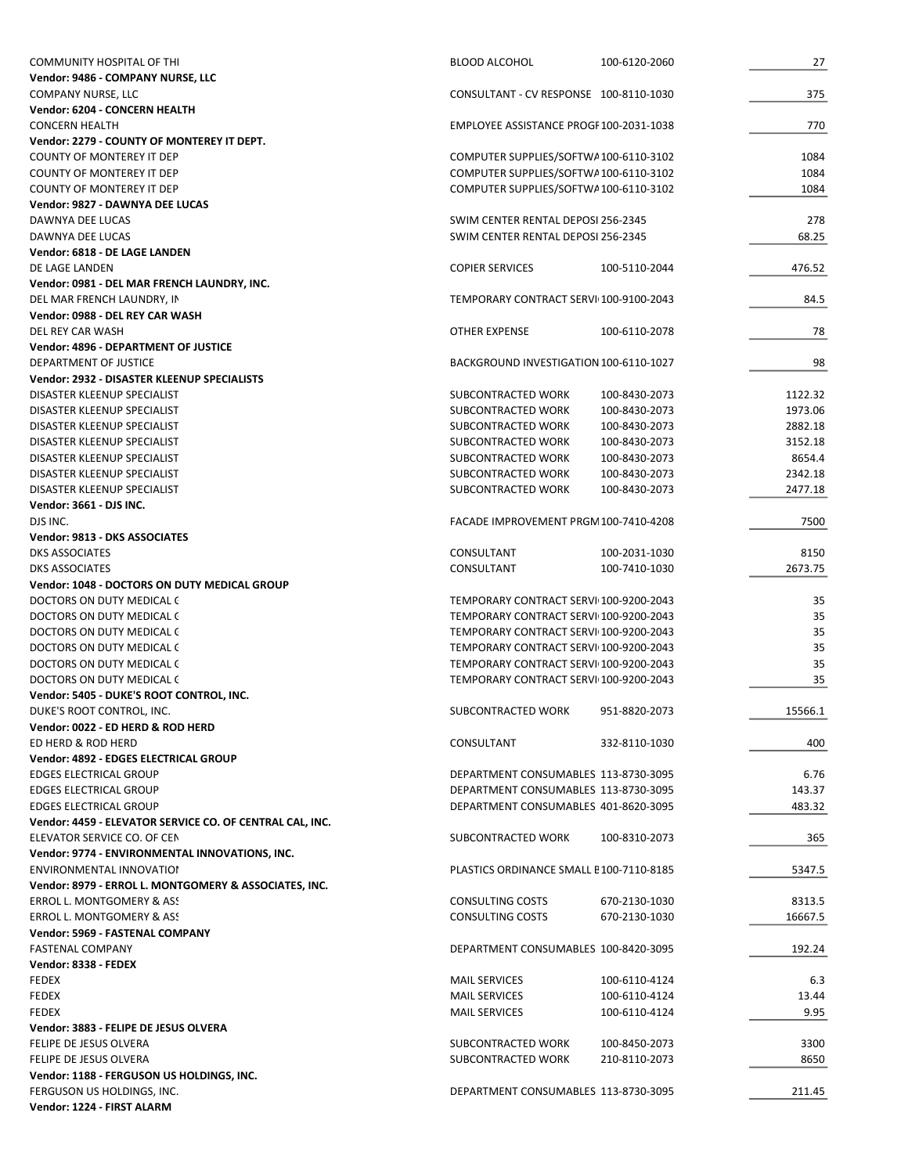| <b>COMMUNITY HOSPITAL OF THI</b>                         | <b>BLOOD ALCOHOL</b>                    | 100-6120-2060 | 27      |
|----------------------------------------------------------|-----------------------------------------|---------------|---------|
| Vendor: 9486 - COMPANY NURSE, LLC                        |                                         |               |         |
| COMPANY NURSE, LLC                                       | CONSULTANT - CV RESPONSE 100-8110-1030  |               | 375     |
| Vendor: 6204 - CONCERN HEALTH                            |                                         |               |         |
| <b>CONCERN HEALTH</b>                                    | EMPLOYEE ASSISTANCE PROGF 100-2031-1038 |               | 770     |
| Vendor: 2279 - COUNTY OF MONTEREY IT DEPT.               |                                         |               |         |
| <b>COUNTY OF MONTEREY IT DEP</b>                         | COMPUTER SUPPLIES/SOFTWA100-6110-3102   |               | 1084    |
| <b>COUNTY OF MONTEREY IT DEP</b>                         | COMPUTER SUPPLIES/SOFTWA100-6110-3102   |               | 1084    |
| COUNTY OF MONTEREY IT DEP                                | COMPUTER SUPPLIES/SOFTWA 100-6110-3102  |               | 1084    |
| Vendor: 9827 - DAWNYA DEE LUCAS                          |                                         |               |         |
| DAWNYA DEE LUCAS                                         | SWIM CENTER RENTAL DEPOSI 256-2345      |               | 278     |
| DAWNYA DEE LUCAS                                         | SWIM CENTER RENTAL DEPOSI 256-2345      |               | 68.25   |
| Vendor: 6818 - DE LAGE LANDEN                            |                                         |               |         |
| DE LAGE LANDEN                                           | <b>COPIER SERVICES</b>                  | 100-5110-2044 | 476.52  |
| Vendor: 0981 - DEL MAR FRENCH LAUNDRY, INC.              |                                         |               |         |
| DEL MAR FRENCH LAUNDRY, IN                               | TEMPORARY CONTRACT SERVI 100-9100-2043  |               | 84.5    |
| Vendor: 0988 - DEL REY CAR WASH                          |                                         |               |         |
| DEL REY CAR WASH                                         | <b>OTHER EXPENSE</b>                    | 100-6110-2078 | 78      |
| Vendor: 4896 - DEPARTMENT OF JUSTICE                     |                                         |               |         |
| DEPARTMENT OF JUSTICE                                    | BACKGROUND INVESTIGATION 100-6110-1027  |               | 98      |
| Vendor: 2932 - DISASTER KLEENUP SPECIALISTS              |                                         |               |         |
| DISASTER KLEENUP SPECIALIST                              | SUBCONTRACTED WORK                      | 100-8430-2073 | 1122.32 |
| DISASTER KLEENUP SPECIALIST                              | SUBCONTRACTED WORK                      | 100-8430-2073 | 1973.06 |
| DISASTER KLEENUP SPECIALIST                              | SUBCONTRACTED WORK                      | 100-8430-2073 | 2882.18 |
| DISASTER KLEENUP SPECIALIST                              | SUBCONTRACTED WORK                      | 100-8430-2073 | 3152.18 |
|                                                          |                                         |               |         |
| DISASTER KLEENUP SPECIALIST                              | SUBCONTRACTED WORK                      | 100-8430-2073 | 8654.4  |
| DISASTER KLEENUP SPECIALIST                              | SUBCONTRACTED WORK                      | 100-8430-2073 | 2342.18 |
| DISASTER KLEENUP SPECIALIST                              | SUBCONTRACTED WORK                      | 100-8430-2073 | 2477.18 |
| Vendor: 3661 - DJS INC.                                  |                                         |               |         |
| DJS INC.                                                 | FACADE IMPROVEMENT PRGM 100-7410-4208   |               | 7500    |
| Vendor: 9813 - DKS ASSOCIATES                            |                                         |               |         |
| <b>DKS ASSOCIATES</b>                                    | CONSULTANT                              | 100-2031-1030 | 8150    |
| <b>DKS ASSOCIATES</b>                                    | CONSULTANT                              | 100-7410-1030 | 2673.75 |
| Vendor: 1048 - DOCTORS ON DUTY MEDICAL GROUP             |                                         |               |         |
|                                                          |                                         |               |         |
| DOCTORS ON DUTY MEDICAL C                                | TEMPORARY CONTRACT SERVI 100-9200-2043  |               | 35      |
| DOCTORS ON DUTY MEDICAL C                                | TEMPORARY CONTRACT SERVI 100-9200-2043  |               | 35      |
|                                                          |                                         |               |         |
| DOCTORS ON DUTY MEDICAL C                                | TEMPORARY CONTRACT SERVI 100-9200-2043  |               | 35      |
| DOCTORS ON DUTY MEDICAL C                                | TEMPORARY CONTRACT SERVI 100-9200-2043  |               | 35      |
| DOCTORS ON DUTY MEDICAL C                                | TEMPORARY CONTRACT SERVI 100-9200-2043  |               | 35      |
| DOCTORS ON DUTY MEDICAL C                                | TEMPORARY CONTRACT SERVI 100-9200-2043  |               | 35      |
| Vendor: 5405 - DUKE'S ROOT CONTROL, INC.                 |                                         |               |         |
| DUKE'S ROOT CONTROL. INC.                                | SUBCONTRACTED WORK                      | 951-8820-2073 | 15566.1 |
| Vendor: 0022 - ED HERD & ROD HERD                        |                                         |               |         |
| ED HERD & ROD HERD                                       | CONSULTANT                              | 332-8110-1030 | 400     |
| Vendor: 4892 - EDGES ELECTRICAL GROUP                    |                                         |               |         |
| <b>EDGES ELECTRICAL GROUP</b>                            | DEPARTMENT CONSUMABLES 113-8730-3095    |               | 6.76    |
| <b>EDGES ELECTRICAL GROUP</b>                            | DEPARTMENT CONSUMABLES 113-8730-3095    |               | 143.37  |
| <b>EDGES ELECTRICAL GROUP</b>                            | DEPARTMENT CONSUMABLES 401-8620-3095    |               | 483.32  |
| Vendor: 4459 - ELEVATOR SERVICE CO. OF CENTRAL CAL, INC. |                                         |               |         |
| ELEVATOR SERVICE CO. OF CEN                              | SUBCONTRACTED WORK                      | 100-8310-2073 | 365     |
| Vendor: 9774 - ENVIRONMENTAL INNOVATIONS, INC.           |                                         |               |         |
| ENVIRONMENTAL INNOVATION                                 | PLASTICS ORDINANCE SMALL E100-7110-8185 |               | 5347.5  |
| Vendor: 8979 - ERROL L. MONTGOMERY & ASSOCIATES, INC.    |                                         |               |         |
| <b>ERROL L. MONTGOMERY &amp; ASS.</b>                    |                                         | 670-2130-1030 | 8313.5  |
|                                                          | CONSULTING COSTS                        |               |         |
| ERROL L. MONTGOMERY & ASS                                | <b>CONSULTING COSTS</b>                 | 670-2130-1030 | 16667.5 |
| Vendor: 5969 - FASTENAL COMPANY                          |                                         |               |         |
| <b>FASTENAL COMPANY</b>                                  | DEPARTMENT CONSUMABLES 100-8420-3095    |               | 192.24  |
| Vendor: 8338 - FEDEX                                     |                                         |               |         |
| <b>FEDEX</b>                                             | <b>MAIL SERVICES</b>                    | 100-6110-4124 | 6.3     |
| FEDEX                                                    | <b>MAIL SERVICES</b>                    | 100-6110-4124 | 13.44   |
| <b>FEDEX</b>                                             | <b>MAIL SERVICES</b>                    | 100-6110-4124 | 9.95    |
| Vendor: 3883 - FELIPE DE JESUS OLVERA                    |                                         |               |         |
| FELIPE DE JESUS OLVERA                                   | SUBCONTRACTED WORK                      | 100-8450-2073 | 3300    |
| FELIPE DE JESUS OLVERA                                   | SUBCONTRACTED WORK                      | 210-8110-2073 | 8650    |
| Vendor: 1188 - FERGUSON US HOLDINGS, INC.                |                                         |               |         |
| FERGUSON US HOLDINGS, INC.                               | DEPARTMENT CONSUMABLES 113-8730-3095    |               | 211.45  |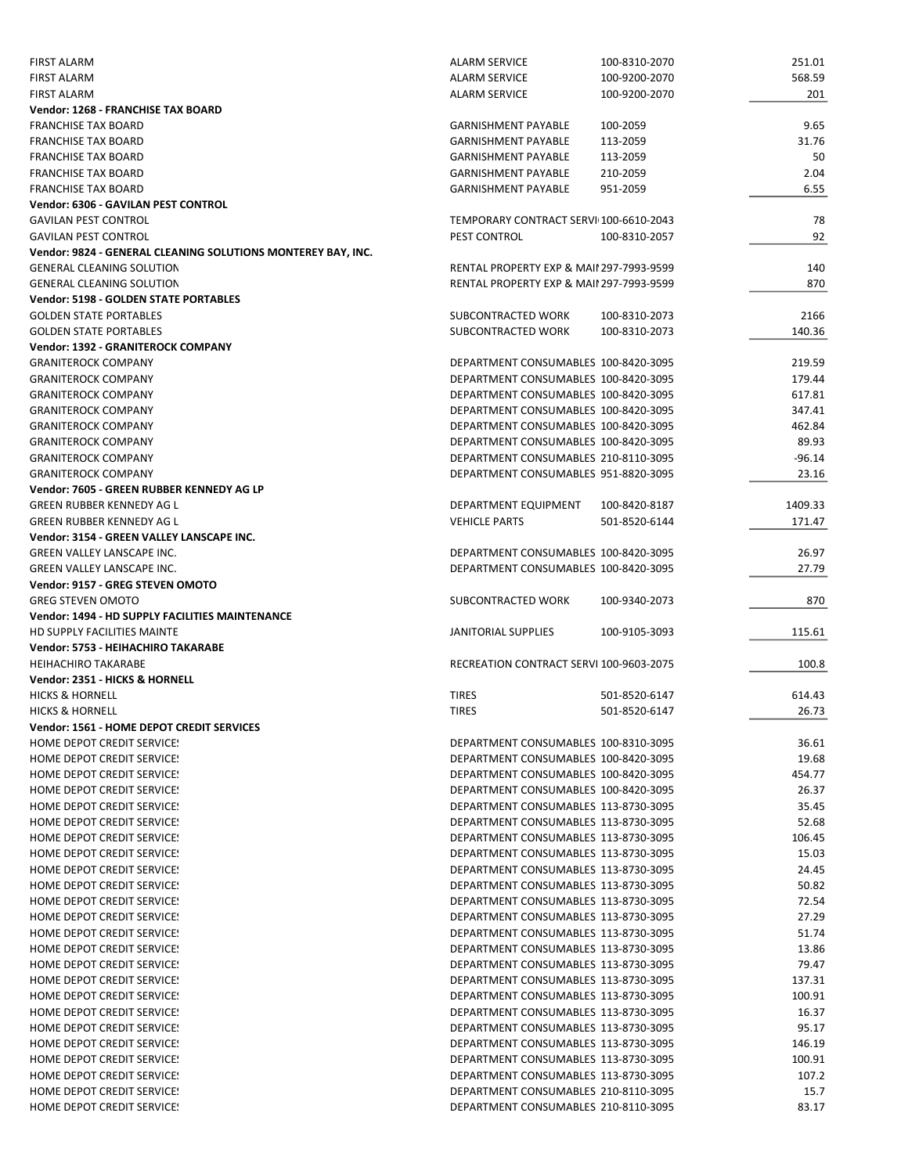| <b>FIRST ALARM</b>                                           | <b>ALARM SERVICE</b>                                                         | 100-8310-2070 | 251.01         |
|--------------------------------------------------------------|------------------------------------------------------------------------------|---------------|----------------|
| <b>FIRST ALARM</b>                                           | <b>ALARM SERVICE</b>                                                         | 100-9200-2070 | 568.59         |
| <b>FIRST ALARM</b>                                           | <b>ALARM SERVICE</b>                                                         | 100-9200-2070 | 201            |
| Vendor: 1268 - FRANCHISE TAX BOARD                           |                                                                              |               |                |
| <b>FRANCHISE TAX BOARD</b>                                   | <b>GARNISHMENT PAYABLE</b>                                                   | 100-2059      | 9.65           |
| <b>FRANCHISE TAX BOARD</b>                                   | <b>GARNISHMENT PAYABLE</b>                                                   | 113-2059      | 31.76          |
| <b>FRANCHISE TAX BOARD</b>                                   | <b>GARNISHMENT PAYABLE</b>                                                   | 113-2059      | 50             |
| <b>FRANCHISE TAX BOARD</b>                                   | <b>GARNISHMENT PAYABLE</b>                                                   | 210-2059      | 2.04           |
| <b>FRANCHISE TAX BOARD</b>                                   | <b>GARNISHMENT PAYABLE</b>                                                   | 951-2059      | 6.55           |
| Vendor: 6306 - GAVILAN PEST CONTROL                          |                                                                              |               |                |
| <b>GAVILAN PEST CONTROL</b>                                  | TEMPORARY CONTRACT SERVI 100-6610-2043                                       |               | 78             |
| <b>GAVILAN PEST CONTROL</b>                                  | PEST CONTROL                                                                 | 100-8310-2057 | 92             |
| Vendor: 9824 - GENERAL CLEANING SOLUTIONS MONTEREY BAY, INC. |                                                                              |               |                |
| <b>GENERAL CLEANING SOLUTION</b>                             | <b>RENTAL PROPERTY EXP &amp; MAII 297-7993-9599</b>                          |               | 140            |
| <b>GENERAL CLEANING SOLUTION</b>                             | RENTAL PROPERTY EXP & MAII 297-7993-9599                                     |               | 870            |
| <b>Vendor: 5198 - GOLDEN STATE PORTABLES</b>                 |                                                                              |               |                |
| <b>GOLDEN STATE PORTABLES</b>                                | SUBCONTRACTED WORK                                                           | 100-8310-2073 | 2166           |
| <b>GOLDEN STATE PORTABLES</b>                                | SUBCONTRACTED WORK                                                           | 100-8310-2073 | 140.36         |
| Vendor: 1392 - GRANITEROCK COMPANY                           |                                                                              |               |                |
| <b>GRANITEROCK COMPANY</b>                                   | DEPARTMENT CONSUMABLES 100-8420-3095                                         |               | 219.59         |
| <b>GRANITEROCK COMPANY</b>                                   | DEPARTMENT CONSUMABLES 100-8420-3095                                         |               | 179.44         |
| <b>GRANITEROCK COMPANY</b>                                   | DEPARTMENT CONSUMABLES 100-8420-3095                                         |               | 617.81         |
| <b>GRANITEROCK COMPANY</b>                                   | DEPARTMENT CONSUMABLES 100-8420-3095                                         |               | 347.41         |
| <b>GRANITEROCK COMPANY</b>                                   | DEPARTMENT CONSUMABLES 100-8420-3095                                         |               | 462.84         |
|                                                              | DEPARTMENT CONSUMABLES 100-8420-3095                                         |               | 89.93          |
| <b>GRANITEROCK COMPANY</b>                                   |                                                                              |               |                |
| <b>GRANITEROCK COMPANY</b>                                   | DEPARTMENT CONSUMABLES 210-8110-3095                                         |               | $-96.14$       |
| <b>GRANITEROCK COMPANY</b>                                   | DEPARTMENT CONSUMABLES 951-8820-3095                                         |               | 23.16          |
| Vendor: 7605 - GREEN RUBBER KENNEDY AG LP                    |                                                                              |               |                |
| GREEN RUBBER KENNEDY AG L                                    | DEPARTMENT EQUIPMENT                                                         | 100-8420-8187 | 1409.33        |
| <b>GREEN RUBBER KENNEDY AG L</b>                             | <b>VEHICLE PARTS</b>                                                         | 501-8520-6144 | 171.47         |
| Vendor: 3154 - GREEN VALLEY LANSCAPE INC.                    |                                                                              |               |                |
| <b>GREEN VALLEY LANSCAPE INC.</b>                            | DEPARTMENT CONSUMABLES 100-8420-3095                                         |               | 26.97          |
| <b>GREEN VALLEY LANSCAPE INC.</b>                            | DEPARTMENT CONSUMABLES 100-8420-3095                                         |               | 27.79          |
|                                                              |                                                                              |               |                |
| Vendor: 9157 - GREG STEVEN OMOTO                             |                                                                              |               |                |
| <b>GREG STEVEN OMOTO</b>                                     | SUBCONTRACTED WORK                                                           | 100-9340-2073 | 870            |
| Vendor: 1494 - HD SUPPLY FACILITIES MAINTENANCE              |                                                                              |               |                |
| <b>HD SUPPLY FACILITIES MAINTE</b>                           | JANITORIAL SUPPLIES                                                          | 100-9105-3093 | 115.61         |
| Vendor: 5753 - HEIHACHIRO TAKARABE                           |                                                                              |               |                |
| <b>HEIHACHIRO TAKARABE</b>                                   | RECREATION CONTRACT SERVI 100-9603-2075                                      |               | 100.8          |
| Vendor: 2351 - HICKS & HORNELL                               |                                                                              |               |                |
| <b>HICKS &amp; HORNELL</b>                                   | <b>TIRES</b>                                                                 | 501-8520-6147 | 614.43         |
| <b>HICKS &amp; HORNELL</b>                                   | <b>TIRES</b>                                                                 | 501-8520-6147 | 26.73          |
| Vendor: 1561 - HOME DEPOT CREDIT SERVICES                    |                                                                              |               |                |
| <b>HOME DEPOT CREDIT SERVICE!</b>                            | DEPARTMENT CONSUMABLES 100-8310-3095                                         |               | 36.61          |
| HOME DEPOT CREDIT SERVICE!                                   | DEPARTMENT CONSUMABLES 100-8420-3095                                         |               | 19.68          |
| HOME DEPOT CREDIT SERVICE!                                   | DEPARTMENT CONSUMABLES 100-8420-3095                                         |               | 454.77         |
| HOME DEPOT CREDIT SERVICE!                                   | DEPARTMENT CONSUMABLES 100-8420-3095                                         |               | 26.37          |
| HOME DEPOT CREDIT SERVICE!                                   | DEPARTMENT CONSUMABLES 113-8730-3095                                         |               | 35.45          |
| HOME DEPOT CREDIT SERVICE!                                   | DEPARTMENT CONSUMABLES 113-8730-3095                                         |               | 52.68          |
| <b>HOME DEPOT CREDIT SERVICE!</b>                            | DEPARTMENT CONSUMABLES 113-8730-3095                                         |               | 106.45         |
| HOME DEPOT CREDIT SERVICE!                                   | DEPARTMENT CONSUMABLES 113-8730-3095                                         |               | 15.03          |
| HOME DEPOT CREDIT SERVICE!                                   | DEPARTMENT CONSUMABLES 113-8730-3095                                         |               | 24.45          |
| <b>HOME DEPOT CREDIT SERVICE!</b>                            |                                                                              |               |                |
|                                                              | DEPARTMENT CONSUMABLES 113-8730-3095                                         |               | 50.82<br>72.54 |
| HOME DEPOT CREDIT SERVICE!                                   | DEPARTMENT CONSUMABLES 113-8730-3095                                         |               |                |
| HOME DEPOT CREDIT SERVICE!                                   | DEPARTMENT CONSUMABLES 113-8730-3095                                         |               | 27.29          |
| HOME DEPOT CREDIT SERVICE!                                   | DEPARTMENT CONSUMABLES 113-8730-3095                                         |               | 51.74          |
| HOME DEPOT CREDIT SERVICE!                                   | DEPARTMENT CONSUMABLES 113-8730-3095                                         |               | 13.86          |
| HOME DEPOT CREDIT SERVICE!                                   | DEPARTMENT CONSUMABLES 113-8730-3095                                         |               | 79.47          |
| <b>HOME DEPOT CREDIT SERVICE!</b>                            | DEPARTMENT CONSUMABLES 113-8730-3095                                         |               | 137.31         |
| HOME DEPOT CREDIT SERVICE!                                   | DEPARTMENT CONSUMABLES 113-8730-3095                                         |               | 100.91         |
| HOME DEPOT CREDIT SERVICE!                                   | DEPARTMENT CONSUMABLES 113-8730-3095                                         |               | 16.37          |
| HOME DEPOT CREDIT SERVICE!                                   | DEPARTMENT CONSUMABLES 113-8730-3095                                         |               | 95.17          |
| HOME DEPOT CREDIT SERVICE!                                   | DEPARTMENT CONSUMABLES 113-8730-3095                                         |               | 146.19         |
| HOME DEPOT CREDIT SERVICE!                                   | DEPARTMENT CONSUMABLES 113-8730-3095                                         |               | 100.91         |
| HOME DEPOT CREDIT SERVICE!                                   | DEPARTMENT CONSUMABLES 113-8730-3095                                         |               | 107.2          |
| HOME DEPOT CREDIT SERVICE!<br>HOME DEPOT CREDIT SERVICE!     | DEPARTMENT CONSUMABLES 210-8110-3095<br>DEPARTMENT CONSUMABLES 210-8110-3095 |               | 15.7<br>83.17  |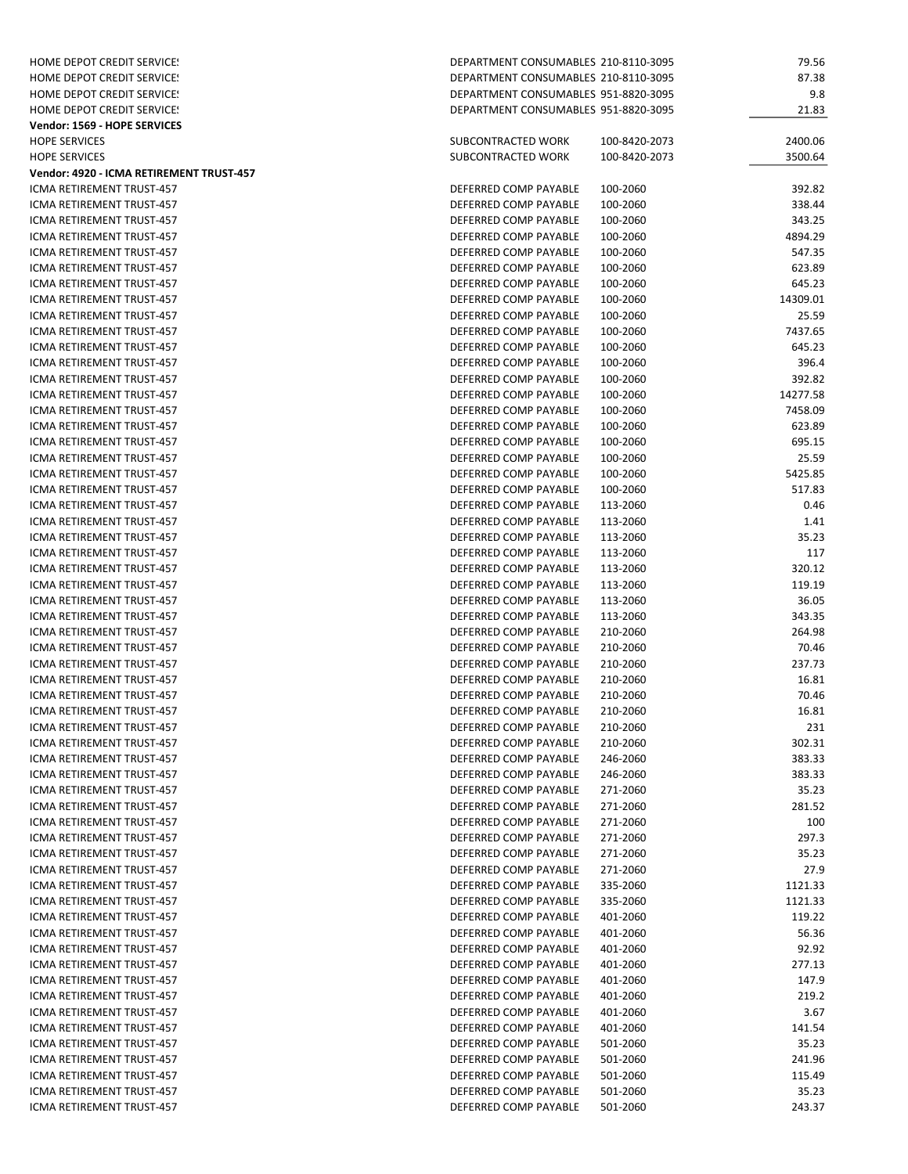| <b>HOME DEPOT CREDIT SERVICE!</b>                      | DEPARTMENT CONSUMABLES 210-8110-3095           |                      | 79.56              |
|--------------------------------------------------------|------------------------------------------------|----------------------|--------------------|
| HOME DEPOT CREDIT SERVICE!                             | DEPARTMENT CONSUMABLES 210-8110-3095           |                      | 87.38              |
| HOME DEPOT CREDIT SERVICE!                             | DEPARTMENT CONSUMABLES 951-8820-3095           |                      | 9.8                |
| <b>HOME DEPOT CREDIT SERVICE!</b>                      | DEPARTMENT CONSUMABLES 951-8820-3095           |                      | 21.83              |
| Vendor: 1569 - HOPE SERVICES                           |                                                |                      |                    |
| <b>HOPE SERVICES</b>                                   | SUBCONTRACTED WORK                             | 100-8420-2073        | 2400.06            |
| <b>HOPE SERVICES</b>                                   | SUBCONTRACTED WORK                             | 100-8420-2073        | 3500.64            |
| Vendor: 4920 - ICMA RETIREMENT TRUST-457               |                                                |                      |                    |
| ICMA RETIREMENT TRUST-457                              | DEFERRED COMP PAYABLE                          | 100-2060             | 392.82             |
| <b>ICMA RETIREMENT TRUST-457</b>                       | DEFERRED COMP PAYABLE                          | 100-2060             | 338.44             |
| <b>ICMA RETIREMENT TRUST-457</b>                       | DEFERRED COMP PAYABLE                          | 100-2060             | 343.25<br>4894.29  |
| ICMA RETIREMENT TRUST-457<br>ICMA RETIREMENT TRUST-457 | DEFERRED COMP PAYABLE<br>DEFERRED COMP PAYABLE | 100-2060<br>100-2060 | 547.35             |
| <b>ICMA RETIREMENT TRUST-457</b>                       | DEFERRED COMP PAYABLE                          | 100-2060             | 623.89             |
| ICMA RETIREMENT TRUST-457                              | DEFERRED COMP PAYABLE                          | 100-2060             | 645.23             |
| ICMA RETIREMENT TRUST-457                              | DEFERRED COMP PAYABLE                          | 100-2060             | 14309.01           |
| ICMA RETIREMENT TRUST-457                              | DEFERRED COMP PAYABLE                          | 100-2060             | 25.59              |
| ICMA RETIREMENT TRUST-457                              | DEFERRED COMP PAYABLE                          | 100-2060             | 7437.65            |
| ICMA RETIREMENT TRUST-457                              | DEFERRED COMP PAYABLE                          | 100-2060             | 645.23             |
| ICMA RETIREMENT TRUST-457                              | DEFERRED COMP PAYABLE                          | 100-2060             | 396.4              |
| ICMA RETIREMENT TRUST-457                              | DEFERRED COMP PAYABLE                          | 100-2060             | 392.82             |
| <b>ICMA RETIREMENT TRUST-457</b>                       | DEFERRED COMP PAYABLE                          | 100-2060             | 14277.58           |
| <b>ICMA RETIREMENT TRUST-457</b>                       | DEFERRED COMP PAYABLE                          | 100-2060             | 7458.09            |
| ICMA RETIREMENT TRUST-457                              | DEFERRED COMP PAYABLE                          | 100-2060             | 623.89             |
| ICMA RETIREMENT TRUST-457                              | DEFERRED COMP PAYABLE                          | 100-2060             | 695.15             |
| ICMA RETIREMENT TRUST-457                              | DEFERRED COMP PAYABLE                          | 100-2060             | 25.59              |
| ICMA RETIREMENT TRUST-457                              | DEFERRED COMP PAYABLE                          | 100-2060             | 5425.85            |
| ICMA RETIREMENT TRUST-457                              | DEFERRED COMP PAYABLE                          | 100-2060             | 517.83             |
| ICMA RETIREMENT TRUST-457                              | DEFERRED COMP PAYABLE                          | 113-2060             | 0.46               |
| ICMA RETIREMENT TRUST-457                              | DEFERRED COMP PAYABLE                          | 113-2060             | 1.41               |
| ICMA RETIREMENT TRUST-457                              | DEFERRED COMP PAYABLE                          | 113-2060             | 35.23              |
| ICMA RETIREMENT TRUST-457                              | DEFERRED COMP PAYABLE                          | 113-2060             | 117<br>320.12      |
| ICMA RETIREMENT TRUST-457<br>ICMA RETIREMENT TRUST-457 | DEFERRED COMP PAYABLE<br>DEFERRED COMP PAYABLE | 113-2060             | 119.19             |
| ICMA RETIREMENT TRUST-457                              | DEFERRED COMP PAYABLE                          | 113-2060<br>113-2060 | 36.05              |
| ICMA RETIREMENT TRUST-457                              | DEFERRED COMP PAYABLE                          | 113-2060             | 343.35             |
| ICMA RETIREMENT TRUST-457                              | DEFERRED COMP PAYABLE                          | 210-2060             | 264.98             |
| ICMA RETIREMENT TRUST-457                              | DEFERRED COMP PAYABLE                          | 210-2060             | 70.46              |
| ICMA RETIREMENT TRUST-457                              | DEFERRED COMP PAYABLE                          | 210-2060             | 237.73             |
| ICMA RETIREMENT TRUST-457                              | DEFERRED COMP PAYABLE                          | 210-2060             | 16.81              |
| ICMA RETIREMENT TRUST-457                              | DEFERRED COMP PAYABLE                          | 210-2060             | 70.46              |
| <b>ICMA RETIREMENT TRUST-457</b>                       | DEFERRED COMP PAYABLE                          | 210-2060             | 16.81              |
| ICMA RETIREMENT TRUST-457                              | DEFERRED COMP PAYABLE                          | 210-2060             | 231                |
| ICMA RETIREMENT TRUST-457                              | DEFERRED COMP PAYABLE                          | 210-2060             | 302.31             |
| ICMA RETIREMENT TRUST-457                              | DEFERRED COMP PAYABLE                          | 246-2060             | 383.33             |
| ICMA RETIREMENT TRUST-457                              | DEFERRED COMP PAYABLE                          | 246-2060             | 383.33             |
| <b>ICMA RETIREMENT TRUST-457</b>                       | DEFERRED COMP PAYABLE                          | 271-2060             | 35.23              |
| ICMA RETIREMENT TRUST-457                              | DEFERRED COMP PAYABLE                          | 271-2060             | 281.52             |
| ICMA RETIREMENT TRUST-457                              | DEFERRED COMP PAYABLE                          | 271-2060             | 100                |
| <b>ICMA RETIREMENT TRUST-457</b>                       | DEFERRED COMP PAYABLE                          | 271-2060             | 297.3              |
| ICMA RETIREMENT TRUST-457                              | DEFERRED COMP PAYABLE                          | 271-2060             | 35.23              |
| ICMA RETIREMENT TRUST-457<br>ICMA RETIREMENT TRUST-457 | DEFERRED COMP PAYABLE                          | 271-2060             | 27.9               |
| ICMA RETIREMENT TRUST-457                              | DEFERRED COMP PAYABLE<br>DEFERRED COMP PAYABLE | 335-2060<br>335-2060 | 1121.33<br>1121.33 |
| ICMA RETIREMENT TRUST-457                              | DEFERRED COMP PAYABLE                          | 401-2060             | 119.22             |
| ICMA RETIREMENT TRUST-457                              | DEFERRED COMP PAYABLE                          | 401-2060             | 56.36              |
| ICMA RETIREMENT TRUST-457                              | DEFERRED COMP PAYABLE                          | 401-2060             | 92.92              |
| ICMA RETIREMENT TRUST-457                              | DEFERRED COMP PAYABLE                          | 401-2060             | 277.13             |
| ICMA RETIREMENT TRUST-457                              | DEFERRED COMP PAYABLE                          | 401-2060             | 147.9              |
| ICMA RETIREMENT TRUST-457                              | DEFERRED COMP PAYABLE                          | 401-2060             | 219.2              |
| ICMA RETIREMENT TRUST-457                              | DEFERRED COMP PAYABLE                          | 401-2060             | 3.67               |
| ICMA RETIREMENT TRUST-457                              | DEFERRED COMP PAYABLE                          | 401-2060             | 141.54             |
| ICMA RETIREMENT TRUST-457                              | DEFERRED COMP PAYABLE                          | 501-2060             | 35.23              |
| ICMA RETIREMENT TRUST-457                              | DEFERRED COMP PAYABLE                          | 501-2060             | 241.96             |
| ICMA RETIREMENT TRUST-457                              | DEFERRED COMP PAYABLE                          | 501-2060             | 115.49             |
| ICMA RETIREMENT TRUST-457                              | DEFERRED COMP PAYABLE                          | 501-2060             | 35.23              |
| ICMA RETIREMENT TRUST-457                              | DEFERRED COMP PAYABLE                          | 501-2060             | 243.37             |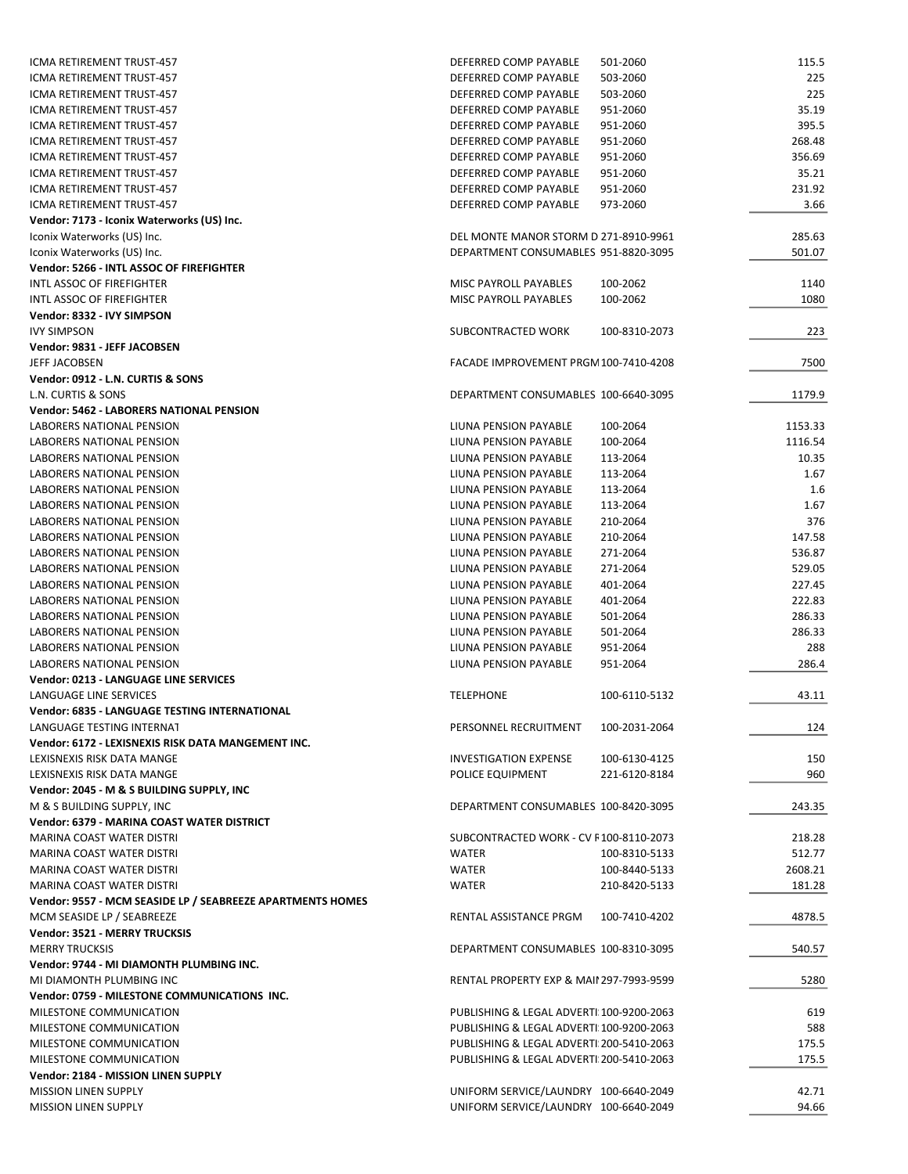| ICMA RETIREMENT TRUST-457                                  | DEFERRED COMP PAYABLE                    | 501-2060      | 115.5   |
|------------------------------------------------------------|------------------------------------------|---------------|---------|
| ICMA RETIREMENT TRUST-457                                  | DEFERRED COMP PAYABLE                    | 503-2060      | 225     |
| ICMA RETIREMENT TRUST-457                                  | DEFERRED COMP PAYABLE                    | 503-2060      | 225     |
| ICMA RETIREMENT TRUST-457                                  | DEFERRED COMP PAYABLE                    | 951-2060      | 35.19   |
| ICMA RETIREMENT TRUST-457                                  | DEFERRED COMP PAYABLE                    | 951-2060      | 395.5   |
| ICMA RETIREMENT TRUST-457                                  | DEFERRED COMP PAYABLE                    | 951-2060      | 268.48  |
| <b>ICMA RETIREMENT TRUST-457</b>                           | DEFERRED COMP PAYABLE                    | 951-2060      | 356.69  |
| ICMA RETIREMENT TRUST-457                                  | DEFERRED COMP PAYABLE                    | 951-2060      | 35.21   |
| ICMA RETIREMENT TRUST-457                                  | DEFERRED COMP PAYABLE                    | 951-2060      | 231.92  |
| <b>ICMA RETIREMENT TRUST-457</b>                           | DEFERRED COMP PAYABLE                    | 973-2060      | 3.66    |
| Vendor: 7173 - Iconix Waterworks (US) Inc.                 |                                          |               |         |
| Iconix Waterworks (US) Inc.                                | DEL MONTE MANOR STORM D 271-8910-9961    |               | 285.63  |
| Iconix Waterworks (US) Inc.                                | DEPARTMENT CONSUMABLES 951-8820-3095     |               | 501.07  |
| Vendor: 5266 - INTL ASSOC OF FIREFIGHTER                   |                                          |               |         |
| INTL ASSOC OF FIREFIGHTER                                  | MISC PAYROLL PAYABLES                    | 100-2062      | 1140    |
| INTL ASSOC OF FIREFIGHTER                                  | MISC PAYROLL PAYABLES                    | 100-2062      | 1080    |
| Vendor: 8332 - IVY SIMPSON                                 |                                          |               |         |
| <b>IVY SIMPSON</b>                                         | SUBCONTRACTED WORK                       | 100-8310-2073 | 223     |
| Vendor: 9831 - JEFF JACOBSEN                               |                                          |               |         |
| JEFF JACOBSEN                                              | FACADE IMPROVEMENT PRGM 100-7410-4208    |               | 7500    |
|                                                            |                                          |               |         |
| Vendor: 0912 - L.N. CURTIS & SONS                          |                                          |               |         |
| L.N. CURTIS & SONS                                         | DEPARTMENT CONSUMABLES 100-6640-3095     |               | 1179.9  |
| <b>Vendor: 5462 - LABORERS NATIONAL PENSION</b>            |                                          |               |         |
| LABORERS NATIONAL PENSION                                  | LIUNA PENSION PAYABLE                    | 100-2064      | 1153.33 |
| LABORERS NATIONAL PENSION                                  | LIUNA PENSION PAYABLE                    | 100-2064      | 1116.54 |
| LABORERS NATIONAL PENSION                                  | LIUNA PENSION PAYABLE                    | 113-2064      | 10.35   |
| LABORERS NATIONAL PENSION                                  | LIUNA PENSION PAYABLE                    | 113-2064      | 1.67    |
| LABORERS NATIONAL PENSION                                  | LIUNA PENSION PAYABLE                    | 113-2064      | 1.6     |
| LABORERS NATIONAL PENSION                                  | LIUNA PENSION PAYABLE                    | 113-2064      | 1.67    |
| LABORERS NATIONAL PENSION                                  | LIUNA PENSION PAYABLE                    | 210-2064      | 376     |
| LABORERS NATIONAL PENSION                                  | LIUNA PENSION PAYABLE                    | 210-2064      | 147.58  |
| LABORERS NATIONAL PENSION                                  | LIUNA PENSION PAYABLE                    | 271-2064      | 536.87  |
| LABORERS NATIONAL PENSION                                  | LIUNA PENSION PAYABLE                    | 271-2064      | 529.05  |
| LABORERS NATIONAL PENSION                                  | LIUNA PENSION PAYABLE                    | 401-2064      | 227.45  |
| LABORERS NATIONAL PENSION                                  | LIUNA PENSION PAYABLE                    | 401-2064      | 222.83  |
| LABORERS NATIONAL PENSION                                  | LIUNA PENSION PAYABLE                    | 501-2064      | 286.33  |
| LABORERS NATIONAL PENSION                                  | LIUNA PENSION PAYABLE                    | 501-2064      | 286.33  |
| LABORERS NATIONAL PENSION                                  | LIUNA PENSION PAYABLE                    | 951-2064      | 288     |
| <b>LABORERS NATIONAL PENSION</b>                           | LIUNA PENSION PAYABLE                    | 951-2064      | 286.4   |
| Vendor: 0213 - LANGUAGE LINE SERVICES                      |                                          |               |         |
| LANGUAGE LINE SERVICES                                     | <b>TELEPHONE</b>                         | 100-6110-5132 | 43.11   |
| Vendor: 6835 - LANGUAGE TESTING INTERNATIONAL              |                                          |               |         |
| LANGUAGE TESTING INTERNAT                                  | PERSONNEL RECRUITMENT                    | 100-2031-2064 | 124     |
| Vendor: 6172 - LEXISNEXIS RISK DATA MANGEMENT INC.         |                                          |               |         |
| LEXISNEXIS RISK DATA MANGE                                 | INVESTIGATION EXPENSE                    | 100-6130-4125 | 150     |
| LEXISNEXIS RISK DATA MANGE                                 | POLICE EQUIPMENT                         | 221-6120-8184 | 960     |
| Vendor: 2045 - M & S BUILDING SUPPLY, INC                  |                                          |               |         |
| M & S BUILDING SUPPLY, INC                                 | DEPARTMENT CONSUMABLES 100-8420-3095     |               | 243.35  |
| Vendor: 6379 - MARINA COAST WATER DISTRICT                 |                                          |               |         |
|                                                            |                                          |               |         |
| MARINA COAST WATER DISTRI                                  | SUBCONTRACTED WORK - CV F100-8110-2073   |               | 218.28  |
| MARINA COAST WATER DISTRI                                  | <b>WATER</b>                             | 100-8310-5133 | 512.77  |
| <b>MARINA COAST WATER DISTRI</b>                           | <b>WATER</b>                             | 100-8440-5133 | 2608.21 |
| MARINA COAST WATER DISTRI                                  | <b>WATER</b>                             | 210-8420-5133 | 181.28  |
| Vendor: 9557 - MCM SEASIDE LP / SEABREEZE APARTMENTS HOMES |                                          |               |         |
| MCM SEASIDE LP / SEABREEZE                                 | RENTAL ASSISTANCE PRGM                   | 100-7410-4202 | 4878.5  |
| Vendor: 3521 - MERRY TRUCKSIS                              |                                          |               |         |
| <b>MERRY TRUCKSIS</b>                                      | DEPARTMENT CONSUMABLES 100-8310-3095     |               | 540.57  |
| Vendor: 9744 - MI DIAMONTH PLUMBING INC.                   |                                          |               |         |
| MI DIAMONTH PLUMBING INC.                                  | RENTAL PROPERTY EXP & MAII 297-7993-9599 |               | 5280    |
| Vendor: 0759 - MILESTONE COMMUNICATIONS INC.               |                                          |               |         |
| MILESTONE COMMUNICATION                                    | PUBLISHING & LEGAL ADVERTI 100-9200-2063 |               | 619     |
| MILESTONE COMMUNICATION                                    | PUBLISHING & LEGAL ADVERTI 100-9200-2063 |               | 588     |
| MILESTONE COMMUNICATION                                    | PUBLISHING & LEGAL ADVERTI 200-5410-2063 |               | 175.5   |
| MILESTONE COMMUNICATION                                    | PUBLISHING & LEGAL ADVERTI 200-5410-2063 |               | 175.5   |
| Vendor: 2184 - MISSION LINEN SUPPLY                        |                                          |               |         |
| <b>MISSION LINEN SUPPLY</b>                                | UNIFORM SERVICE/LAUNDRY 100-6640-2049    |               | 42.71   |
| <b>MISSION LINEN SUPPLY</b>                                | UNIFORM SERVICE/LAUNDRY 100-6640-2049    |               | 94.66   |
|                                                            |                                          |               |         |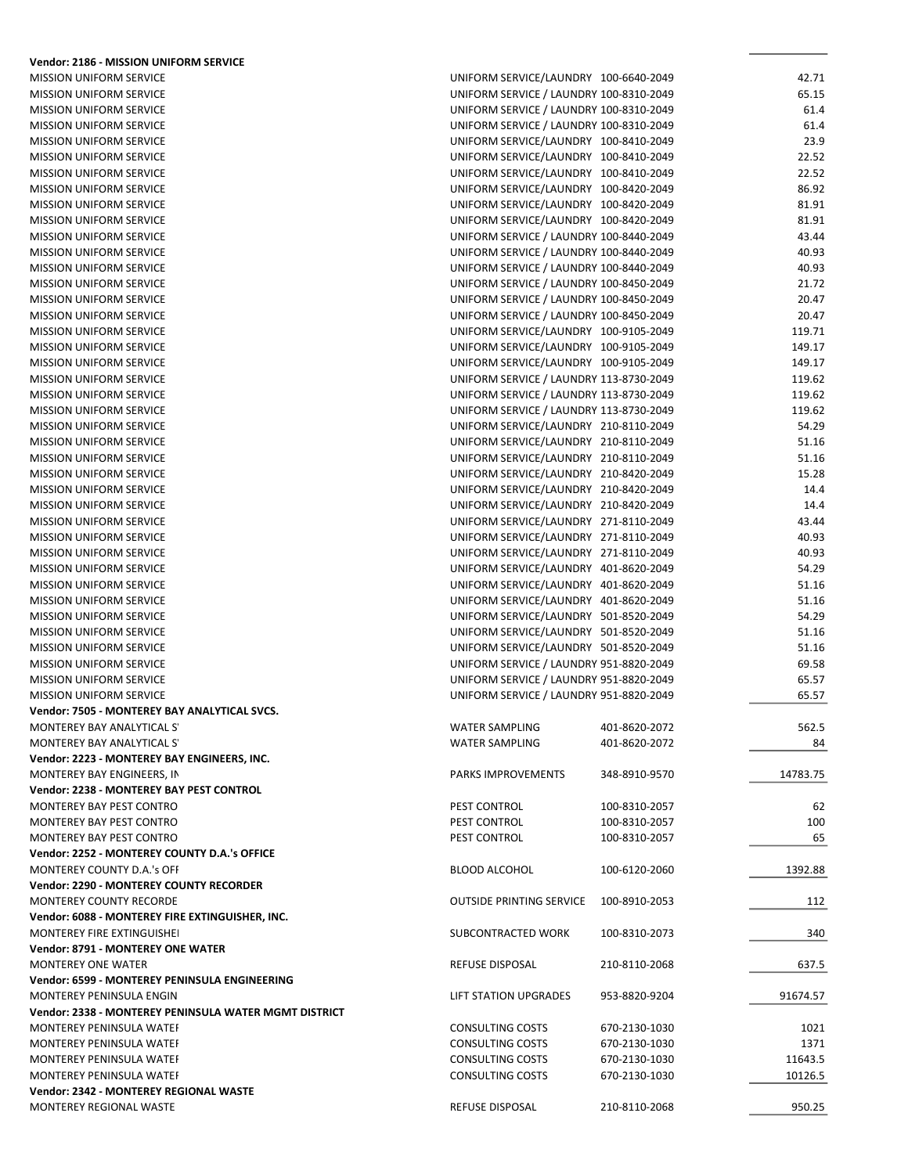| <b>Vendor: 2186 - MISSION UNIFORM SERVICE</b>         |                                                  |          |
|-------------------------------------------------------|--------------------------------------------------|----------|
| <b>MISSION UNIFORM SERVICE</b>                        | UNIFORM SERVICE/LAUNDRY 100-6640-2049            | 42.71    |
| <b>MISSION UNIFORM SERVICE</b>                        | UNIFORM SERVICE / LAUNDRY 100-8310-2049          | 65.15    |
| <b>MISSION UNIFORM SERVICE</b>                        | UNIFORM SERVICE / LAUNDRY 100-8310-2049          | 61.4     |
| <b>MISSION UNIFORM SERVICE</b>                        | UNIFORM SERVICE / LAUNDRY 100-8310-2049          | 61.4     |
| <b>MISSION UNIFORM SERVICE</b>                        | UNIFORM SERVICE/LAUNDRY 100-8410-2049            | 23.9     |
| <b>MISSION UNIFORM SERVICE</b>                        | UNIFORM SERVICE/LAUNDRY 100-8410-2049            | 22.52    |
| <b>MISSION UNIFORM SERVICE</b>                        | UNIFORM SERVICE/LAUNDRY 100-8410-2049            | 22.52    |
| <b>MISSION UNIFORM SERVICE</b>                        | UNIFORM SERVICE/LAUNDRY 100-8420-2049            | 86.92    |
| <b>MISSION UNIFORM SERVICE</b>                        | UNIFORM SERVICE/LAUNDRY 100-8420-2049            | 81.91    |
| MISSION UNIFORM SERVICE                               | UNIFORM SERVICE/LAUNDRY 100-8420-2049            | 81.91    |
| <b>MISSION UNIFORM SERVICE</b>                        | UNIFORM SERVICE / LAUNDRY 100-8440-2049          | 43.44    |
| <b>MISSION UNIFORM SERVICE</b>                        | UNIFORM SERVICE / LAUNDRY 100-8440-2049          | 40.93    |
| <b>MISSION UNIFORM SERVICE</b>                        | UNIFORM SERVICE / LAUNDRY 100-8440-2049          | 40.93    |
| <b>MISSION UNIFORM SERVICE</b>                        | UNIFORM SERVICE / LAUNDRY 100-8450-2049          | 21.72    |
| <b>MISSION UNIFORM SERVICE</b>                        | UNIFORM SERVICE / LAUNDRY 100-8450-2049          | 20.47    |
| <b>MISSION UNIFORM SERVICE</b>                        | UNIFORM SERVICE / LAUNDRY 100-8450-2049          | 20.47    |
| <b>MISSION UNIFORM SERVICE</b>                        | UNIFORM SERVICE/LAUNDRY 100-9105-2049            | 119.71   |
| <b>MISSION UNIFORM SERVICE</b>                        | UNIFORM SERVICE/LAUNDRY 100-9105-2049            | 149.17   |
| <b>MISSION UNIFORM SERVICE</b>                        | UNIFORM SERVICE/LAUNDRY 100-9105-2049            | 149.17   |
| <b>MISSION UNIFORM SERVICE</b>                        | UNIFORM SERVICE / LAUNDRY 113-8730-2049          | 119.62   |
| <b>MISSION UNIFORM SERVICE</b>                        | UNIFORM SERVICE / LAUNDRY 113-8730-2049          | 119.62   |
| <b>MISSION UNIFORM SERVICE</b>                        | UNIFORM SERVICE / LAUNDRY 113-8730-2049          | 119.62   |
| <b>MISSION UNIFORM SERVICE</b>                        | UNIFORM SERVICE/LAUNDRY 210-8110-2049            | 54.29    |
| <b>MISSION UNIFORM SERVICE</b>                        | UNIFORM SERVICE/LAUNDRY 210-8110-2049            | 51.16    |
| <b>MISSION UNIFORM SERVICE</b>                        | UNIFORM SERVICE/LAUNDRY 210-8110-2049            | 51.16    |
| <b>MISSION UNIFORM SERVICE</b>                        | UNIFORM SERVICE/LAUNDRY 210-8420-2049            | 15.28    |
|                                                       |                                                  |          |
| <b>MISSION UNIFORM SERVICE</b>                        | UNIFORM SERVICE/LAUNDRY 210-8420-2049            | 14.4     |
| <b>MISSION UNIFORM SERVICE</b>                        | UNIFORM SERVICE/LAUNDRY 210-8420-2049            | 14.4     |
| <b>MISSION UNIFORM SERVICE</b>                        | UNIFORM SERVICE/LAUNDRY 271-8110-2049            | 43.44    |
| <b>MISSION UNIFORM SERVICE</b>                        | UNIFORM SERVICE/LAUNDRY 271-8110-2049            | 40.93    |
| <b>MISSION UNIFORM SERVICE</b>                        | UNIFORM SERVICE/LAUNDRY 271-8110-2049            | 40.93    |
| <b>MISSION UNIFORM SERVICE</b>                        | UNIFORM SERVICE/LAUNDRY 401-8620-2049            | 54.29    |
| <b>MISSION UNIFORM SERVICE</b>                        | UNIFORM SERVICE/LAUNDRY 401-8620-2049            | 51.16    |
| <b>MISSION UNIFORM SERVICE</b>                        | UNIFORM SERVICE/LAUNDRY 401-8620-2049            | 51.16    |
| <b>MISSION UNIFORM SERVICE</b>                        | UNIFORM SERVICE/LAUNDRY 501-8520-2049            | 54.29    |
| <b>MISSION UNIFORM SERVICE</b>                        | UNIFORM SERVICE/LAUNDRY 501-8520-2049            | 51.16    |
| <b>MISSION UNIFORM SERVICE</b>                        | UNIFORM SERVICE/LAUNDRY 501-8520-2049            | 51.16    |
| <b>MISSION UNIFORM SERVICE</b>                        | UNIFORM SERVICE / LAUNDRY 951-8820-2049          | 69.58    |
| <b>MISSION UNIFORM SERVICE</b>                        | UNIFORM SERVICE / LAUNDRY 951-8820-2049          | 65.57    |
| <b>MISSION UNIFORM SERVICE</b>                        | UNIFORM SERVICE / LAUNDRY 951-8820-2049          | 65.57    |
| Vendor: 7505 - MONTEREY BAY ANALYTICAL SVCS.          |                                                  |          |
| MONTEREY BAY ANALYTICAL S'                            | <b>WATER SAMPLING</b><br>401-8620-2072           | 562.5    |
| MONTEREY BAY ANALYTICAL S'                            | <b>WATER SAMPLING</b><br>401-8620-2072           | 84       |
| Vendor: 2223 - MONTEREY BAY ENGINEERS, INC.           |                                                  |          |
| MONTEREY BAY ENGINEERS, IN                            | 348-8910-9570<br><b>PARKS IMPROVEMENTS</b>       | 14783.75 |
| <b>Vendor: 2238 - MONTEREY BAY PEST CONTROL</b>       |                                                  |          |
| MONTEREY BAY PEST CONTRO                              | PEST CONTROL<br>100-8310-2057                    | 62       |
| MONTEREY BAY PEST CONTRO                              | PEST CONTROL<br>100-8310-2057                    | 100      |
| MONTEREY BAY PEST CONTRO                              | PEST CONTROL<br>100-8310-2057                    | 65       |
| Vendor: 2252 - MONTEREY COUNTY D.A.'s OFFICE          |                                                  |          |
| MONTEREY COUNTY D.A.'s OFF                            | 100-6120-2060                                    |          |
| Vendor: 2290 - MONTEREY COUNTY RECORDER               | <b>BLOOD ALCOHOL</b>                             | 1392.88  |
|                                                       |                                                  |          |
| MONTEREY COUNTY RECORDE                               | <b>OUTSIDE PRINTING SERVICE</b><br>100-8910-2053 | 112      |
| Vendor: 6088 - MONTEREY FIRE EXTINGUISHER, INC.       |                                                  |          |
| MONTEREY FIRE EXTINGUISHEI                            | SUBCONTRACTED WORK<br>100-8310-2073              | 340      |
| <b>Vendor: 8791 - MONTEREY ONE WATER</b>              |                                                  |          |
| <b>MONTEREY ONE WATER</b>                             | REFUSE DISPOSAL<br>210-8110-2068                 | 637.5    |
| Vendor: 6599 - MONTEREY PENINSULA ENGINEERING         |                                                  |          |
| MONTEREY PENINSULA ENGIN                              | 953-8820-9204<br>LIFT STATION UPGRADES           | 91674.57 |
| Vendor: 2338 - MONTEREY PENINSULA WATER MGMT DISTRICT |                                                  |          |
| MONTEREY PENINSULA WATEF                              | <b>CONSULTING COSTS</b><br>670-2130-1030         | 1021     |
| MONTEREY PENINSULA WATEF                              | <b>CONSULTING COSTS</b><br>670-2130-1030         | 1371     |
| MONTEREY PENINSULA WATEF                              | <b>CONSULTING COSTS</b><br>670-2130-1030         | 11643.5  |
| MONTEREY PENINSULA WATEF                              | <b>CONSULTING COSTS</b><br>670-2130-1030         | 10126.5  |
| Vendor: 2342 - MONTEREY REGIONAL WASTE                |                                                  |          |
| MONTEREY REGIONAL WASTE                               | REFUSE DISPOSAL<br>210-8110-2068                 | 950.25   |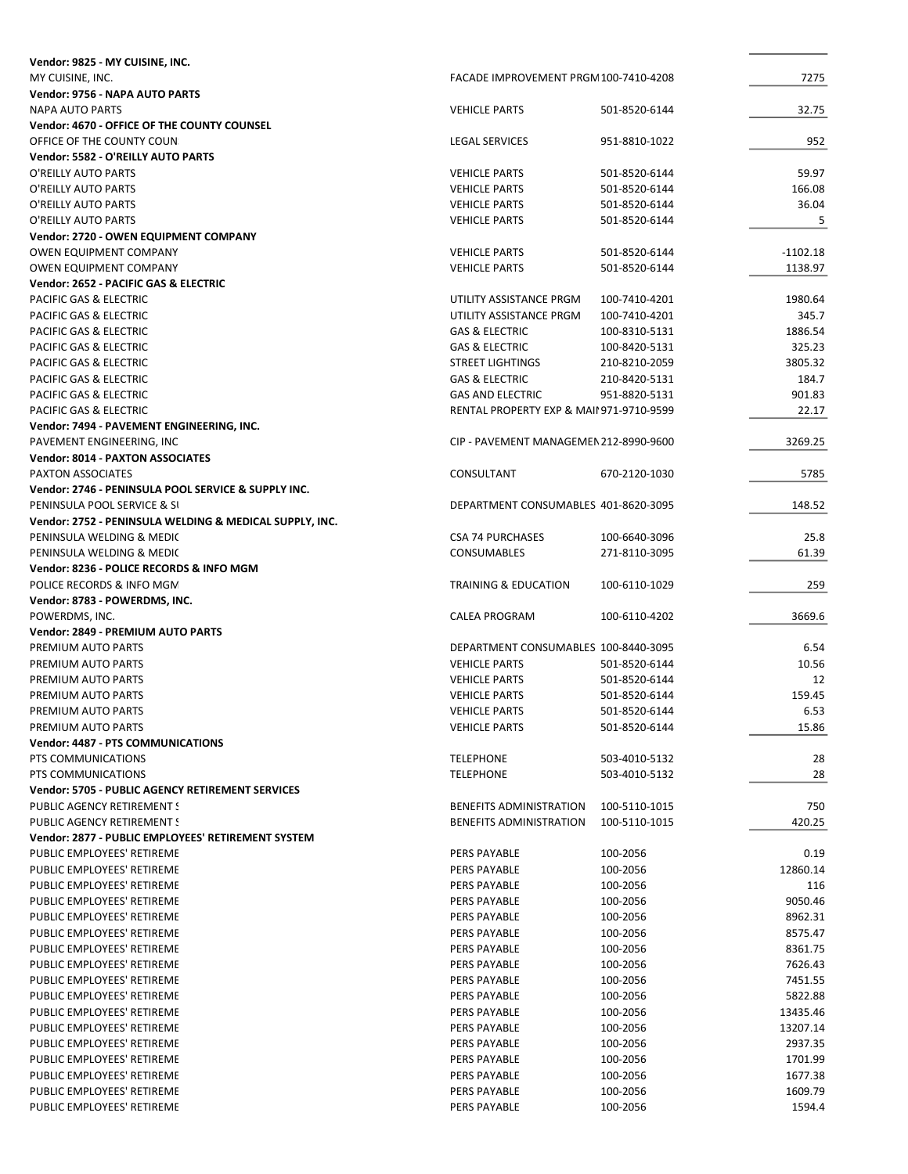| Vendor: 9825 - MY CUISINE, INC.                         |                                         |               |            |
|---------------------------------------------------------|-----------------------------------------|---------------|------------|
| MY CUISINE, INC.                                        | FACADE IMPROVEMENT PRGM100-7410-4208    |               | 7275       |
| Vendor: 9756 - NAPA AUTO PARTS                          |                                         |               |            |
| <b>NAPA AUTO PARTS</b>                                  | <b>VEHICLE PARTS</b>                    | 501-8520-6144 | 32.75      |
| Vendor: 4670 - OFFICE OF THE COUNTY COUNSEL             |                                         |               |            |
| OFFICE OF THE COUNTY COUN.                              | <b>LEGAL SERVICES</b>                   | 951-8810-1022 | 952        |
| Vendor: 5582 - O'REILLY AUTO PARTS                      |                                         |               |            |
| O'REILLY AUTO PARTS                                     | <b>VEHICLE PARTS</b>                    | 501-8520-6144 | 59.97      |
| O'REILLY AUTO PARTS                                     | <b>VEHICLE PARTS</b>                    | 501-8520-6144 | 166.08     |
|                                                         |                                         |               | 36.04      |
| O'REILLY AUTO PARTS                                     | <b>VEHICLE PARTS</b>                    | 501-8520-6144 |            |
| O'REILLY AUTO PARTS                                     | <b>VEHICLE PARTS</b>                    | 501-8520-6144 | 5          |
| Vendor: 2720 - OWEN EQUIPMENT COMPANY                   |                                         |               |            |
| OWEN EQUIPMENT COMPANY                                  | <b>VEHICLE PARTS</b>                    | 501-8520-6144 | $-1102.18$ |
| OWEN EQUIPMENT COMPANY                                  | <b>VEHICLE PARTS</b>                    | 501-8520-6144 | 1138.97    |
| Vendor: 2652 - PACIFIC GAS & ELECTRIC                   |                                         |               |            |
| PACIFIC GAS & ELECTRIC                                  | UTILITY ASSISTANCE PRGM                 | 100-7410-4201 | 1980.64    |
| PACIFIC GAS & ELECTRIC                                  | UTILITY ASSISTANCE PRGM                 | 100-7410-4201 | 345.7      |
| PACIFIC GAS & ELECTRIC                                  | <b>GAS &amp; ELECTRIC</b>               | 100-8310-5131 | 1886.54    |
| PACIFIC GAS & ELECTRIC                                  | <b>GAS &amp; ELECTRIC</b>               | 100-8420-5131 | 325.23     |
| PACIFIC GAS & ELECTRIC                                  | <b>STREET LIGHTINGS</b>                 | 210-8210-2059 | 3805.32    |
| <b>PACIFIC GAS &amp; ELECTRIC</b>                       | <b>GAS &amp; ELECTRIC</b>               | 210-8420-5131 | 184.7      |
| PACIFIC GAS & ELECTRIC                                  | <b>GAS AND ELECTRIC</b>                 | 951-8820-5131 | 901.83     |
|                                                         | RENTAL PROPERTY EXP & MAI1971-9710-9599 |               |            |
| PACIFIC GAS & ELECTRIC                                  |                                         |               | 22.17      |
| Vendor: 7494 - PAVEMENT ENGINEERING, INC.               |                                         |               |            |
| PAVEMENT ENGINEERING, INC                               | CIP - PAVEMENT MANAGEMEN 212-8990-9600  |               | 3269.25    |
| <b>Vendor: 8014 - PAXTON ASSOCIATES</b>                 |                                         |               |            |
| PAXTON ASSOCIATES                                       | CONSULTANT                              | 670-2120-1030 | 5785       |
| Vendor: 2746 - PENINSULA POOL SERVICE & SUPPLY INC.     |                                         |               |            |
| PENINSULA POOL SERVICE & SI                             | DEPARTMENT CONSUMABLES 401-8620-3095    |               | 148.52     |
| Vendor: 2752 - PENINSULA WELDING & MEDICAL SUPPLY, INC. |                                         |               |            |
| PENINSULA WELDING & MEDIC                               | <b>CSA 74 PURCHASES</b>                 | 100-6640-3096 | 25.8       |
| PENINSULA WELDING & MEDIC                               | <b>CONSUMABLES</b>                      | 271-8110-3095 | 61.39      |
| Vendor: 8236 - POLICE RECORDS & INFO MGM                |                                         |               |            |
| POLICE RECORDS & INFO MGM                               | <b>TRAINING &amp; EDUCATION</b>         | 100-6110-1029 | 259        |
| Vendor: 8783 - POWERDMS, INC.                           |                                         |               |            |
|                                                         |                                         |               |            |
| POWERDMS, INC.                                          | <b>CALEA PROGRAM</b>                    | 100-6110-4202 | 3669.6     |
| Vendor: 2849 - PREMIUM AUTO PARTS                       |                                         |               |            |
| PREMIUM AUTO PARTS                                      | DEPARTMENT CONSUMABLES 100-8440-3095    |               | 6.54       |
| PREMIUM AUTO PARTS                                      | <b>VEHICLE PARTS</b>                    | 501-8520-6144 | 10.56      |
| PREMIUM AUTO PARTS                                      | <b>VEHICLE PARTS</b>                    | 501-8520-6144 | 12         |
| PREMIUM AUTO PARTS                                      | <b>VEHICLE PARTS</b>                    | 501-8520-6144 | 159.45     |
| PREMIUM AUTO PARTS                                      | <b>VEHICLE PARTS</b>                    | 501-8520-6144 | 6.53       |
| PREMIUM AUTO PARTS                                      | <b>VEHICLE PARTS</b>                    | 501-8520-6144 | 15.86      |
| <b>Vendor: 4487 - PTS COMMUNICATIONS</b>                |                                         |               |            |
| PTS COMMUNICATIONS                                      | <b>TELEPHONE</b>                        | 503-4010-5132 | 28         |
| PTS COMMUNICATIONS                                      | <b>TELEPHONE</b>                        | 503-4010-5132 | 28         |
| Vendor: 5705 - PUBLIC AGENCY RETIREMENT SERVICES        |                                         |               |            |
|                                                         |                                         |               |            |
| PUBLIC AGENCY RETIREMENT S                              | BENEFITS ADMINISTRATION                 | 100-5110-1015 | 750        |
| PUBLIC AGENCY RETIREMENT S                              | <b>BENEFITS ADMINISTRATION</b>          | 100-5110-1015 | 420.25     |
| Vendor: 2877 - PUBLIC EMPLOYEES' RETIREMENT SYSTEM      |                                         |               |            |
| PUBLIC EMPLOYEES' RETIREME                              | PERS PAYABLE                            | 100-2056      | 0.19       |
| PUBLIC EMPLOYEES' RETIREME                              | <b>PERS PAYABLE</b>                     | 100-2056      | 12860.14   |
| PUBLIC EMPLOYEES' RETIREME                              | <b>PERS PAYABLE</b>                     | 100-2056      | 116        |
| PUBLIC EMPLOYEES' RETIREME                              | PERS PAYABLE                            | 100-2056      | 9050.46    |
| PUBLIC EMPLOYEES' RETIREME                              | PERS PAYABLE                            | 100-2056      | 8962.31    |
| PUBLIC EMPLOYEES' RETIREME                              | PERS PAYABLE                            | 100-2056      | 8575.47    |
| PUBLIC EMPLOYEES' RETIREME                              | <b>PERS PAYABLE</b>                     | 100-2056      | 8361.75    |
| PUBLIC EMPLOYEES' RETIREME                              | PERS PAYABLE                            | 100-2056      | 7626.43    |
| PUBLIC EMPLOYEES' RETIREME                              | PERS PAYABLE                            | 100-2056      | 7451.55    |
| PUBLIC EMPLOYEES' RETIREME                              | PERS PAYABLE                            | 100-2056      | 5822.88    |
|                                                         |                                         |               |            |
| PUBLIC EMPLOYEES' RETIREME                              | <b>PERS PAYABLE</b>                     | 100-2056      | 13435.46   |
| PUBLIC EMPLOYEES' RETIREME                              | PERS PAYABLE                            | 100-2056      | 13207.14   |
| PUBLIC EMPLOYEES' RETIREME                              | PERS PAYABLE                            | 100-2056      | 2937.35    |
| PUBLIC EMPLOYEES' RETIREME                              | PERS PAYABLE                            | 100-2056      | 1701.99    |
| PUBLIC EMPLOYEES' RETIREME                              | <b>PERS PAYABLE</b>                     | 100-2056      | 1677.38    |
| PUBLIC EMPLOYEES' RETIREME                              | PERS PAYABLE                            | 100-2056      | 1609.79    |
| PUBLIC EMPLOYEES' RETIREME                              | PERS PAYABLE                            | 100-2056      | 1594.4     |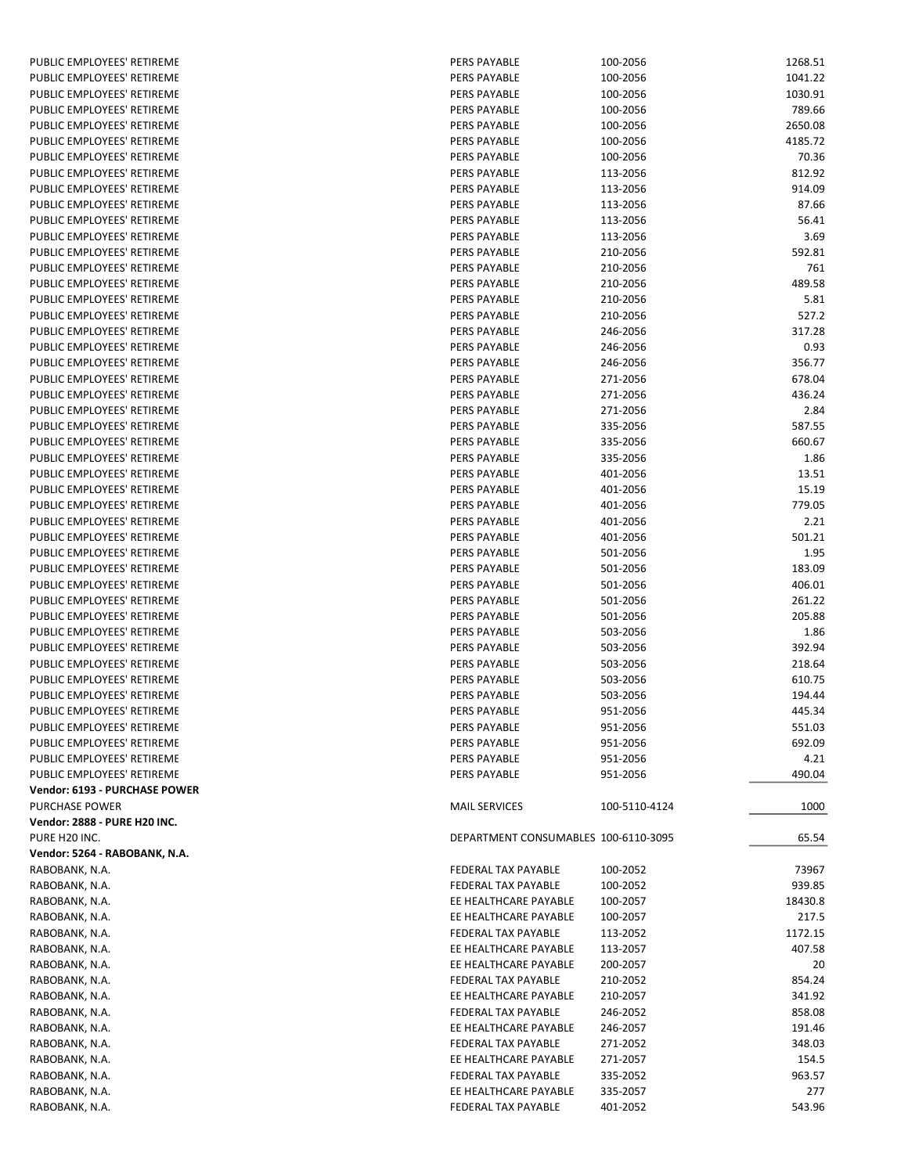| PUBLIC EMPLOYEES' RETIREME    | PERS PAYABLE                         | 100-2056      | 1268.51 |
|-------------------------------|--------------------------------------|---------------|---------|
| PUBLIC EMPLOYEES' RETIREME    | <b>PERS PAYABLE</b>                  | 100-2056      | 1041.22 |
| PUBLIC EMPLOYEES' RETIREME    | <b>PERS PAYABLE</b>                  | 100-2056      | 1030.91 |
| PUBLIC EMPLOYEES' RETIREME    | PERS PAYABLE                         | 100-2056      | 789.66  |
| PUBLIC EMPLOYEES' RETIREME    | <b>PERS PAYABLE</b>                  | 100-2056      | 2650.08 |
| PUBLIC EMPLOYEES' RETIREME    | <b>PERS PAYABLE</b>                  | 100-2056      | 4185.72 |
| PUBLIC EMPLOYEES' RETIREME    | <b>PERS PAYABLE</b>                  | 100-2056      | 70.36   |
| PUBLIC EMPLOYEES' RETIREME    | PERS PAYABLE                         | 113-2056      | 812.92  |
| PUBLIC EMPLOYEES' RETIREME    | <b>PERS PAYABLE</b>                  | 113-2056      | 914.09  |
| PUBLIC EMPLOYEES' RETIREME    | PERS PAYABLE                         | 113-2056      | 87.66   |
| PUBLIC EMPLOYEES' RETIREME    | PERS PAYABLE                         | 113-2056      | 56.41   |
| PUBLIC EMPLOYEES' RETIREME    | <b>PERS PAYABLE</b>                  | 113-2056      | 3.69    |
| PUBLIC EMPLOYEES' RETIREME    | PERS PAYABLE                         | 210-2056      | 592.81  |
| PUBLIC EMPLOYEES' RETIREME    | PERS PAYABLE                         | 210-2056      | 761     |
| PUBLIC EMPLOYEES' RETIREME    | <b>PERS PAYABLE</b>                  | 210-2056      | 489.58  |
| PUBLIC EMPLOYEES' RETIREME    | <b>PERS PAYABLE</b>                  | 210-2056      | 5.81    |
| PUBLIC EMPLOYEES' RETIREME    | PERS PAYABLE                         | 210-2056      | 527.2   |
| PUBLIC EMPLOYEES' RETIREME    | PERS PAYABLE                         | 246-2056      | 317.28  |
| PUBLIC EMPLOYEES' RETIREME    | <b>PERS PAYABLE</b>                  | 246-2056      | 0.93    |
| PUBLIC EMPLOYEES' RETIREME    | PERS PAYABLE                         | 246-2056      | 356.77  |
| PUBLIC EMPLOYEES' RETIREME    | <b>PERS PAYABLE</b>                  | 271-2056      | 678.04  |
| PUBLIC EMPLOYEES' RETIREME    | PERS PAYABLE                         | 271-2056      | 436.24  |
| PUBLIC EMPLOYEES' RETIREME    | <b>PERS PAYABLE</b>                  | 271-2056      | 2.84    |
| PUBLIC EMPLOYEES' RETIREME    | <b>PERS PAYABLE</b>                  | 335-2056      | 587.55  |
| PUBLIC EMPLOYEES' RETIREME    | <b>PERS PAYABLE</b>                  | 335-2056      | 660.67  |
| PUBLIC EMPLOYEES' RETIREME    | PERS PAYABLE                         | 335-2056      | 1.86    |
| PUBLIC EMPLOYEES' RETIREME    | <b>PERS PAYABLE</b>                  | 401-2056      | 13.51   |
| PUBLIC EMPLOYEES' RETIREME    | <b>PERS PAYABLE</b>                  | 401-2056      | 15.19   |
| PUBLIC EMPLOYEES' RETIREME    | PERS PAYABLE                         | 401-2056      | 779.05  |
| PUBLIC EMPLOYEES' RETIREME    | <b>PERS PAYABLE</b>                  | 401-2056      | 2.21    |
| PUBLIC EMPLOYEES' RETIREME    | PERS PAYABLE                         | 401-2056      | 501.21  |
| PUBLIC EMPLOYEES' RETIREME    | <b>PERS PAYABLE</b>                  | 501-2056      | 1.95    |
| PUBLIC EMPLOYEES' RETIREME    | <b>PERS PAYABLE</b>                  | 501-2056      | 183.09  |
| PUBLIC EMPLOYEES' RETIREME    | <b>PERS PAYABLE</b>                  | 501-2056      | 406.01  |
| PUBLIC EMPLOYEES' RETIREME    | PERS PAYABLE                         | 501-2056      | 261.22  |
| PUBLIC EMPLOYEES' RETIREME    | PERS PAYABLE                         | 501-2056      | 205.88  |
| PUBLIC EMPLOYEES' RETIREME    | <b>PERS PAYABLE</b>                  | 503-2056      | 1.86    |
| PUBLIC EMPLOYEES' RETIREME    | <b>PERS PAYABLE</b>                  | 503-2056      | 392.94  |
| PUBLIC EMPLOYEES' RETIREME    | <b>PERS PAYABLE</b>                  | 503-2056      | 218.64  |
| PUBLIC EMPLOYEES' RETIREME    | PERS PAYABLE                         | 503-2056      | 610.75  |
| PUBLIC EMPLOYEES' RETIREME    | PERS PAYABLE                         | 503-2056      | 194.44  |
| PUBLIC EMPLOYEES' RETIREME    | <b>PERS PAYABLE</b>                  | 951-2056      | 445.34  |
| PUBLIC EMPLOYEES' RETIREME    | PERS PAYABLE                         | 951-2056      | 551.03  |
| PUBLIC EMPLOYEES' RETIREME    | PERS PAYABLE                         | 951-2056      | 692.09  |
| PUBLIC EMPLOYEES' RETIREME    | PERS PAYABLE                         | 951-2056      | 4.21    |
| PUBLIC EMPLOYEES' RETIREME    | PERS PAYABLE                         | 951-2056      | 490.04  |
| Vendor: 6193 - PURCHASE POWER |                                      |               |         |
| PURCHASE POWER                | <b>MAIL SERVICES</b>                 | 100-5110-4124 | 1000    |
| Vendor: 2888 - PURE H20 INC.  |                                      |               |         |
| PURE H20 INC.                 | DEPARTMENT CONSUMABLES 100-6110-3095 |               | 65.54   |
| Vendor: 5264 - RABOBANK, N.A. |                                      |               |         |
| RABOBANK, N.A.                | FEDERAL TAX PAYABLE                  | 100-2052      | 73967   |
| RABOBANK, N.A.                | FEDERAL TAX PAYABLE                  | 100-2052      | 939.85  |
| RABOBANK, N.A.                | EE HEALTHCARE PAYABLE                | 100-2057      | 18430.8 |
| RABOBANK, N.A.                | EE HEALTHCARE PAYABLE                | 100-2057      | 217.5   |
| RABOBANK, N.A.                | FEDERAL TAX PAYABLE                  | 113-2052      | 1172.15 |
| RABOBANK, N.A.                | EE HEALTHCARE PAYABLE                | 113-2057      | 407.58  |
| RABOBANK, N.A.                | EE HEALTHCARE PAYABLE                | 200-2057      | 20      |
| RABOBANK, N.A.                | FEDERAL TAX PAYABLE                  | 210-2052      | 854.24  |
| RABOBANK, N.A.                | EE HEALTHCARE PAYABLE                | 210-2057      | 341.92  |
| RABOBANK, N.A.                | FEDERAL TAX PAYABLE                  | 246-2052      | 858.08  |
| RABOBANK, N.A.                | EE HEALTHCARE PAYABLE                | 246-2057      | 191.46  |
| RABOBANK, N.A.                | FEDERAL TAX PAYABLE                  | 271-2052      | 348.03  |
| RABOBANK, N.A.                | EE HEALTHCARE PAYABLE                | 271-2057      | 154.5   |
| RABOBANK, N.A.                | FEDERAL TAX PAYABLE                  | 335-2052      | 963.57  |
| RABOBANK, N.A.                | EE HEALTHCARE PAYABLE                | 335-2057      | 277     |
| RABOBANK, N.A.                | FEDERAL TAX PAYABLE                  | 401-2052      | 543.96  |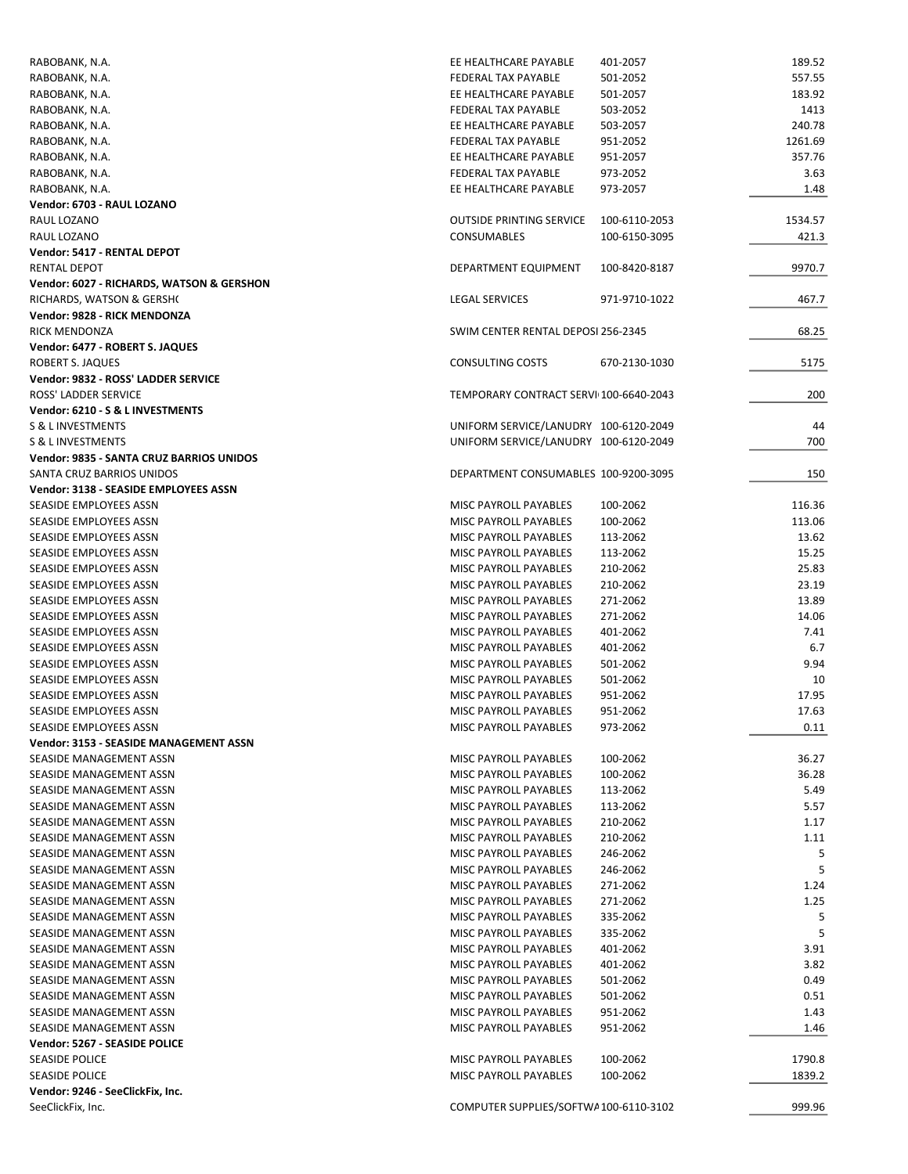| RABOBANK, N.A.                                   | EE HEALTHCARE PAYABLE                          | 401-2057             | 189.52      |
|--------------------------------------------------|------------------------------------------------|----------------------|-------------|
| RABOBANK, N.A.                                   | FEDERAL TAX PAYABLE                            | 501-2052             | 557.55      |
| RABOBANK, N.A.                                   | EE HEALTHCARE PAYABLE                          | 501-2057             | 183.92      |
| RABOBANK, N.A.                                   | FEDERAL TAX PAYABLE                            | 503-2052             | 1413        |
| RABOBANK, N.A.                                   | EE HEALTHCARE PAYABLE                          | 503-2057             | 240.78      |
| RABOBANK, N.A.                                   | FEDERAL TAX PAYABLE                            | 951-2052             | 1261.69     |
| RABOBANK, N.A.                                   | EE HEALTHCARE PAYABLE                          | 951-2057             | 357.76      |
| RABOBANK, N.A.                                   | FEDERAL TAX PAYABLE                            | 973-2052             | 3.63        |
| RABOBANK, N.A.                                   | EE HEALTHCARE PAYABLE                          | 973-2057             | 1.48        |
| Vendor: 6703 - RAUL LOZANO                       |                                                |                      |             |
| RAUL LOZANO                                      | <b>OUTSIDE PRINTING SERVICE</b>                | 100-6110-2053        | 1534.57     |
| RAUL LOZANO                                      | CONSUMABLES                                    | 100-6150-3095        | 421.3       |
| Vendor: 5417 - RENTAL DEPOT                      |                                                |                      |             |
| <b>RENTAL DEPOT</b>                              | DEPARTMENT EQUIPMENT                           | 100-8420-8187        | 9970.7      |
| Vendor: 6027 - RICHARDS, WATSON & GERSHON        |                                                |                      |             |
| RICHARDS, WATSON & GERSHO                        | LEGAL SERVICES                                 | 971-9710-1022        | 467.7       |
| Vendor: 9828 - RICK MENDONZA                     |                                                |                      |             |
| RICK MENDONZA                                    | SWIM CENTER RENTAL DEPOSI 256-2345             |                      | 68.25       |
| Vendor: 6477 - ROBERT S. JAQUES                  |                                                |                      |             |
| ROBERT S. JAQUES                                 | <b>CONSULTING COSTS</b>                        | 670-2130-1030        | 5175        |
| Vendor: 9832 - ROSS' LADDER SERVICE              |                                                |                      |             |
| ROSS' LADDER SERVICE                             | TEMPORARY CONTRACT SERVI 100-6640-2043         |                      | 200         |
| Vendor: 6210 - S & L INVESTMENTS                 |                                                |                      |             |
| <b>S &amp; L INVESTMENTS</b>                     | UNIFORM SERVICE/LANUDRY 100-6120-2049          |                      | 44          |
| S & L INVESTMENTS                                | UNIFORM SERVICE/LANUDRY 100-6120-2049          |                      | 700         |
| Vendor: 9835 - SANTA CRUZ BARRIOS UNIDOS         |                                                |                      |             |
| SANTA CRUZ BARRIOS UNIDOS                        | DEPARTMENT CONSUMABLES 100-9200-3095           |                      | 150         |
| Vendor: 3138 - SEASIDE EMPLOYEES ASSN            |                                                |                      |             |
| SEASIDE EMPLOYEES ASSN                           | MISC PAYROLL PAYABLES                          | 100-2062             | 116.36      |
| SEASIDE EMPLOYEES ASSN                           | MISC PAYROLL PAYABLES                          | 100-2062             | 113.06      |
| SEASIDE EMPLOYEES ASSN                           | MISC PAYROLL PAYABLES                          | 113-2062             | 13.62       |
| SEASIDE EMPLOYEES ASSN                           | MISC PAYROLL PAYABLES                          | 113-2062             | 15.25       |
| SEASIDE EMPLOYEES ASSN                           | MISC PAYROLL PAYABLES                          | 210-2062             | 25.83       |
| SEASIDE EMPLOYEES ASSN                           | MISC PAYROLL PAYABLES                          | 210-2062             | 23.19       |
| SEASIDE EMPLOYEES ASSN                           | MISC PAYROLL PAYABLES                          | 271-2062             | 13.89       |
| SEASIDE EMPLOYEES ASSN                           | MISC PAYROLL PAYABLES                          | 271-2062             | 14.06       |
| SEASIDE EMPLOYEES ASSN                           | MISC PAYROLL PAYABLES                          | 401-2062             | 7.41        |
| SEASIDE EMPLOYEES ASSN                           | MISC PAYROLL PAYABLES<br>MISC PAYROLL PAYABLES | 401-2062             | 6.7<br>9.94 |
| SEASIDE EMPLOYEES ASSN<br>SEASIDE EMPLOYEES ASSN | MISC PAYROLL PAYABLES                          | 501-2062<br>501-2062 | 10          |
| SEASIDE EMPLOYEES ASSN                           | MISC PAYROLL PAYABLES                          | 951-2062             | 17.95       |
| SEASIDE EMPLOYEES ASSN                           | MISC PAYROLL PAYABLES                          | 951-2062             | 17.63       |
| SEASIDE EMPLOYEES ASSN                           | MISC PAYROLL PAYABLES                          | 973-2062             | 0.11        |
| Vendor: 3153 - SEASIDE MANAGEMENT ASSN           |                                                |                      |             |
| SEASIDE MANAGEMENT ASSN                          | MISC PAYROLL PAYABLES                          | 100-2062             | 36.27       |
| SEASIDE MANAGEMENT ASSN                          | MISC PAYROLL PAYABLES                          | 100-2062             | 36.28       |
| SEASIDE MANAGEMENT ASSN                          | MISC PAYROLL PAYABLES                          | 113-2062             | 5.49        |
| SEASIDE MANAGEMENT ASSN                          | <b>MISC PAYROLL PAYABLES</b>                   | 113-2062             | 5.57        |
| SEASIDE MANAGEMENT ASSN                          | MISC PAYROLL PAYABLES                          | 210-2062             | 1.17        |
| SEASIDE MANAGEMENT ASSN                          | <b>MISC PAYROLL PAYABLES</b>                   | 210-2062             | 1.11        |
| SEASIDE MANAGEMENT ASSN                          | MISC PAYROLL PAYABLES                          | 246-2062             | 5           |
| SEASIDE MANAGEMENT ASSN                          | MISC PAYROLL PAYABLES                          | 246-2062             | 5           |
| SEASIDE MANAGEMENT ASSN                          | MISC PAYROLL PAYABLES                          | 271-2062             | 1.24        |
| SEASIDE MANAGEMENT ASSN                          | MISC PAYROLL PAYABLES                          | 271-2062             | 1.25        |
| SEASIDE MANAGEMENT ASSN                          | MISC PAYROLL PAYABLES                          | 335-2062             | 5           |
| SEASIDE MANAGEMENT ASSN                          | MISC PAYROLL PAYABLES                          | 335-2062             | 5           |
| SEASIDE MANAGEMENT ASSN                          | MISC PAYROLL PAYABLES                          | 401-2062             | 3.91        |
| SEASIDE MANAGEMENT ASSN                          | MISC PAYROLL PAYABLES                          | 401-2062             | 3.82        |
| SEASIDE MANAGEMENT ASSN                          | MISC PAYROLL PAYABLES                          | 501-2062             | 0.49        |
| SEASIDE MANAGEMENT ASSN                          | MISC PAYROLL PAYABLES                          | 501-2062             | 0.51        |
| SEASIDE MANAGEMENT ASSN                          | MISC PAYROLL PAYABLES                          | 951-2062             | 1.43        |
| SEASIDE MANAGEMENT ASSN                          | MISC PAYROLL PAYABLES                          | 951-2062             | 1.46        |
| Vendor: 5267 - SEASIDE POLICE                    |                                                |                      |             |
| <b>SEASIDE POLICE</b>                            | MISC PAYROLL PAYABLES                          | 100-2062             | 1790.8      |
| <b>SEASIDE POLICE</b>                            | MISC PAYROLL PAYABLES                          | 100-2062             | 1839.2      |
| Vendor: 9246 - SeeClickFix, Inc.                 |                                                |                      |             |
| SeeClickFix, Inc.                                | COMPUTER SUPPLIES/SOFTWA100-6110-3102          |                      | 999.96      |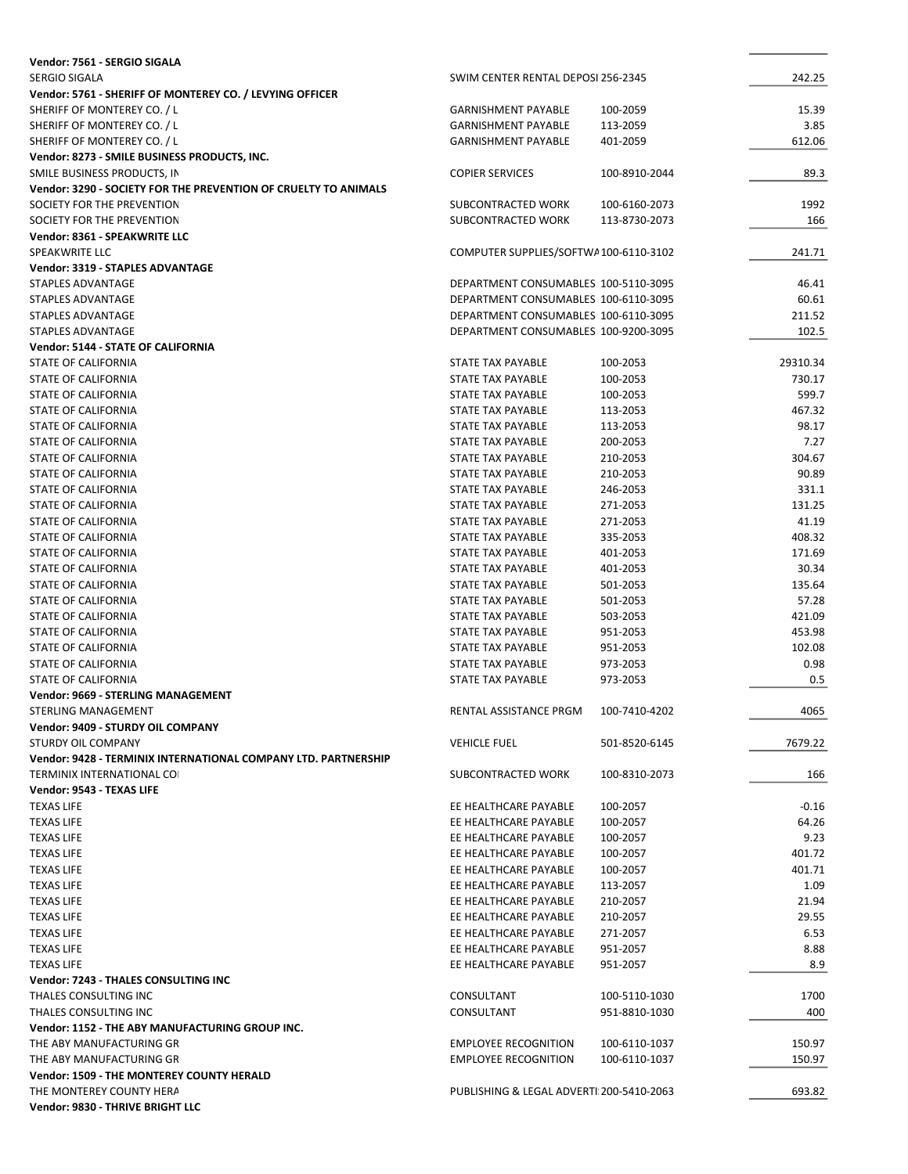| Vendor: 7561 - SERGIO SIGALA                                    |                                          |               |          |
|-----------------------------------------------------------------|------------------------------------------|---------------|----------|
| <b>SERGIO SIGALA</b>                                            | SWIM CENTER RENTAL DEPOSI 256-2345       |               | 242.25   |
| Vendor: 5761 - SHERIFF OF MONTEREY CO. / LEVYING OFFICER        |                                          |               |          |
| SHERIFF OF MONTEREY CO. / L                                     | <b>GARNISHMENT PAYABLE</b>               | 100-2059      | 15.39    |
| SHERIFF OF MONTEREY CO. / L                                     | <b>GARNISHMENT PAYABLE</b>               | 113-2059      | 3.85     |
| SHERIFF OF MONTEREY CO. / L                                     | <b>GARNISHMENT PAYABLE</b>               | 401-2059      | 612.06   |
| Vendor: 8273 - SMILE BUSINESS PRODUCTS, INC.                    |                                          |               |          |
|                                                                 |                                          |               |          |
| SMILE BUSINESS PRODUCTS, IN                                     | <b>COPIER SERVICES</b>                   | 100-8910-2044 | 89.3     |
| Vendor: 3290 - SOCIETY FOR THE PREVENTION OF CRUELTY TO ANIMALS |                                          |               |          |
| SOCIETY FOR THE PREVENTION                                      | SUBCONTRACTED WORK                       | 100-6160-2073 | 1992     |
| SOCIETY FOR THE PREVENTION                                      | SUBCONTRACTED WORK                       | 113-8730-2073 | 166      |
| Vendor: 8361 - SPEAKWRITE LLC                                   |                                          |               |          |
| SPEAKWRITE LLC                                                  | COMPUTER SUPPLIES/SOFTWA100-6110-3102    |               | 241.71   |
| <b>Vendor: 3319 - STAPLES ADVANTAGE</b>                         |                                          |               |          |
| STAPLES ADVANTAGE                                               | DEPARTMENT CONSUMABLES 100-5110-3095     |               | 46.41    |
| STAPLES ADVANTAGE                                               | DEPARTMENT CONSUMABLES 100-6110-3095     |               | 60.61    |
| STAPLES ADVANTAGE                                               | DEPARTMENT CONSUMABLES 100-6110-3095     |               | 211.52   |
| STAPLES ADVANTAGE                                               | DEPARTMENT CONSUMABLES 100-9200-3095     |               | 102.5    |
| <b>Vendor: 5144 - STATE OF CALIFORNIA</b>                       |                                          |               |          |
|                                                                 |                                          |               |          |
| STATE OF CALIFORNIA                                             | STATE TAX PAYABLE                        | 100-2053      | 29310.34 |
| STATE OF CALIFORNIA                                             | STATE TAX PAYABLE                        | 100-2053      | 730.17   |
| STATE OF CALIFORNIA                                             | STATE TAX PAYABLE                        | 100-2053      | 599.7    |
| STATE OF CALIFORNIA                                             | STATE TAX PAYABLE                        | 113-2053      | 467.32   |
| <b>STATE OF CALIFORNIA</b>                                      | STATE TAX PAYABLE                        | 113-2053      | 98.17    |
| <b>STATE OF CALIFORNIA</b>                                      | STATE TAX PAYABLE                        | 200-2053      | 7.27     |
| STATE OF CALIFORNIA                                             | STATE TAX PAYABLE                        | 210-2053      | 304.67   |
| STATE OF CALIFORNIA                                             | STATE TAX PAYABLE                        | 210-2053      | 90.89    |
| STATE OF CALIFORNIA                                             | STATE TAX PAYABLE                        | 246-2053      | 331.1    |
| STATE OF CALIFORNIA                                             | STATE TAX PAYABLE                        | 271-2053      | 131.25   |
| STATE OF CALIFORNIA                                             | STATE TAX PAYABLE                        | 271-2053      | 41.19    |
|                                                                 |                                          |               |          |
| STATE OF CALIFORNIA                                             | STATE TAX PAYABLE                        | 335-2053      | 408.32   |
| STATE OF CALIFORNIA                                             | STATE TAX PAYABLE                        | 401-2053      | 171.69   |
| STATE OF CALIFORNIA                                             | STATE TAX PAYABLE                        | 401-2053      | 30.34    |
| STATE OF CALIFORNIA                                             | STATE TAX PAYABLE                        | 501-2053      | 135.64   |
| STATE OF CALIFORNIA                                             | STATE TAX PAYABLE                        | 501-2053      | 57.28    |
| STATE OF CALIFORNIA                                             | STATE TAX PAYABLE                        | 503-2053      | 421.09   |
| STATE OF CALIFORNIA                                             | STATE TAX PAYABLE                        | 951-2053      | 453.98   |
| STATE OF CALIFORNIA                                             | STATE TAX PAYABLE                        | 951-2053      | 102.08   |
| STATE OF CALIFORNIA                                             | STATE TAX PAYABLE                        | 973-2053      | 0.98     |
| <b>STATE OF CALIFORNIA</b>                                      | <b>STATE TAX PAYABLE</b>                 | 973-2053      | 0.5      |
| <b>Vendor: 9669 - STERLING MANAGEMENT</b>                       |                                          |               |          |
|                                                                 | RENTAL ASSISTANCE PRGM                   |               |          |
| <b>STERLING MANAGEMENT</b>                                      |                                          | 100-7410-4202 | 4065     |
| Vendor: 9409 - STURDY OIL COMPANY                               |                                          |               |          |
| STURDY OIL COMPANY                                              | <b>VEHICLE FUEL</b>                      | 501-8520-6145 | 7679.22  |
| Vendor: 9428 - TERMINIX INTERNATIONAL COMPANY LTD. PARTNERSHIP  |                                          |               |          |
| <b>TERMINIX INTERNATIONAL COI</b>                               | SUBCONTRACTED WORK                       | 100-8310-2073 | 166      |
| Vendor: 9543 - TEXAS LIFE                                       |                                          |               |          |
| <b>TEXAS LIFE</b>                                               | EE HEALTHCARE PAYABLE                    | 100-2057      | $-0.16$  |
| <b>TEXAS LIFE</b>                                               | EE HEALTHCARE PAYABLE                    | 100-2057      | 64.26    |
| <b>TEXAS LIFE</b>                                               | EE HEALTHCARE PAYABLE                    | 100-2057      | 9.23     |
| <b>TEXAS LIFE</b>                                               | EE HEALTHCARE PAYABLE                    | 100-2057      | 401.72   |
| <b>TEXAS LIFE</b>                                               | EE HEALTHCARE PAYABLE                    | 100-2057      | 401.71   |
|                                                                 | EE HEALTHCARE PAYABLE                    |               |          |
| <b>TEXAS LIFE</b>                                               |                                          | 113-2057      | 1.09     |
| <b>TEXAS LIFE</b>                                               | EE HEALTHCARE PAYABLE                    | 210-2057      | 21.94    |
| <b>TEXAS LIFE</b>                                               | EE HEALTHCARE PAYABLE                    | 210-2057      | 29.55    |
| <b>TEXAS LIFE</b>                                               | EE HEALTHCARE PAYABLE                    | 271-2057      | 6.53     |
| <b>TEXAS LIFE</b>                                               | EE HEALTHCARE PAYABLE                    | 951-2057      | 8.88     |
| <b>TEXAS LIFE</b>                                               | EE HEALTHCARE PAYABLE                    | 951-2057      | 8.9      |
| <b>Vendor: 7243 - THALES CONSULTING INC</b>                     |                                          |               |          |
| THALES CONSULTING INC                                           | CONSULTANT                               | 100-5110-1030 | 1700     |
| THALES CONSULTING INC                                           | CONSULTANT                               | 951-8810-1030 | 400      |
| Vendor: 1152 - THE ABY MANUFACTURING GROUP INC.                 |                                          |               |          |
| THE ABY MANUFACTURING GR                                        | <b>EMPLOYEE RECOGNITION</b>              | 100-6110-1037 | 150.97   |
|                                                                 |                                          |               |          |
| THE ABY MANUFACTURING GR                                        | <b>EMPLOYEE RECOGNITION</b>              | 100-6110-1037 | 150.97   |
| <b>Vendor: 1509 - THE MONTEREY COUNTY HERALD</b>                |                                          |               |          |
| THE MONTEREY COUNTY HERA                                        | PUBLISHING & LEGAL ADVERTI 200-5410-2063 |               | 693.82   |
| Vendor: 9830 - THRIVE BRIGHT LLC                                |                                          |               |          |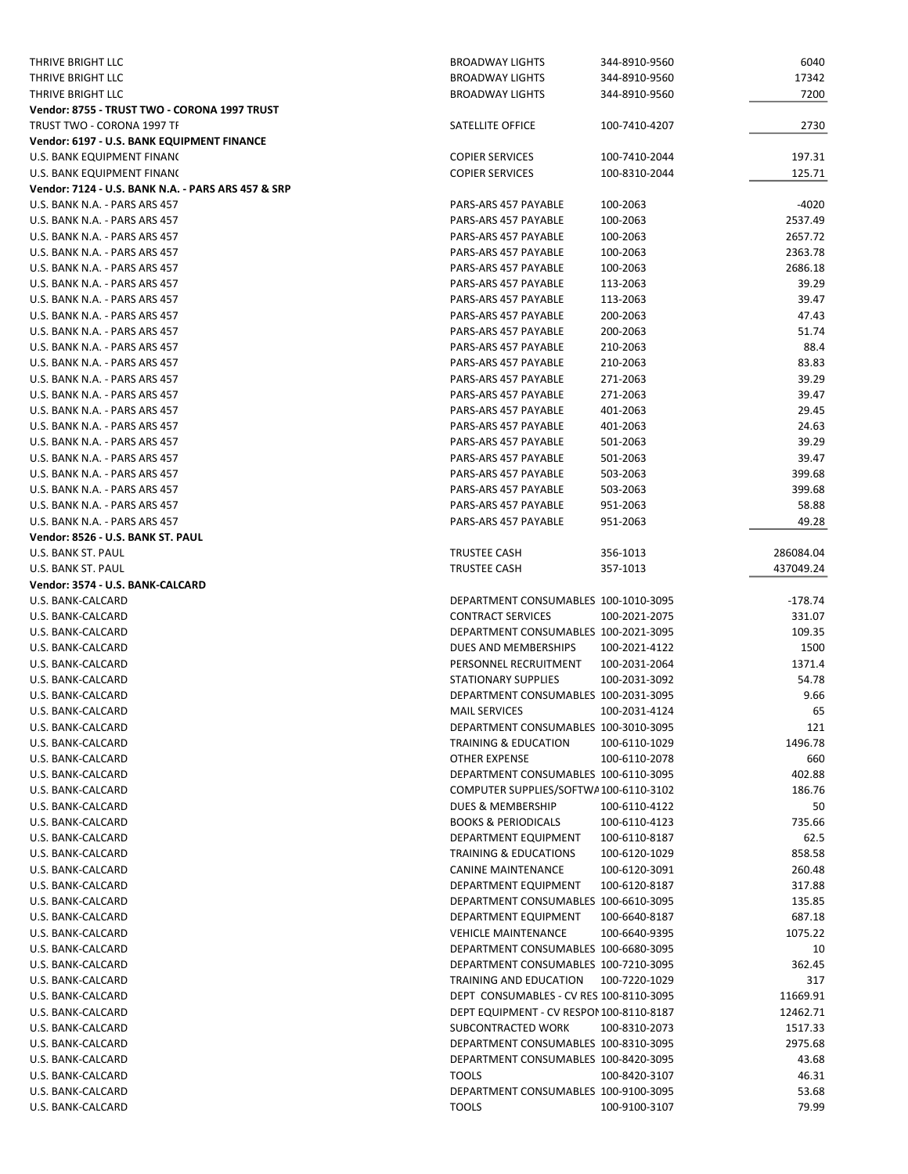| THRIVE BRIGHT LLC                                  | <b>BROADWAY LIGHTS</b>                   | 344-8910-9560 | 6040      |
|----------------------------------------------------|------------------------------------------|---------------|-----------|
| THRIVE BRIGHT LLC                                  | <b>BROADWAY LIGHTS</b>                   | 344-8910-9560 | 17342     |
| <b>THRIVE BRIGHT LLC</b>                           | <b>BROADWAY LIGHTS</b>                   | 344-8910-9560 | 7200      |
| Vendor: 8755 - TRUST TWO - CORONA 1997 TRUST       |                                          |               |           |
| TRUST TWO - CORONA 1997 TF                         | SATELLITE OFFICE                         | 100-7410-4207 | 2730      |
| Vendor: 6197 - U.S. BANK EQUIPMENT FINANCE         |                                          |               |           |
| U.S. BANK EQUIPMENT FINANC                         | <b>COPIER SERVICES</b>                   | 100-7410-2044 | 197.31    |
| U.S. BANK EQUIPMENT FINANC                         | <b>COPIER SERVICES</b>                   | 100-8310-2044 | 125.71    |
| Vendor: 7124 - U.S. BANK N.A. - PARS ARS 457 & SRP |                                          |               |           |
| U.S. BANK N.A. - PARS ARS 457                      | PARS-ARS 457 PAYABLE                     | 100-2063      | $-4020$   |
| U.S. BANK N.A. - PARS ARS 457                      | PARS-ARS 457 PAYABLE                     | 100-2063      | 2537.49   |
| U.S. BANK N.A. - PARS ARS 457                      | PARS-ARS 457 PAYABLE                     | 100-2063      | 2657.72   |
| U.S. BANK N.A. - PARS ARS 457                      | PARS-ARS 457 PAYABLE                     | 100-2063      | 2363.78   |
| U.S. BANK N.A. - PARS ARS 457                      | PARS-ARS 457 PAYABLE                     | 100-2063      | 2686.18   |
| U.S. BANK N.A. - PARS ARS 457                      | PARS-ARS 457 PAYABLE                     | 113-2063      | 39.29     |
| U.S. BANK N.A. - PARS ARS 457                      | PARS-ARS 457 PAYABLE                     | 113-2063      | 39.47     |
| U.S. BANK N.A. - PARS ARS 457                      | PARS-ARS 457 PAYABLE                     | 200-2063      | 47.43     |
|                                                    |                                          |               |           |
| U.S. BANK N.A. - PARS ARS 457                      | PARS-ARS 457 PAYABLE                     | 200-2063      | 51.74     |
| U.S. BANK N.A. - PARS ARS 457                      | PARS-ARS 457 PAYABLE                     | 210-2063      | 88.4      |
| U.S. BANK N.A. - PARS ARS 457                      | PARS-ARS 457 PAYABLE                     | 210-2063      | 83.83     |
| U.S. BANK N.A. - PARS ARS 457                      | PARS-ARS 457 PAYABLE                     | 271-2063      | 39.29     |
| U.S. BANK N.A. - PARS ARS 457                      | PARS-ARS 457 PAYABLE                     | 271-2063      | 39.47     |
| U.S. BANK N.A. - PARS ARS 457                      | PARS-ARS 457 PAYABLE                     | 401-2063      | 29.45     |
| U.S. BANK N.A. - PARS ARS 457                      | PARS-ARS 457 PAYABLE                     | 401-2063      | 24.63     |
| U.S. BANK N.A. - PARS ARS 457                      | PARS-ARS 457 PAYABLE                     | 501-2063      | 39.29     |
| U.S. BANK N.A. - PARS ARS 457                      | PARS-ARS 457 PAYABLE                     | 501-2063      | 39.47     |
| U.S. BANK N.A. - PARS ARS 457                      | PARS-ARS 457 PAYABLE                     | 503-2063      | 399.68    |
| U.S. BANK N.A. - PARS ARS 457                      | PARS-ARS 457 PAYABLE                     | 503-2063      | 399.68    |
| U.S. BANK N.A. - PARS ARS 457                      | PARS-ARS 457 PAYABLE                     | 951-2063      | 58.88     |
| U.S. BANK N.A. - PARS ARS 457                      | PARS-ARS 457 PAYABLE                     | 951-2063      | 49.28     |
| Vendor: 8526 - U.S. BANK ST. PAUL                  |                                          |               |           |
| U.S. BANK ST. PAUL                                 | TRUSTEE CASH                             | 356-1013      | 286084.04 |
| U.S. BANK ST. PAUL                                 | TRUSTEE CASH                             | 357-1013      | 437049.24 |
|                                                    |                                          |               |           |
| Vendor: 3574 - U.S. BANK-CALCARD                   |                                          |               |           |
| U.S. BANK-CALCARD                                  | DEPARTMENT CONSUMABLES 100-1010-3095     |               | $-178.74$ |
|                                                    |                                          |               |           |
| U.S. BANK-CALCARD                                  | <b>CONTRACT SERVICES</b>                 | 100-2021-2075 | 331.07    |
| U.S. BANK-CALCARD                                  | DEPARTMENT CONSUMABLES 100-2021-3095     |               | 109.35    |
| U.S. BANK-CALCARD                                  | DUES AND MEMBERSHIPS                     | 100-2021-4122 | 1500      |
| U.S. BANK-CALCARD                                  | PERSONNEL RECRUITMENT                    | 100-2031-2064 | 1371.4    |
| U.S. BANK-CALCARD                                  | <b>STATIONARY SUPPLIES</b>               | 100-2031-3092 | 54.78     |
| U.S. BANK-CALCARD                                  | DEPARTMENT CONSUMABLES 100-2031-3095     |               | 9.66      |
| U.S. BANK-CALCARD                                  | <b>MAIL SERVICES</b>                     | 100-2031-4124 | 65        |
| U.S. BANK-CALCARD                                  | DEPARTMENT CONSUMABLES 100-3010-3095     |               | 121       |
| U.S. BANK-CALCARD                                  | <b>TRAINING &amp; EDUCATION</b>          | 100-6110-1029 | 1496.78   |
| U.S. BANK-CALCARD                                  | OTHER EXPENSE                            | 100-6110-2078 | 660       |
| U.S. BANK-CALCARD                                  | DEPARTMENT CONSUMABLES 100-6110-3095     |               | 402.88    |
| U.S. BANK-CALCARD                                  | COMPUTER SUPPLIES/SOFTWA100-6110-3102    |               | 186.76    |
| U.S. BANK-CALCARD                                  | <b>DUES &amp; MEMBERSHIP</b>             | 100-6110-4122 | 50        |
| U.S. BANK-CALCARD                                  | <b>BOOKS &amp; PERIODICALS</b>           | 100-6110-4123 | 735.66    |
| U.S. BANK-CALCARD                                  | DEPARTMENT EQUIPMENT                     | 100-6110-8187 | 62.5      |
| U.S. BANK-CALCARD                                  | <b>TRAINING &amp; EDUCATIONS</b>         | 100-6120-1029 | 858.58    |
| U.S. BANK-CALCARD                                  | <b>CANINE MAINTENANCE</b>                | 100-6120-3091 | 260.48    |
| U.S. BANK-CALCARD                                  | DEPARTMENT EQUIPMENT                     | 100-6120-8187 | 317.88    |
| U.S. BANK-CALCARD                                  | DEPARTMENT CONSUMABLES 100-6610-3095     |               | 135.85    |
| U.S. BANK-CALCARD                                  | DEPARTMENT EQUIPMENT                     | 100-6640-8187 | 687.18    |
| U.S. BANK-CALCARD                                  | <b>VEHICLE MAINTENANCE</b>               | 100-6640-9395 | 1075.22   |
| U.S. BANK-CALCARD                                  | DEPARTMENT CONSUMABLES 100-6680-3095     |               | 10        |
| U.S. BANK-CALCARD                                  | DEPARTMENT CONSUMABLES 100-7210-3095     |               | 362.45    |
| U.S. BANK-CALCARD                                  | TRAINING AND EDUCATION                   | 100-7220-1029 | 317       |
| U.S. BANK-CALCARD                                  | DEPT CONSUMABLES - CV RES 100-8110-3095  |               | 11669.91  |
| U.S. BANK-CALCARD                                  | DEPT EQUIPMENT - CV RESPON 100-8110-8187 |               | 12462.71  |
| U.S. BANK-CALCARD                                  | SUBCONTRACTED WORK                       | 100-8310-2073 | 1517.33   |
| U.S. BANK-CALCARD                                  | DEPARTMENT CONSUMABLES 100-8310-3095     |               | 2975.68   |
| U.S. BANK-CALCARD                                  | DEPARTMENT CONSUMABLES 100-8420-3095     |               | 43.68     |
| U.S. BANK-CALCARD                                  | <b>TOOLS</b>                             | 100-8420-3107 | 46.31     |
| U.S. BANK-CALCARD                                  | DEPARTMENT CONSUMABLES 100-9100-3095     |               | 53.68     |
| U.S. BANK-CALCARD                                  | <b>TOOLS</b>                             | 100-9100-3107 | 79.99     |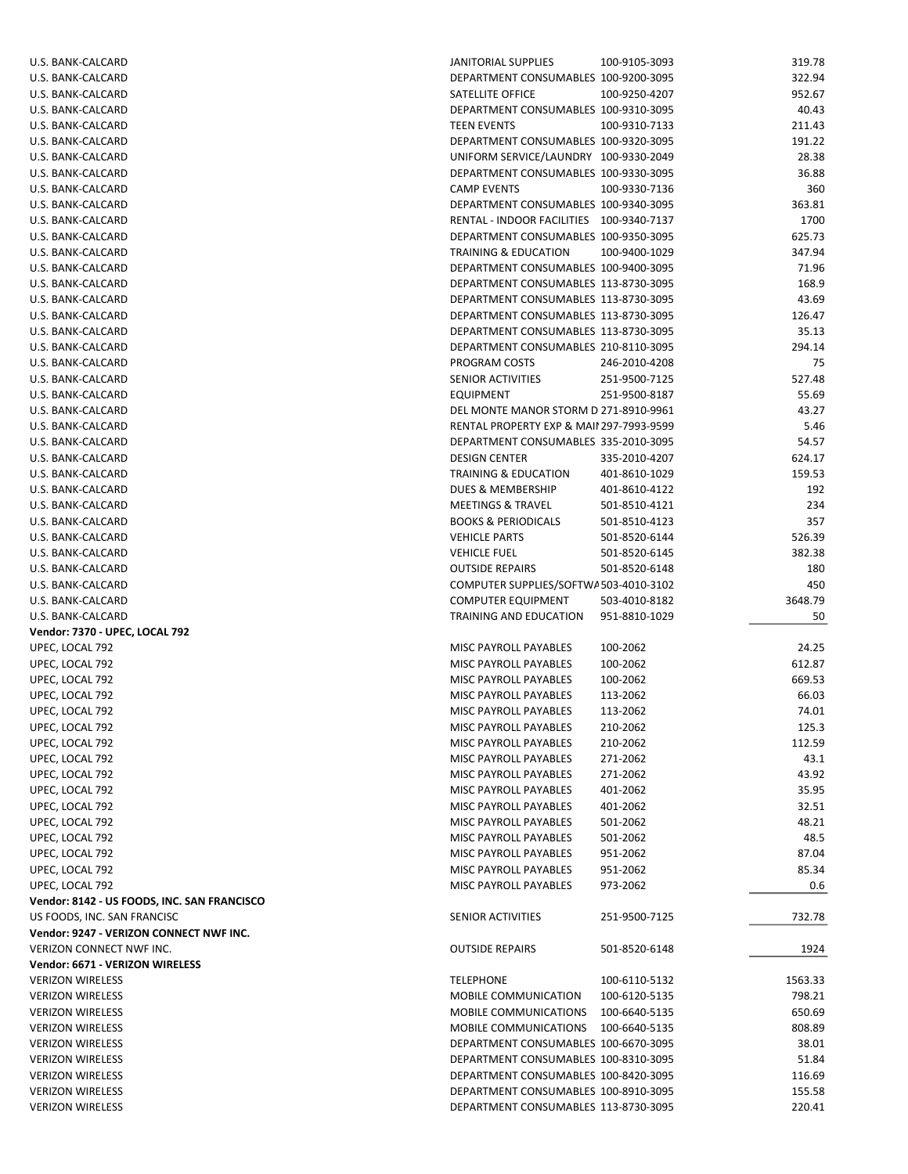| U.S. BANK-CALCARD                                  | <b>JANITORIAL SUPPLIES</b>                                                   | 100-9105-3093        | 319.78           |
|----------------------------------------------------|------------------------------------------------------------------------------|----------------------|------------------|
| U.S. BANK-CALCARD                                  | DEPARTMENT CONSUMABLES 100-9200-3095                                         |                      | 322.94           |
| U.S. BANK-CALCARD                                  | SATELLITE OFFICE                                                             | 100-9250-4207        | 952.67           |
| U.S. BANK-CALCARD                                  | DEPARTMENT CONSUMABLES 100-9310-3095                                         |                      | 40.43            |
| U.S. BANK-CALCARD                                  | <b>TEEN EVENTS</b>                                                           | 100-9310-7133        | 211.43           |
| U.S. BANK-CALCARD                                  | DEPARTMENT CONSUMABLES 100-9320-3095                                         |                      | 191.22           |
| U.S. BANK-CALCARD                                  | UNIFORM SERVICE/LAUNDRY 100-9330-2049                                        |                      | 28.38            |
| U.S. BANK-CALCARD                                  | DEPARTMENT CONSUMABLES 100-9330-3095                                         |                      | 36.88            |
| U.S. BANK-CALCARD                                  | <b>CAMP EVENTS</b>                                                           | 100-9330-7136        | 360              |
| U.S. BANK-CALCARD                                  | DEPARTMENT CONSUMABLES 100-9340-3095                                         |                      | 363.81           |
| U.S. BANK-CALCARD                                  | RENTAL - INDOOR FACILITIES 100-9340-7137                                     |                      | 1700             |
| U.S. BANK-CALCARD                                  | DEPARTMENT CONSUMABLES 100-9350-3095                                         |                      | 625.73           |
| U.S. BANK-CALCARD                                  | TRAINING & EDUCATION                                                         | 100-9400-1029        | 347.94           |
| U.S. BANK-CALCARD                                  | DEPARTMENT CONSUMABLES 100-9400-3095                                         |                      | 71.96            |
| U.S. BANK-CALCARD                                  | DEPARTMENT CONSUMABLES 113-8730-3095                                         |                      | 168.9            |
| U.S. BANK-CALCARD                                  | DEPARTMENT CONSUMABLES 113-8730-3095                                         |                      | 43.69            |
| U.S. BANK-CALCARD                                  | DEPARTMENT CONSUMABLES 113-8730-3095                                         |                      | 126.47           |
| U.S. BANK-CALCARD                                  | DEPARTMENT CONSUMABLES 113-8730-3095                                         |                      | 35.13            |
| U.S. BANK-CALCARD                                  | DEPARTMENT CONSUMABLES 210-8110-3095                                         |                      | 294.14           |
| U.S. BANK-CALCARD                                  | PROGRAM COSTS                                                                | 246-2010-4208        | 75               |
| U.S. BANK-CALCARD                                  | SENIOR ACTIVITIES                                                            | 251-9500-7125        | 527.48           |
| U.S. BANK-CALCARD                                  | <b>EQUIPMENT</b>                                                             | 251-9500-8187        | 55.69            |
| U.S. BANK-CALCARD                                  | DEL MONTE MANOR STORM D 271-8910-9961                                        |                      | 43.27            |
| U.S. BANK-CALCARD                                  | RENTAL PROPERTY EXP & MAII 297-7993-9599                                     |                      | 5.46             |
| U.S. BANK-CALCARD                                  | DEPARTMENT CONSUMABLES 335-2010-3095                                         |                      | 54.57            |
| U.S. BANK-CALCARD                                  | <b>DESIGN CENTER</b>                                                         | 335-2010-4207        | 624.17           |
| U.S. BANK-CALCARD                                  | TRAINING & EDUCATION                                                         | 401-8610-1029        | 159.53           |
| U.S. BANK-CALCARD                                  | <b>DUES &amp; MEMBERSHIP</b>                                                 | 401-8610-4122        | 192              |
| U.S. BANK-CALCARD                                  | MEETINGS & TRAVEL                                                            | 501-8510-4121        | 234              |
| U.S. BANK-CALCARD                                  | <b>BOOKS &amp; PERIODICALS</b>                                               | 501-8510-4123        | 357              |
| U.S. BANK-CALCARD                                  | <b>VEHICLE PARTS</b>                                                         | 501-8520-6144        | 526.39           |
| U.S. BANK-CALCARD                                  | <b>VEHICLE FUEL</b>                                                          | 501-8520-6145        | 382.38           |
| U.S. BANK-CALCARD                                  | <b>OUTSIDE REPAIRS</b>                                                       | 501-8520-6148        | 180              |
| U.S. BANK-CALCARD                                  | COMPUTER SUPPLIES/SOFTWA503-4010-3102                                        |                      | 450              |
| U.S. BANK-CALCARD                                  | <b>COMPUTER EQUIPMENT</b>                                                    | 503-4010-8182        | 3648.79          |
| U.S. BANK-CALCARD                                  | TRAINING AND EDUCATION                                                       | 951-8810-1029        | 50               |
| Vendor: 7370 - UPEC, LOCAL 792                     |                                                                              |                      |                  |
| UPEC, LOCAL 792                                    | MISC PAYROLL PAYABLES                                                        | 100-2062             | 24.25            |
| UPEC, LOCAL 792                                    | <b>MISC PAYROLL PAYABLES</b>                                                 | 100-2062             | 612.87           |
| UPEC, LOCAL 792                                    | MISC PAYROLL PAYABLES                                                        | 100-2062             | 669.53           |
| UPEC, LOCAL 792                                    | MISC PAYROLL PAYABLES                                                        | 113-2062             | 66.03            |
| UPEC, LOCAL 792                                    | MISC PAYROLL PAYABLES                                                        | 113-2062             | 74.01            |
| UPEC, LOCAL 792                                    | MISC PAYROLL PAYABLES                                                        | 210-2062             | 125.3            |
| UPEC, LOCAL 792                                    | MISC PAYROLL PAYABLES                                                        | 210-2062             | 112.59           |
| UPEC, LOCAL 792                                    | MISC PAYROLL PAYABLES                                                        | 271-2062             | 43.1             |
| UPEC, LOCAL 792                                    | MISC PAYROLL PAYABLES                                                        | 271-2062             | 43.92            |
| UPEC, LOCAL 792                                    | MISC PAYROLL PAYABLES                                                        | 401-2062             | 35.95            |
| UPEC, LOCAL 792                                    | <b>MISC PAYROLL PAYABLES</b>                                                 | 401-2062             | 32.51            |
| UPEC, LOCAL 792                                    | MISC PAYROLL PAYABLES                                                        | 501-2062             | 48.21            |
| UPEC, LOCAL 792                                    | MISC PAYROLL PAYABLES                                                        | 501-2062             | 48.5             |
| UPEC, LOCAL 792                                    | MISC PAYROLL PAYABLES                                                        | 951-2062             | 87.04            |
| UPEC, LOCAL 792<br>UPEC, LOCAL 792                 | MISC PAYROLL PAYABLES<br>MISC PAYROLL PAYABLES                               | 951-2062<br>973-2062 | 85.34<br>0.6     |
| Vendor: 8142 - US FOODS, INC. SAN FRANCISCO        |                                                                              |                      |                  |
| US FOODS, INC. SAN FRANCISC                        | SENIOR ACTIVITIES                                                            | 251-9500-7125        | 732.78           |
| Vendor: 9247 - VERIZON CONNECT NWF INC.            |                                                                              |                      |                  |
| VERIZON CONNECT NWF INC.                           | <b>OUTSIDE REPAIRS</b>                                                       | 501-8520-6148        |                  |
| Vendor: 6671 - VERIZON WIRELESS                    |                                                                              |                      | 1924             |
| <b>VERIZON WIRELESS</b>                            | <b>TELEPHONE</b>                                                             | 100-6110-5132        | 1563.33          |
| <b>VERIZON WIRELESS</b>                            | MOBILE COMMUNICATION                                                         | 100-6120-5135        | 798.21           |
| <b>VERIZON WIRELESS</b>                            | MOBILE COMMUNICATIONS                                                        | 100-6640-5135        | 650.69           |
| <b>VERIZON WIRELESS</b>                            |                                                                              |                      |                  |
| <b>VERIZON WIRELESS</b>                            |                                                                              |                      |                  |
|                                                    | MOBILE COMMUNICATIONS                                                        | 100-6640-5135        | 808.89           |
|                                                    | DEPARTMENT CONSUMABLES 100-6670-3095                                         |                      | 38.01            |
| <b>VERIZON WIRELESS</b>                            | DEPARTMENT CONSUMABLES 100-8310-3095                                         |                      | 51.84            |
| <b>VERIZON WIRELESS</b>                            | DEPARTMENT CONSUMABLES 100-8420-3095                                         |                      | 116.69           |
| <b>VERIZON WIRELESS</b><br><b>VERIZON WIRELESS</b> | DEPARTMENT CONSUMABLES 100-8910-3095<br>DEPARTMENT CONSUMABLES 113-8730-3095 |                      | 155.58<br>220.41 |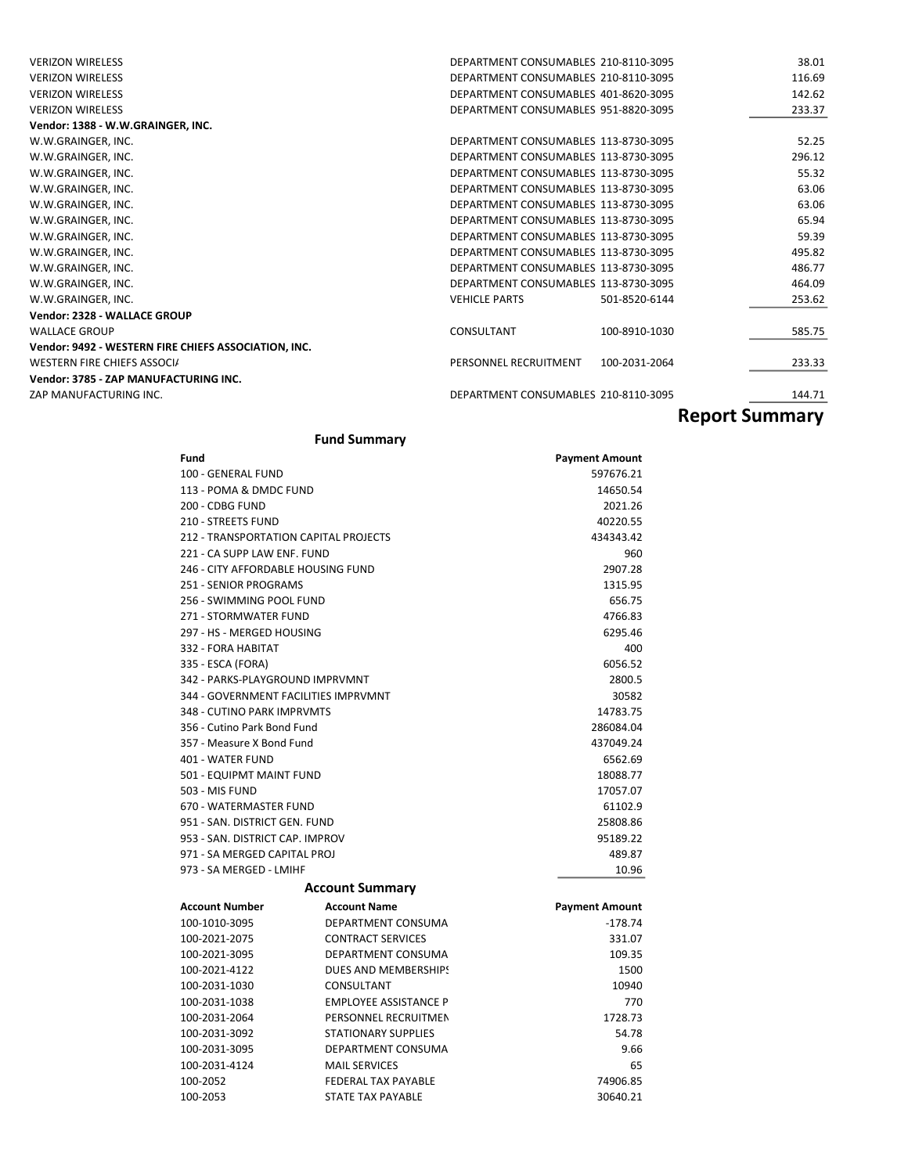| <b>VERIZON WIRELESS</b>                              | DEPARTMENT CONSUMABLES 210-8110-3095   | 38.01  |
|------------------------------------------------------|----------------------------------------|--------|
| <b>VERIZON WIRELESS</b>                              | DEPARTMENT CONSUMABLES 210-8110-3095   | 116.69 |
| <b>VERIZON WIRELESS</b>                              | DEPARTMENT CONSUMABLES 401-8620-3095   | 142.62 |
| <b>VERIZON WIRELESS</b>                              | DEPARTMENT CONSUMABLES 951-8820-3095   | 233.37 |
| Vendor: 1388 - W.W.GRAINGER, INC.                    |                                        |        |
| W.W.GRAINGER, INC.                                   | DEPARTMENT CONSUMABLES 113-8730-3095   | 52.25  |
| W.W.GRAINGER, INC.                                   | DEPARTMENT CONSUMABLES 113-8730-3095   | 296.12 |
| W.W.GRAINGER, INC.                                   | DEPARTMENT CONSUMABLES 113-8730-3095   | 55.32  |
| W.W.GRAINGER, INC.                                   | DEPARTMENT CONSUMABLES 113-8730-3095   | 63.06  |
| W.W.GRAINGER, INC.                                   | DEPARTMENT CONSUMABLES 113-8730-3095   | 63.06  |
| W.W.GRAINGER, INC.                                   | DEPARTMENT CONSUMABLES 113-8730-3095   | 65.94  |
| W.W.GRAINGER, INC.                                   | DEPARTMENT CONSUMABLES 113-8730-3095   | 59.39  |
| W.W.GRAINGER, INC.                                   | DEPARTMENT CONSUMABLES 113-8730-3095   | 495.82 |
| W.W.GRAINGER, INC.                                   | DEPARTMENT CONSUMABLES 113-8730-3095   | 486.77 |
| W.W.GRAINGER, INC.                                   | DEPARTMENT CONSUMABLES 113-8730-3095   | 464.09 |
| W.W.GRAINGER, INC.                                   | <b>VEHICLE PARTS</b><br>501-8520-6144  | 253.62 |
| Vendor: 2328 - WALLACE GROUP                         |                                        |        |
| <b>WALLACE GROUP</b>                                 | CONSULTANT<br>100-8910-1030            | 585.75 |
| Vendor: 9492 - WESTERN FIRE CHIEFS ASSOCIATION, INC. |                                        |        |
| WESTERN FIRE CHIEFS ASSOCIA                          | PERSONNEL RECRUITMENT<br>100-2031-2064 | 233.33 |
| Vendor: 3785 - ZAP MANUFACTURING INC.                |                                        |        |
| ZAP MANUFACTURING INC.                               | DEPARTMENT CONSUMABLES 210-8110-3095   | 144.71 |
|                                                      |                                        |        |

## Report Summary

### Fund Summary

| Fund                                  |                              | <b>Payment Amount</b> |
|---------------------------------------|------------------------------|-----------------------|
| 100 - GENERAL FUND                    |                              | 597676.21             |
| 113 - POMA & DMDC FUND                |                              | 14650.54              |
| 200 - CDBG FUND                       |                              | 2021.26               |
| 210 - STREETS FUND                    |                              | 40220.55              |
| 212 - TRANSPORTATION CAPITAL PROJECTS |                              | 434343.42             |
| 221 - CA SUPP LAW ENF. FUND           |                              | 960                   |
| 246 - CITY AFFORDABLE HOUSING FUND    |                              | 2907.28               |
| 251 - SENIOR PROGRAMS                 |                              | 1315.95               |
| 256 - SWIMMING POOL FUND              |                              | 656.75                |
| 271 - STORMWATER FUND                 |                              | 4766.83               |
| 297 - HS - MERGED HOUSING             |                              | 6295.46               |
| 332 - FORA HABITAT                    |                              | 400                   |
| 335 - ESCA (FORA)                     |                              | 6056.52               |
| 342 - PARKS-PLAYGROUND IMPRVMNT       |                              | 2800.5                |
| 344 - GOVERNMENT FACILITIES IMPRVMNT  |                              | 30582                 |
| 348 - CUTINO PARK IMPRVMTS            |                              | 14783.75              |
| 356 - Cutino Park Bond Fund           |                              | 286084.04             |
| 357 - Measure X Bond Fund             |                              | 437049.24             |
| 401 - WATER FUND                      |                              | 6562.69               |
| 501 - EQUIPMT MAINT FUND              |                              | 18088.77              |
| <b>503 - MIS FUND</b>                 |                              | 17057.07              |
| 670 - WATERMASTER FUND                |                              | 61102.9               |
| 951 - SAN, DISTRICT GEN, FUND         |                              | 25808.86              |
| 953 - SAN, DISTRICT CAP, IMPROV       |                              | 95189.22              |
| 971 - SA MERGED CAPITAL PROJ          |                              | 489.87                |
| 973 - SA MERGED - LMIHF               |                              | 10.96                 |
|                                       | <b>Account Summary</b>       |                       |
| <b>Account Number</b>                 | <b>Account Name</b>          | <b>Payment Amount</b> |
| 100-1010-3095                         | DEPARTMENT CONSUMA           | $-178.74$             |
| 100-2021-2075                         | <b>CONTRACT SERVICES</b>     | 331.07                |
| 100-2021-3095                         | DEPARTMENT CONSUMA           | 109.35                |
| 100-2021-4122                         | DUES AND MEMBERSHIPS         | 1500                  |
| 100-2031-1030                         | CONSULTANT                   | 10940                 |
| 100-2031-1038                         | <b>EMPLOYEE ASSISTANCE P</b> | 770                   |
| 100-2031-2064                         | PERSONNEL RECRUITMEN         | 1728.73               |
| 100-2031-3092                         | <b>STATIONARY SUPPLIES</b>   | 54.78                 |
| 100-2031-3095                         | DEPARTMENT CONSUMA           | 9.66                  |
| 100-2031-4124                         | <b>MAIL SERVICES</b>         | 65                    |
| 100-2052                              | <b>FEDERAL TAX PAYABLE</b>   | 74906.85              |
| 100-2053                              | STATE TAX PAYABLE            | 30640.21              |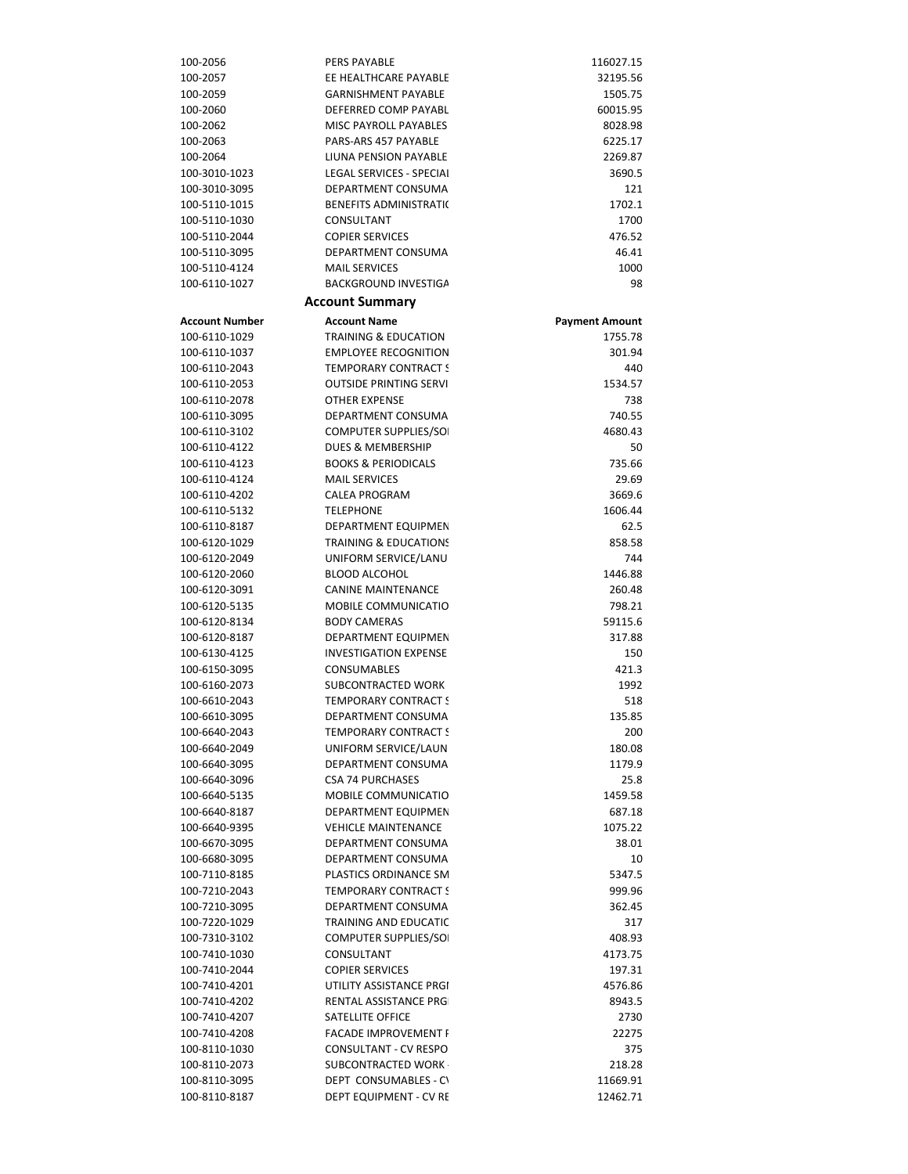| 100-2056              | <b>PERS PAYABLE</b>              | 116027.15             |
|-----------------------|----------------------------------|-----------------------|
| 100-2057              | EE HEALTHCARE PAYABLE            | 32195.56              |
| 100-2059              | <b>GARNISHMENT PAYABLE</b>       | 1505.75               |
| 100-2060              | DEFERRED COMP PAYABL             | 60015.95              |
| 100-2062              | MISC PAYROLL PAYABLES            | 8028.98               |
| 100-2063              | PARS-ARS 457 PAYABLE             | 6225.17               |
| 100-2064              | LIUNA PENSION PAYABLE            | 2269.87               |
| 100-3010-1023         | LEGAL SERVICES - SPECIAI         | 3690.5                |
| 100-3010-3095         | DEPARTMENT CONSUMA               | 121                   |
| 100-5110-1015         | <b>BENEFITS ADMINISTRATI(</b>    | 1702.1                |
| 100-5110-1030         | CONSULTANT                       | 1700                  |
| 100-5110-2044         | <b>COPIER SERVICES</b>           | 476.52                |
| 100-5110-3095         | DEPARTMENT CONSUMA               | 46.41                 |
| 100-5110-4124         | <b>MAIL SERVICES</b>             | 1000                  |
| 100-6110-1027         | BACKGROUND INVESTIGA             | 98                    |
|                       | <b>Account Summary</b>           |                       |
| <b>Account Number</b> | <b>Account Name</b>              | <b>Payment Amount</b> |
| 100-6110-1029         | <b>TRAINING &amp; EDUCATION</b>  | 1755.78               |
| 100-6110-1037         | <b>EMPLOYEE RECOGNITION</b>      | 301.94                |
| 100-6110-2043         | <b>TEMPORARY CONTRACT S</b>      | 440                   |
| 100-6110-2053         | <b>OUTSIDE PRINTING SERVI</b>    | 1534.57               |
| 100-6110-2078         | <b>OTHER EXPENSE</b>             | 738                   |
| 100-6110-3095         | DEPARTMENT CONSUMA               | 740.55                |
| 100-6110-3102         | COMPUTER SUPPLIES/SO             | 4680.43               |
| 100-6110-4122         | <b>DUES &amp; MEMBERSHIP</b>     | 50                    |
| 100-6110-4123         | <b>BOOKS &amp; PERIODICALS</b>   | 735.66                |
| 100-6110-4124         | <b>MAIL SERVICES</b>             | 29.69                 |
| 100-6110-4202         | <b>CALEA PROGRAM</b>             | 3669.6                |
| 100-6110-5132         | <b>TELEPHONE</b>                 | 1606.44               |
| 100-6110-8187         | DEPARTMENT EQUIPMEN              | 62.5                  |
| 100-6120-1029         | <b>TRAINING &amp; EDUCATIONS</b> | 858.58                |
| 100-6120-2049         | UNIFORM SERVICE/LANU             | 744                   |
| 100-6120-2060         | <b>BLOOD ALCOHOL</b>             | 1446.88               |
| 100-6120-3091         | <b>CANINE MAINTENANCE</b>        | 260.48                |
| 100-6120-5135         | MOBILE COMMUNICATIO              | 798.21                |
| 100-6120-8134         | <b>BODY CAMERAS</b>              | 59115.6               |
| 100-6120-8187         | DEPARTMENT EQUIPMEN              | 317.88                |
| 100-6130-4125         | <b>INVESTIGATION EXPENSE</b>     | 150                   |
| 100-6150-3095         | <b>CONSUMABLES</b>               | 421.3                 |
| 100-6160-2073         | SUBCONTRACTED WORK               | 1992                  |
| 100-6610-2043         | <b>TEMPORARY CONTRACT S</b>      | 518                   |
| 100-6610-3095         | DEPARTMENT CONSUMA               | 135.85                |
| 100-6640-2043         | <b>TEMPORARY CONTRACT S</b>      | 200                   |
| 100-6640-2049         | UNIFORM SERVICE/LAUN             | 180.08                |
| 100-6640-3095         | DEPARTMENT CONSUMA               | 1179.9                |
| 100-6640-3096         | <b>CSA 74 PURCHASES</b>          | 25.8                  |
| 100-6640-5135         | <b>MOBILE COMMUNICATIO</b>       | 1459.58               |
| 100-6640-8187         | <b>DEPARTMENT EQUIPMEN</b>       | 687.18                |
| 100-6640-9395         | <b>VEHICLE MAINTENANCE</b>       | 1075.22               |
| 100-6670-3095         | DEPARTMENT CONSUMA               | 38.01                 |
| 100-6680-3095         | DEPARTMENT CONSUMA               | 10                    |
| 100-7110-8185         | PLASTICS ORDINANCE SM            | 5347.5                |
| 100-7210-2043         | <b>TEMPORARY CONTRACT S</b>      | 999.96                |
| 100-7210-3095         | DEPARTMENT CONSUMA               | 362.45                |
| 100-7220-1029         | <b>TRAINING AND EDUCATIC</b>     | 317                   |
| 100-7310-3102         | <b>COMPUTER SUPPLIES/SO</b>      | 408.93                |
| 100-7410-1030         | CONSULTANT                       | 4173.75               |
| 100-7410-2044         | <b>COPIER SERVICES</b>           | 197.31                |
| 100-7410-4201         | UTILITY ASSISTANCE PRGI          | 4576.86               |
| 100-7410-4202         | <b>RENTAL ASSISTANCE PRG</b>     | 8943.5                |
| 100-7410-4207         | <b>SATELLITE OFFICE</b>          | 2730                  |
| 100-7410-4208         | <b>FACADE IMPROVEMENT I</b>      | 22275                 |
| 100-8110-1030         | CONSULTANT - CV RESPO            | 375                   |
| 100-8110-2073         | SUBCONTRACTED WORK               | 218.28                |
| 100-8110-3095         | DEPT CONSUMABLES - CV            | 11669.91              |
| 100-8110-8187         | DEPT EQUIPMENT - CV RE           | 12462.71              |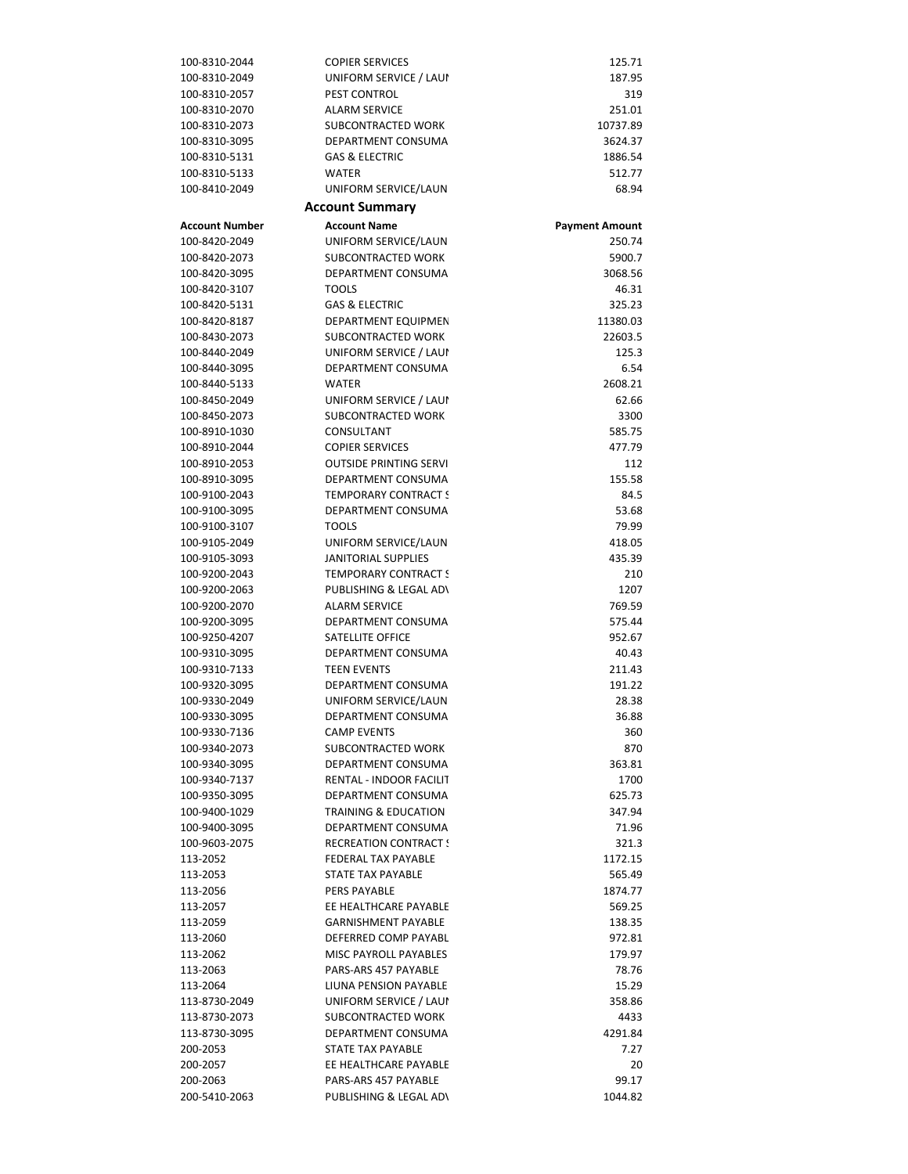| 100-8310-2044                  | <b>COPIER SERVICES</b>                                  | 125.71                |
|--------------------------------|---------------------------------------------------------|-----------------------|
| 100-8310-2049                  | UNIFORM SERVICE / LAUI                                  | 187.95                |
| 100-8310-2057                  | <b>PEST CONTROL</b>                                     | 319                   |
| 100-8310-2070                  | <b>ALARM SERVICE</b>                                    | 251.01                |
| 100-8310-2073                  | SUBCONTRACTED WORK                                      | 10737.89              |
| 100-8310-3095                  | DEPARTMENT CONSUMA                                      | 3624.37               |
| 100-8310-5131                  | <b>GAS &amp; ELECTRIC</b>                               | 1886.54               |
| 100-8310-5133                  | <b>WATER</b>                                            | 512.77                |
| 100-8410-2049                  | UNIFORM SERVICE/LAUN                                    | 68.94                 |
|                                | <b>Account Summary</b>                                  |                       |
| <b>Account Number</b>          | <b>Account Name</b>                                     | <b>Payment Amount</b> |
| 100-8420-2049                  | UNIFORM SERVICE/LAUN                                    | 250.74                |
| 100-8420-2073                  | SUBCONTRACTED WORK                                      | 5900.7                |
| 100-8420-3095                  | DEPARTMENT CONSUMA                                      | 3068.56               |
| 100-8420-3107                  | <b>TOOLS</b>                                            | 46.31                 |
| 100-8420-5131                  | <b>GAS &amp; ELECTRIC</b>                               | 325.23                |
| 100-8420-8187                  | DEPARTMENT EQUIPMEN                                     | 11380.03              |
| 100-8430-2073                  | SUBCONTRACTED WORK                                      | 22603.5               |
| 100-8440-2049                  | UNIFORM SERVICE / LAUI                                  | 125.3                 |
| 100-8440-3095                  | <b>DEPARTMENT CONSUMA</b>                               | 6.54                  |
| 100-8440-5133                  | <b>WATER</b>                                            | 2608.21               |
| 100-8450-2049                  | UNIFORM SERVICE / LAUI                                  | 62.66                 |
| 100-8450-2073                  | <b>SUBCONTRACTED WORK</b>                               | 3300                  |
| 100-8910-1030                  | CONSULTANT                                              | 585.75                |
| 100-8910-2044                  | <b>COPIER SERVICES</b><br><b>OUTSIDE PRINTING SERVI</b> | 477.79                |
| 100-8910-2053<br>100-8910-3095 | DEPARTMENT CONSUMA                                      | 112<br>155.58         |
| 100-9100-2043                  | <b>TEMPORARY CONTRACT S</b>                             | 84.5                  |
| 100-9100-3095                  | DEPARTMENT CONSUMA                                      | 53.68                 |
| 100-9100-3107                  | <b>TOOLS</b>                                            | 79.99                 |
| 100-9105-2049                  | UNIFORM SERVICE/LAUN                                    | 418.05                |
| 100-9105-3093                  | <b>JANITORIAL SUPPLIES</b>                              | 435.39                |
| 100-9200-2043                  | <b>TEMPORARY CONTRACT S</b>                             | 210                   |
| 100-9200-2063                  | PUBLISHING & LEGAL AD\                                  | 1207                  |
| 100-9200-2070                  | <b>ALARM SERVICE</b>                                    | 769.59                |
| 100-9200-3095                  | DEPARTMENT CONSUMA                                      | 575.44                |
| 100-9250-4207                  | SATELLITE OFFICE                                        | 952.67                |
| 100-9310-3095                  | DEPARTMENT CONSUMA                                      | 40.43                 |
| 100-9310-7133                  | <b>TEEN EVENTS</b>                                      | 211.43                |
| 100-9320-3095                  | DEPARTMENT CONSUMA                                      | 191.22                |
| 100-9330-2049                  | UNIFORM SERVICE/LAUN                                    | 28.38                 |
| 100-9330-3095                  | DEPARTMENT CONSUMA                                      | 36.88                 |
| 100-9330-7136                  | <b>CAMP EVENTS</b>                                      | 360                   |
| 100-9340-2073                  | SUBCONTRACTED WORK                                      | 870                   |
| 100-9340-3095                  | DEPARTMENT CONSUMA                                      | 363.81                |
| 100-9340-7137                  | RENTAL - INDOOR FACILIT                                 | 1700                  |
| 100-9350-3095                  | DEPARTMENT CONSUMA                                      | 625.73                |
| 100-9400-1029                  | <b>TRAINING &amp; EDUCATION</b>                         | 347.94                |
| 100-9400-3095                  | DEPARTMENT CONSUMA<br><b>RECREATION CONTRACT !</b>      | 71.96                 |
| 100-9603-2075<br>113-2052      | <b>FEDERAL TAX PAYABLE</b>                              | 321.3<br>1172.15      |
| 113-2053                       | STATE TAX PAYABLE                                       | 565.49                |
| 113-2056                       | <b>PERS PAYABLE</b>                                     | 1874.77               |
| 113-2057                       | EE HEALTHCARE PAYABLE                                   | 569.25                |
| 113-2059                       | <b>GARNISHMENT PAYABLE</b>                              | 138.35                |
| 113-2060                       | DEFERRED COMP PAYABL                                    | 972.81                |
| 113-2062                       | <b>MISC PAYROLL PAYABLES</b>                            | 179.97                |
| 113-2063                       | PARS-ARS 457 PAYABLE                                    | 78.76                 |
| 113-2064                       | LIUNA PENSION PAYABLE                                   | 15.29                 |
| 113-8730-2049                  | UNIFORM SERVICE / LAUI                                  | 358.86                |
| 113-8730-2073                  | SUBCONTRACTED WORK                                      | 4433                  |
| 113-8730-3095                  | DEPARTMENT CONSUMA                                      | 4291.84               |
| 200-2053                       | STATE TAX PAYABLE                                       | 7.27                  |
| 200-2057                       | EE HEALTHCARE PAYABLE                                   | 20                    |
| 200-2063                       | PARS-ARS 457 PAYABLE                                    | 99.17                 |
| 200-5410-2063                  | PUBLISHING & LEGAL AD\                                  | 1044.82               |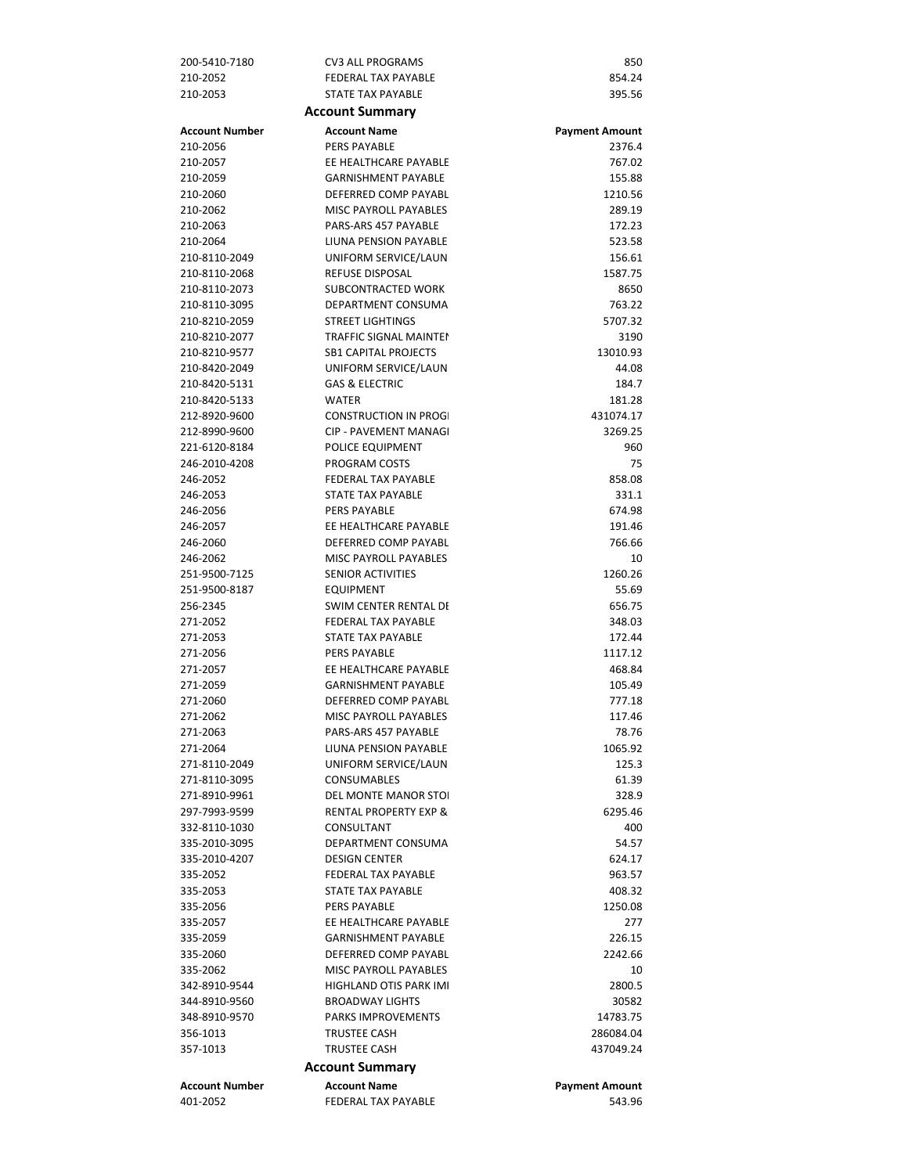| 200-5410-7180                  | <b>CV3 ALL PROGRAMS</b>                            | 850                   |
|--------------------------------|----------------------------------------------------|-----------------------|
| 210-2052                       | <b>FEDERAL TAX PAYABLE</b>                         | 854.24                |
| 210-2053                       | STATE TAX PAYABLE                                  | 395.56                |
|                                | <b>Account Summary</b>                             |                       |
| <b>Account Number</b>          | <b>Account Name</b>                                | <b>Payment Amount</b> |
| 210-2056                       | <b>PERS PAYABLE</b>                                | 2376.4                |
| 210-2057                       | EE HEALTHCARE PAYABLE                              | 767.02                |
| 210-2059                       | <b>GARNISHMENT PAYABLE</b>                         | 155.88                |
| 210-2060                       | DEFERRED COMP PAYABL                               | 1210.56               |
| 210-2062                       | MISC PAYROLL PAYABLES                              | 289.19                |
| 210-2063                       | PARS-ARS 457 PAYABLE                               | 172.23                |
| 210-2064                       | <b>LIUNA PENSION PAYABLE</b>                       | 523.58                |
| 210-8110-2049                  | UNIFORM SERVICE/LAUN                               | 156.61                |
| 210-8110-2068                  | <b>REFUSE DISPOSAL</b>                             | 1587.75               |
| 210-8110-2073                  | SUBCONTRACTED WORK                                 | 8650                  |
| 210-8110-3095                  | DEPARTMENT CONSUMA                                 | 763.22                |
| 210-8210-2059                  | <b>STREET LIGHTINGS</b>                            | 5707.32               |
| 210-8210-2077                  | <b>TRAFFIC SIGNAL MAINTEI</b>                      | 3190                  |
| 210-8210-9577                  | <b>SB1 CAPITAL PROJECTS</b>                        | 13010.93              |
| 210-8420-2049                  | UNIFORM SERVICE/LAUN                               | 44.08                 |
| 210-8420-5131                  | <b>GAS &amp; ELECTRIC</b>                          | 184.7                 |
| 210-8420-5133                  | <b>WATER</b>                                       | 181.28                |
| 212-8920-9600                  | <b>CONSTRUCTION IN PROG</b>                        | 431074.17             |
| 212-8990-9600                  | CIP - PAVEMENT MANAGI                              | 3269.25               |
| 221-6120-8184                  | POLICE EQUIPMENT                                   | 960                   |
| 246-2010-4208                  | PROGRAM COSTS                                      | 75                    |
| 246-2052                       | <b>FEDERAL TAX PAYABLE</b>                         | 858.08                |
| 246-2053                       | STATE TAX PAYABLE                                  | 331.1                 |
| 246-2056                       | <b>PERS PAYABLE</b>                                | 674.98                |
| 246-2057                       | EE HEALTHCARE PAYABLE                              | 191.46                |
| 246-2060                       | DEFERRED COMP PAYABL                               | 766.66                |
| 246-2062                       | <b>MISC PAYROLL PAYABLES</b>                       | 10                    |
| 251-9500-7125                  | SENIOR ACTIVITIES                                  | 1260.26               |
| 251-9500-8187                  | <b>EQUIPMENT</b>                                   | 55.69                 |
| 256-2345                       | SWIM CENTER RENTAL DI                              | 656.75                |
| 271-2052                       | <b>FEDERAL TAX PAYABLE</b>                         | 348.03                |
| 271-2053                       | <b>STATE TAX PAYABLE</b>                           | 172.44                |
| 271-2056                       | <b>PERS PAYABLE</b>                                | 1117.12               |
| 271-2057                       | EE HEALTHCARE PAYABLE                              | 468.84                |
| 271-2059                       | <b>GARNISHMENT PAYABLE</b>                         | 105.49                |
| 271-2060                       | DEFERRED COMP PAYABL                               | 777.18                |
| 271-2062                       | MISC PAYROLL PAYABLES                              | 117.46                |
| 271-2063                       | PARS-ARS 457 PAYABLE                               | 78.76                 |
| 271-2064                       | LIUNA PENSION PAYABLE                              | 1065.92               |
| 271-8110-2049                  | UNIFORM SERVICE/LAUN                               | 125.3                 |
| 271-8110-3095                  | <b>CONSUMABLES</b><br><b>DEL MONTE MANOR STOI</b>  | 61.39                 |
| 271-8910-9961                  | <b>RENTAL PROPERTY EXP &amp;</b>                   | 328.9                 |
| 297-7993-9599<br>332-8110-1030 |                                                    | 6295.46               |
| 335-2010-3095                  | CONSULTANT<br>DEPARTMENT CONSUMA                   | 400<br>54.57          |
| 335-2010-4207                  |                                                    |                       |
| 335-2052                       | <b>DESIGN CENTER</b><br><b>FEDERAL TAX PAYABLE</b> | 624.17<br>963.57      |
| 335-2053                       | STATE TAX PAYABLE                                  | 408.32                |
| 335-2056                       | <b>PERS PAYABLE</b>                                | 1250.08               |
| 335-2057                       | EE HEALTHCARE PAYABLE                              | 277                   |
| 335-2059                       | <b>GARNISHMENT PAYABLE</b>                         | 226.15                |
| 335-2060                       | DEFERRED COMP PAYABL                               | 2242.66               |
| 335-2062                       | <b>MISC PAYROLL PAYABLES</b>                       | 10                    |
| 342-8910-9544                  | <b>HIGHLAND OTIS PARK IMI</b>                      | 2800.5                |
| 344-8910-9560                  | <b>BROADWAY LIGHTS</b>                             | 30582                 |
| 348-8910-9570                  | <b>PARKS IMPROVEMENTS</b>                          | 14783.75              |
| 356-1013                       | <b>TRUSTEE CASH</b>                                | 286084.04             |
| 357-1013                       | <b>TRUSTEE CASH</b>                                | 437049.24             |
|                                |                                                    |                       |
|                                | <b>Account Summary</b>                             |                       |
| <b>Account Number</b>          | <b>Account Name</b>                                | <b>Payment Amount</b> |
| 401-2052                       | <b>FEDERAL TAX PAYABLE</b>                         | 543.96                |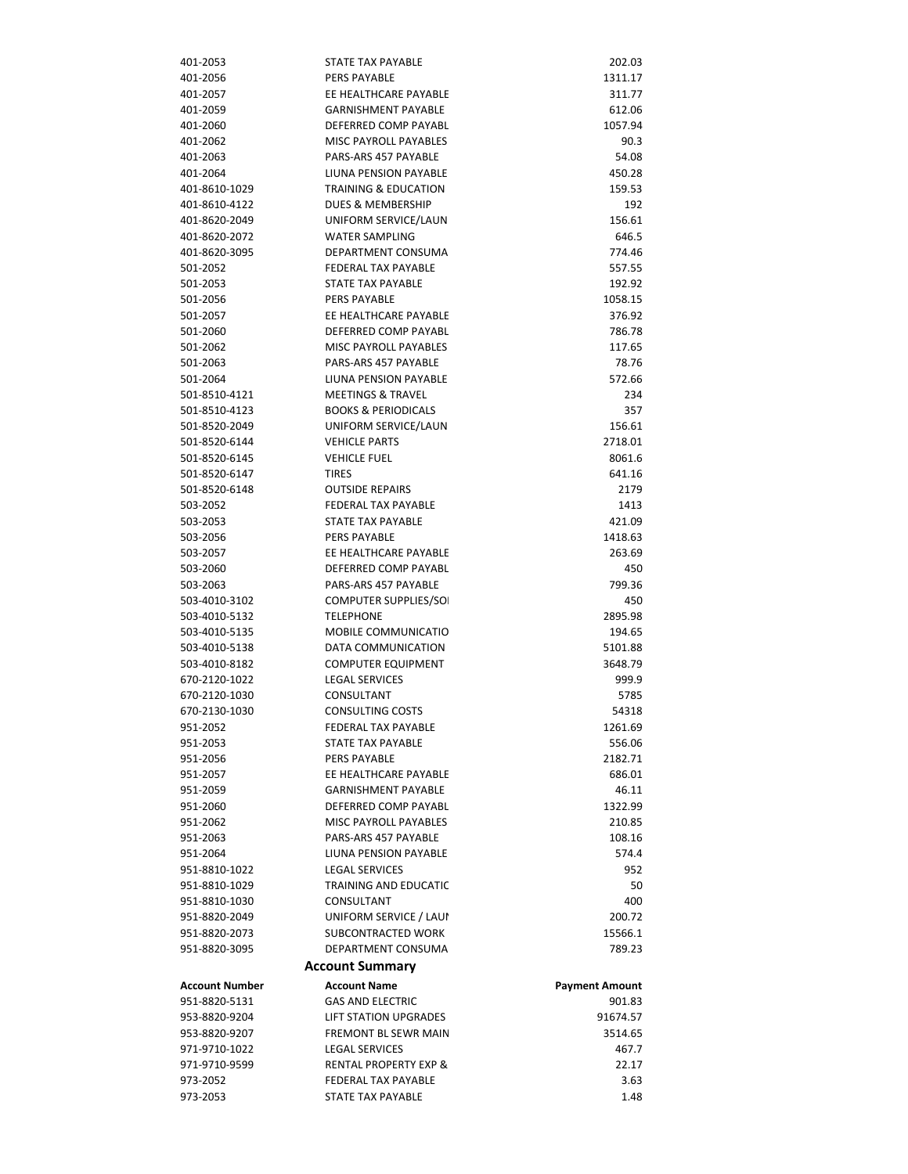| 401-2053                       | STATE TAX PAYABLE                               | 202.03                |
|--------------------------------|-------------------------------------------------|-----------------------|
| 401-2056                       | <b>PERS PAYABLE</b>                             | 1311.17               |
| 401-2057                       | EE HEALTHCARE PAYABLE                           | 311.77                |
| 401-2059                       | <b>GARNISHMENT PAYABLE</b>                      | 612.06                |
| 401-2060                       | DEFERRED COMP PAYABL                            | 1057.94               |
| 401-2062                       | MISC PAYROLL PAYABLES                           | 90.3                  |
| 401-2063                       | PARS-ARS 457 PAYABLE                            | 54.08                 |
| 401-2064                       | LIUNA PENSION PAYABLE                           | 450.28                |
| 401-8610-1029                  | <b>TRAINING &amp; EDUCATION</b>                 | 159.53                |
| 401-8610-4122                  | <b>DUES &amp; MEMBERSHIP</b>                    | 192                   |
| 401-8620-2049                  | UNIFORM SERVICE/LAUN                            | 156.61                |
| 401-8620-2072                  | <b>WATER SAMPLING</b>                           | 646.5                 |
| 401-8620-3095                  | DEPARTMENT CONSUMA                              | 774.46                |
| 501-2052                       | <b>FEDERAL TAX PAYABLE</b><br>STATE TAX PAYABLE | 557.55                |
| 501-2053<br>501-2056           | <b>PERS PAYABLE</b>                             | 192.92<br>1058.15     |
| 501-2057                       | EE HEALTHCARE PAYABLE                           | 376.92                |
| 501-2060                       | DEFERRED COMP PAYABL                            | 786.78                |
| 501-2062                       | <b>MISC PAYROLL PAYABLES</b>                    | 117.65                |
| 501-2063                       | PARS-ARS 457 PAYABLE                            | 78.76                 |
| 501-2064                       | LIUNA PENSION PAYABLE                           | 572.66                |
| 501-8510-4121                  | <b>MEETINGS &amp; TRAVEL</b>                    | 234                   |
| 501-8510-4123                  | <b>BOOKS &amp; PERIODICALS</b>                  | 357                   |
| 501-8520-2049                  | UNIFORM SERVICE/LAUN                            | 156.61                |
| 501-8520-6144                  | <b>VEHICLE PARTS</b>                            | 2718.01               |
| 501-8520-6145                  | <b>VEHICLE FUEL</b>                             | 8061.6                |
| 501-8520-6147                  | <b>TIRES</b>                                    | 641.16                |
| 501-8520-6148                  | <b>OUTSIDE REPAIRS</b>                          | 2179                  |
| 503-2052                       | <b>FEDERAL TAX PAYABLE</b>                      | 1413                  |
| 503-2053                       | STATE TAX PAYABLE                               | 421.09                |
| 503-2056                       | <b>PERS PAYABLE</b>                             | 1418.63               |
| 503-2057                       | EE HEALTHCARE PAYABLE                           | 263.69                |
| 503-2060                       | DEFERRED COMP PAYABL                            | 450                   |
| 503-2063                       | PARS-ARS 457 PAYABLE                            | 799.36                |
| 503-4010-3102                  | COMPUTER SUPPLIES/SO                            | 450                   |
| 503-4010-5132                  | <b>TELEPHONE</b>                                | 2895.98               |
| 503-4010-5135                  | <b>MOBILE COMMUNICATIO</b>                      | 194.65                |
| 503-4010-5138                  | DATA COMMUNICATION                              | 5101.88               |
| 503-4010-8182                  | <b>COMPUTER EQUIPMENT</b>                       | 3648.79               |
| 670-2120-1022<br>670-2120-1030 | <b>LEGAL SERVICES</b><br>CONSULTANT             | 999.9<br>5785         |
| 670-2130-1030                  | <b>CONSULTING COSTS</b>                         | 54318                 |
| 951-2052                       | FEDERAL TAX PAYABLE                             | 1261.69               |
| 951-2053                       | STATE TAX PAYABLE                               | 556.06                |
| 951-2056                       | <b>PERS PAYABLE</b>                             | 2182.71               |
| 951-2057                       | EE HEALTHCARE PAYABLE                           | 686.01                |
| 951-2059                       | <b>GARNISHMENT PAYABLE</b>                      | 46.11                 |
| 951-2060                       | DEFERRED COMP PAYABL                            | 1322.99               |
| 951-2062                       | MISC PAYROLL PAYABLES                           | 210.85                |
| 951-2063                       | PARS-ARS 457 PAYABLE                            | 108.16                |
| 951-2064                       | LIUNA PENSION PAYABLE                           | 574.4                 |
| 951-8810-1022                  | <b>LEGAL SERVICES</b>                           | 952                   |
| 951-8810-1029                  | <b>TRAINING AND EDUCATIC</b>                    | 50                    |
| 951-8810-1030                  | CONSULTANT                                      | 400                   |
| 951-8820-2049                  | UNIFORM SERVICE / LAUI                          | 200.72                |
| 951-8820-2073                  | SUBCONTRACTED WORK                              | 15566.1               |
| 951-8820-3095                  | DEPARTMENT CONSUMA                              | 789.23                |
|                                | <b>Account Summary</b>                          |                       |
| <b>Account Number</b>          | <b>Account Name</b>                             | <b>Payment Amount</b> |
| 951-8820-5131                  | <b>GAS AND ELECTRIC</b>                         | 901.83                |
| 953-8820-9204                  | <b>LIFT STATION UPGRADES</b>                    | 91674.57              |
| 953-8820-9207                  | FREMONT BL SEWR MAIN                            | 3514.65               |
| 971-9710-1022                  | <b>LEGAL SERVICES</b>                           | 467.7                 |
| 971-9710-9599                  | <b>RENTAL PROPERTY EXP &amp;</b>                | 22.17                 |
| 973-2052                       | <b>FEDERAL TAX PAYABLE</b>                      | 3.63                  |
| 973-2053                       | <b>STATE TAX PAYABLE</b>                        | 1.48                  |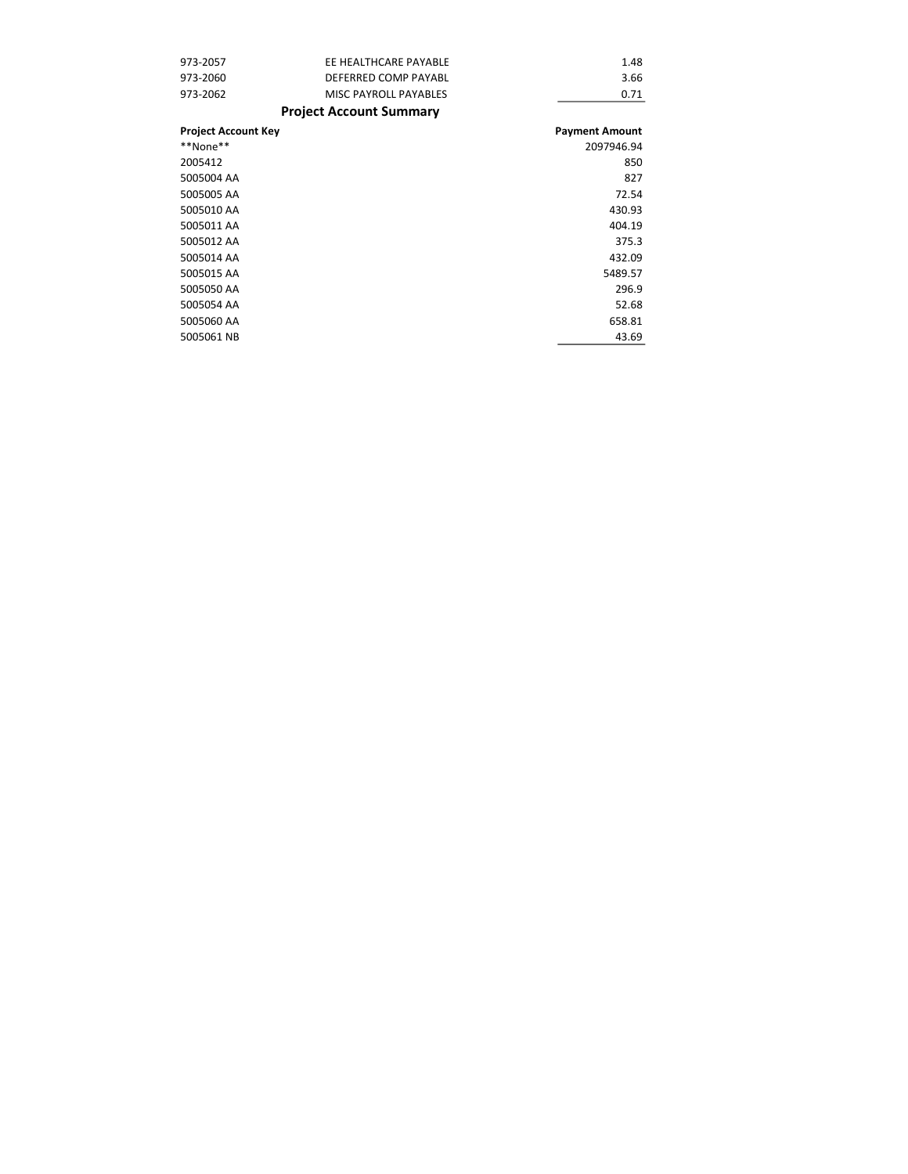| 973-2057                   | EE HEALTHCARE PAYABLE          | 1.48                  |
|----------------------------|--------------------------------|-----------------------|
| 973-2060                   | DEFERRED COMP PAYABL           | 3.66                  |
| 973-2062                   | <b>MISC PAYROLL PAYABLES</b>   | 0.71                  |
|                            | <b>Project Account Summary</b> |                       |
| <b>Project Account Key</b> |                                | <b>Payment Amount</b> |
| **None**                   |                                | 2097946.94            |
| 2005412                    |                                | 850                   |
| 5005004 AA                 |                                | 827                   |
| 5005005 AA                 |                                | 72.54                 |
| 5005010 AA                 |                                | 430.93                |
| 5005011 AA                 |                                | 404.19                |
| 5005012 AA                 |                                | 375.3                 |
| 5005014 AA                 |                                | 432.09                |
| 5005015 AA                 |                                | 5489.57               |
| 5005050 AA                 |                                | 296.9                 |
| 5005054 AA                 |                                | 52.68                 |
| 5005060 AA                 |                                | 658.81                |
| 5005061 NB                 |                                | 43.69                 |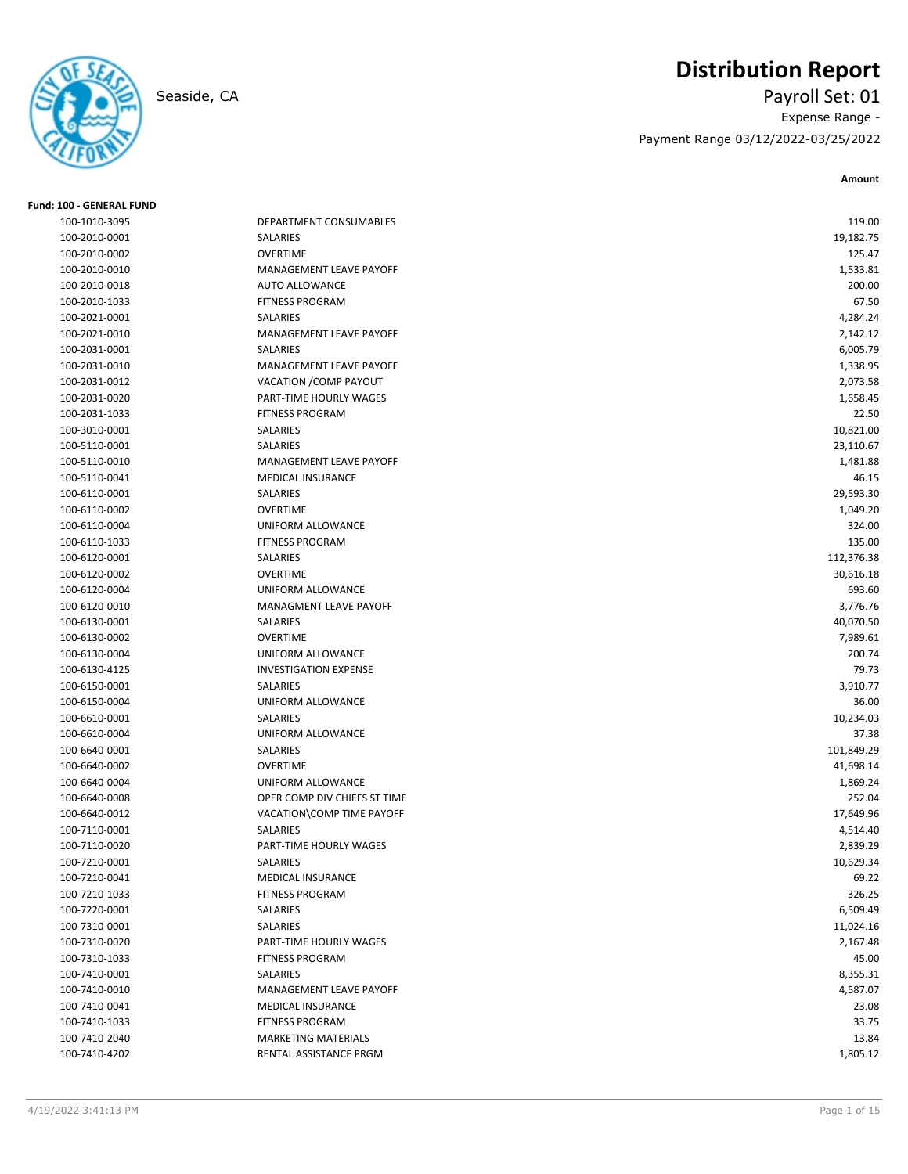**Fund: 100 - GENERAL FUND**

# **Distribution Report**

Seaside, CA Payroll Set: 01 Expense Range - Payment Range 03/12/2022-03/25/2022

**Amount**

| 100-1010-3095 | DEPARTMENT CONSUMABLES       | 119.00     |
|---------------|------------------------------|------------|
| 100-2010-0001 | SALARIES                     | 19,182.75  |
| 100-2010-0002 | <b>OVERTIME</b>              | 125.47     |
| 100-2010-0010 | MANAGEMENT LEAVE PAYOFF      | 1,533.81   |
| 100-2010-0018 | <b>AUTO ALLOWANCE</b>        | 200.00     |
| 100-2010-1033 | <b>FITNESS PROGRAM</b>       | 67.50      |
| 100-2021-0001 | <b>SALARIES</b>              | 4,284.24   |
| 100-2021-0010 | MANAGEMENT LEAVE PAYOFF      | 2,142.12   |
| 100-2031-0001 | <b>SALARIES</b>              | 6,005.79   |
| 100-2031-0010 | MANAGEMENT LEAVE PAYOFF      | 1,338.95   |
| 100-2031-0012 | VACATION / COMP PAYOUT       | 2,073.58   |
| 100-2031-0020 | PART-TIME HOURLY WAGES       | 1,658.45   |
| 100-2031-1033 | <b>FITNESS PROGRAM</b>       | 22.50      |
| 100-3010-0001 | SALARIES                     | 10,821.00  |
| 100-5110-0001 | SALARIES                     | 23,110.67  |
| 100-5110-0010 | MANAGEMENT LEAVE PAYOFF      | 1,481.88   |
| 100-5110-0041 | MEDICAL INSURANCE            | 46.15      |
| 100-6110-0001 | SALARIES                     | 29,593.30  |
| 100-6110-0002 | <b>OVERTIME</b>              | 1,049.20   |
| 100-6110-0004 | UNIFORM ALLOWANCE            | 324.00     |
| 100-6110-1033 | <b>FITNESS PROGRAM</b>       | 135.00     |
| 100-6120-0001 | SALARIES                     | 112,376.38 |
| 100-6120-0002 | <b>OVERTIME</b>              | 30,616.18  |
| 100-6120-0004 | UNIFORM ALLOWANCE            | 693.60     |
| 100-6120-0010 | MANAGMENT LEAVE PAYOFF       | 3,776.76   |
| 100-6130-0001 | SALARIES                     | 40,070.50  |
| 100-6130-0002 | <b>OVERTIME</b>              | 7,989.61   |
| 100-6130-0004 | UNIFORM ALLOWANCE            | 200.74     |
| 100-6130-4125 | <b>INVESTIGATION EXPENSE</b> | 79.73      |
| 100-6150-0001 | SALARIES                     | 3,910.77   |
| 100-6150-0004 | UNIFORM ALLOWANCE            | 36.00      |
| 100-6610-0001 | SALARIES                     | 10,234.03  |
| 100-6610-0004 | UNIFORM ALLOWANCE            | 37.38      |
| 100-6640-0001 | SALARIES                     | 101,849.29 |
| 100-6640-0002 | <b>OVERTIME</b>              | 41,698.14  |
| 100-6640-0004 | UNIFORM ALLOWANCE            | 1,869.24   |
| 100-6640-0008 | OPER COMP DIV CHIEFS ST TIME | 252.04     |
| 100-6640-0012 | VACATION\COMP TIME PAYOFF    | 17,649.96  |
| 100-7110-0001 | SALARIES                     | 4,514.40   |
| 100-7110-0020 | PART-TIME HOURLY WAGES       | 2,839.29   |
| 100-7210-0001 | <b>SALARIES</b>              | 10,629.34  |
| 100-7210-0041 | <b>MEDICAL INSURANCE</b>     | 69.22      |
| 100-7210-1033 | <b>FITNESS PROGRAM</b>       | 326.25     |
| 100-7220-0001 | SALARIES                     | 6,509.49   |
| 100-7310-0001 | SALARIES                     | 11,024.16  |
| 100-7310-0020 | PART-TIME HOURLY WAGES       | 2,167.48   |
| 100-7310-1033 | <b>FITNESS PROGRAM</b>       | 45.00      |
| 100-7410-0001 | SALARIES                     | 8,355.31   |
| 100-7410-0010 | MANAGEMENT LEAVE PAYOFF      | 4,587.07   |
|               |                              |            |
| 100-7410-0041 | MEDICAL INSURANCE            | 23.08      |
| 100-7410-1033 | <b>FITNESS PROGRAM</b>       | 33.75      |
| 100-7410-2040 | <b>MARKETING MATERIALS</b>   | 13.84      |
| 100-7410-4202 | RENTAL ASSISTANCE PRGM       | 1,805.12   |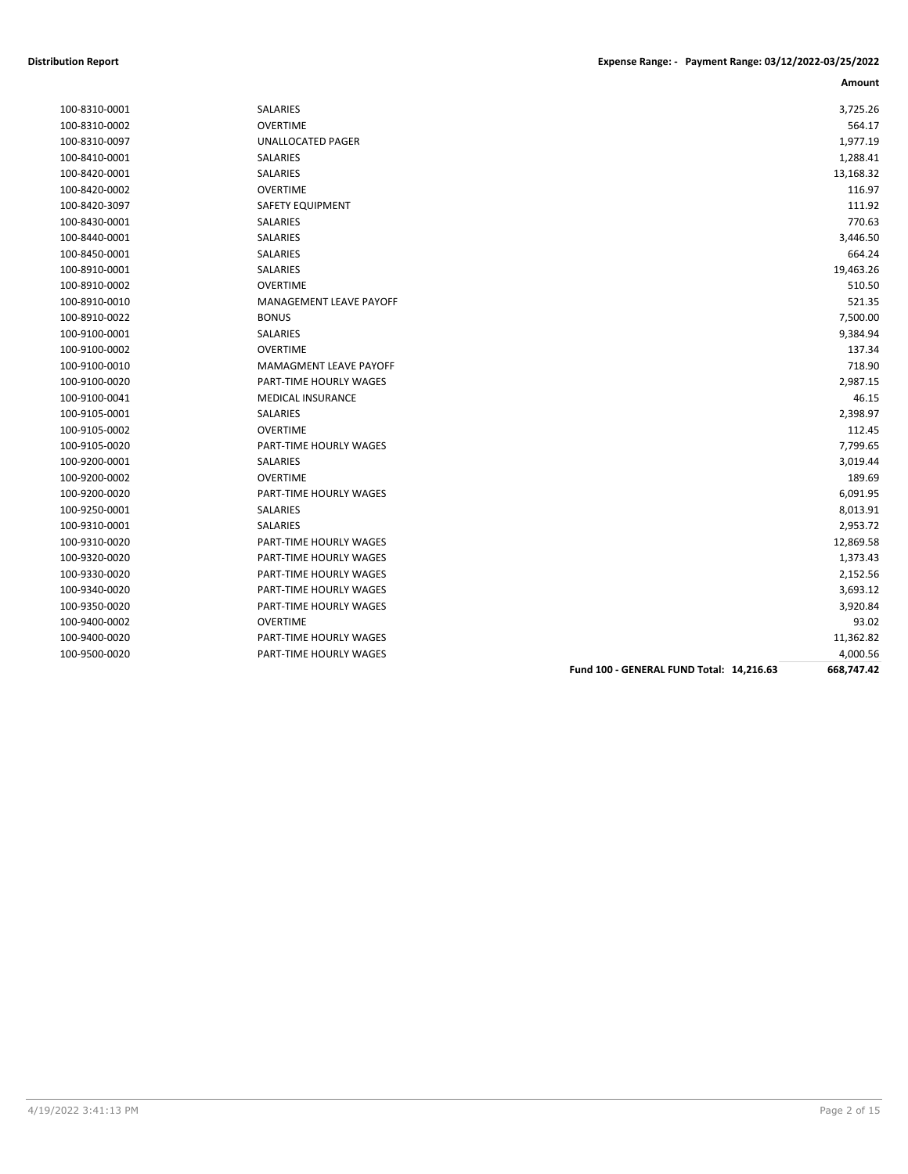| 100-8310-0001 |
|---------------|
| 100-8310-0002 |
| 100-8310-0097 |
| 100-8410-0001 |
| 100-8420-0001 |
| 100-8420-0002 |
| 100-8420-3097 |
| 100-8430-0001 |
| 100-8440-0001 |
| 100-8450-0001 |
| 100-8910-0001 |
| 100-8910-0002 |
| 100-8910-0010 |
| 100-8910-0022 |
| 100-9100-0001 |
| 100-9100-0002 |
| 100-9100-0010 |
| 100-9100-0020 |
| 100-9100-0041 |
| 100-9105-0001 |
| 100-9105-0002 |
| 100-9105-0020 |
| 100-9200-0001 |
| 100-9200-0002 |
| 100-9200-0020 |
| 100-9250-0001 |
| 100-9310-0001 |
| 100-9310-0020 |
| 100-9320-0020 |
| 100-9330-0020 |
| 100-9340-0020 |
| 100-9350-0020 |
| 100-9400-0002 |
| 100-9400-0020 |
|               |

|               |                          |                                          | Amount     |
|---------------|--------------------------|------------------------------------------|------------|
| 100-8310-0001 | SALARIES                 |                                          | 3,725.26   |
| 100-8310-0002 | <b>OVERTIME</b>          |                                          | 564.17     |
| 100-8310-0097 | <b>UNALLOCATED PAGER</b> |                                          | 1,977.19   |
| 100-8410-0001 | <b>SALARIES</b>          |                                          | 1,288.41   |
| 100-8420-0001 | <b>SALARIES</b>          |                                          | 13,168.32  |
| 100-8420-0002 | <b>OVERTIME</b>          |                                          | 116.97     |
| 100-8420-3097 | <b>SAFETY EQUIPMENT</b>  |                                          | 111.92     |
| 100-8430-0001 | SALARIES                 |                                          | 770.63     |
| 100-8440-0001 | SALARIES                 |                                          | 3,446.50   |
| 100-8450-0001 | SALARIES                 |                                          | 664.24     |
| 100-8910-0001 | <b>SALARIES</b>          |                                          | 19,463.26  |
| 100-8910-0002 | <b>OVERTIME</b>          |                                          | 510.50     |
| 100-8910-0010 | MANAGEMENT LEAVE PAYOFF  |                                          | 521.35     |
| 100-8910-0022 | <b>BONUS</b>             |                                          | 7,500.00   |
| 100-9100-0001 | SALARIES                 |                                          | 9,384.94   |
| 100-9100-0002 | <b>OVERTIME</b>          |                                          | 137.34     |
| 100-9100-0010 | MAMAGMENT LEAVE PAYOFF   |                                          | 718.90     |
| 100-9100-0020 | PART-TIME HOURLY WAGES   |                                          | 2,987.15   |
| 100-9100-0041 | <b>MEDICAL INSURANCE</b> |                                          | 46.15      |
| 100-9105-0001 | SALARIES                 |                                          | 2,398.97   |
| 100-9105-0002 | <b>OVERTIME</b>          |                                          | 112.45     |
| 100-9105-0020 | PART-TIME HOURLY WAGES   |                                          | 7,799.65   |
| 100-9200-0001 | SALARIES                 |                                          | 3,019.44   |
| 100-9200-0002 | <b>OVERTIME</b>          |                                          | 189.69     |
| 100-9200-0020 | PART-TIME HOURLY WAGES   |                                          | 6,091.95   |
| 100-9250-0001 | SALARIES                 |                                          | 8,013.91   |
| 100-9310-0001 | SALARIES                 |                                          | 2,953.72   |
| 100-9310-0020 | PART-TIME HOURLY WAGES   |                                          | 12,869.58  |
| 100-9320-0020 | PART-TIME HOURLY WAGES   |                                          | 1,373.43   |
| 100-9330-0020 | PART-TIME HOURLY WAGES   |                                          | 2,152.56   |
| 100-9340-0020 | PART-TIME HOURLY WAGES   |                                          | 3,693.12   |
| 100-9350-0020 | PART-TIME HOURLY WAGES   |                                          | 3,920.84   |
| 100-9400-0002 | <b>OVERTIME</b>          |                                          | 93.02      |
| 100-9400-0020 | PART-TIME HOURLY WAGES   |                                          | 11,362.82  |
| 100-9500-0020 | PART-TIME HOURLY WAGES   |                                          | 4,000.56   |
|               |                          | Fund 100 - GENERAL FUND Total: 14,216.63 | 668,747.42 |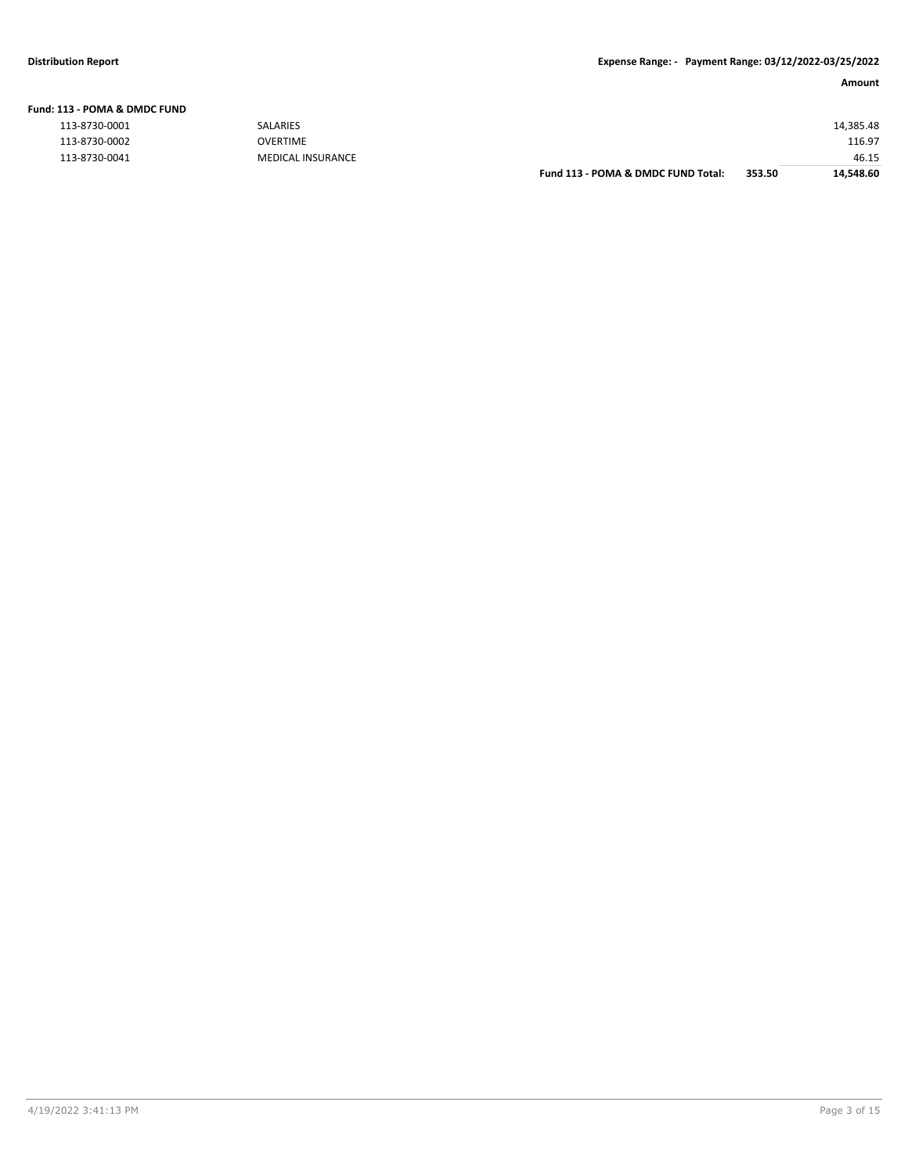| 113 - POMA & DMDC FUND |                   |                                    |        |           |
|------------------------|-------------------|------------------------------------|--------|-----------|
| 113-8730-0001          | <b>SALARIES</b>   |                                    |        | 14,385.48 |
| 113-8730-0002          | <b>OVERTIME</b>   |                                    |        | 116.97    |
| 113-8730-0041          | MEDICAL INSURANCE |                                    |        | 46.15     |
|                        |                   | Fund 113 - POMA & DMDC FUND Total: | 353.50 | 14.548.60 |

**Fund: 113 - POMA & DMDC FUND**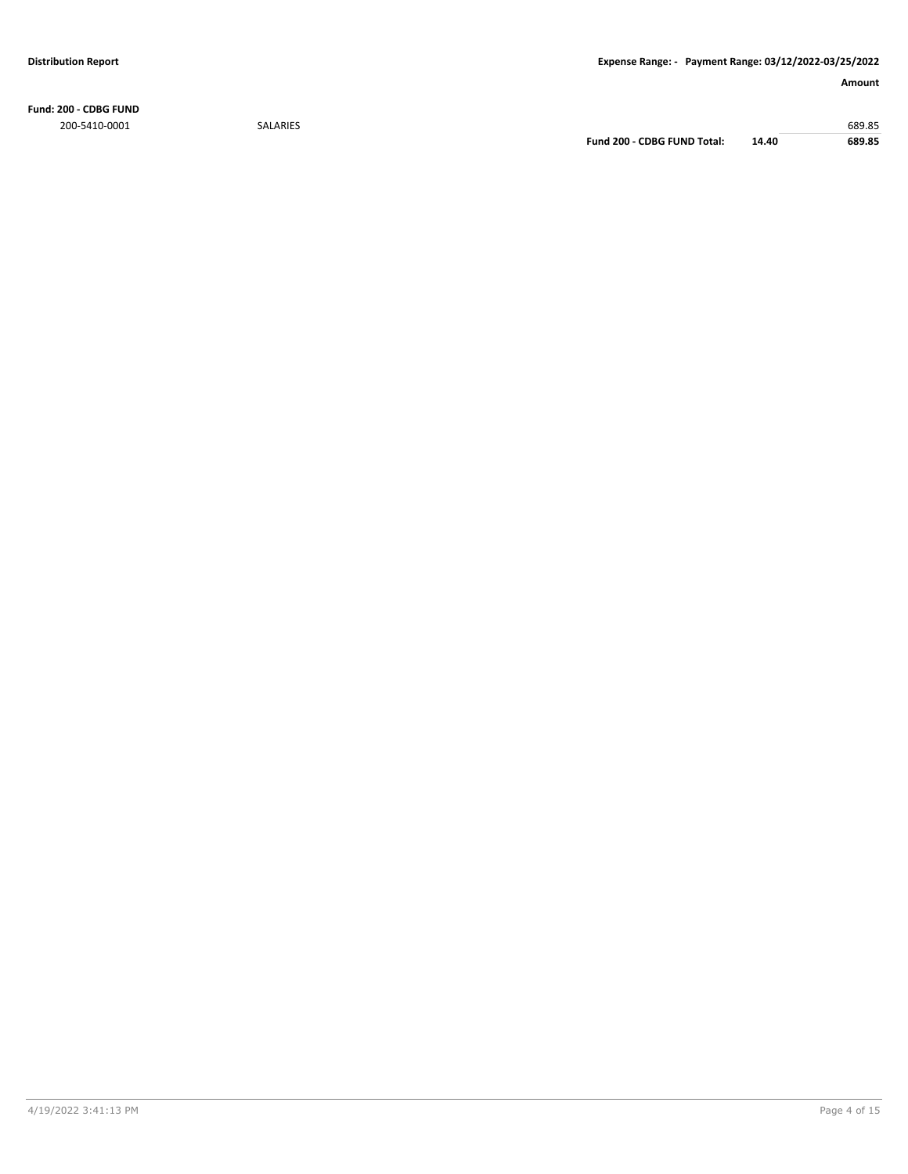**Fund: 200 - CDBG FUND** 200-5410-0001 SALARIES 689.85

**Fund 200 - CDBG FUND Total: 14.40 689.85**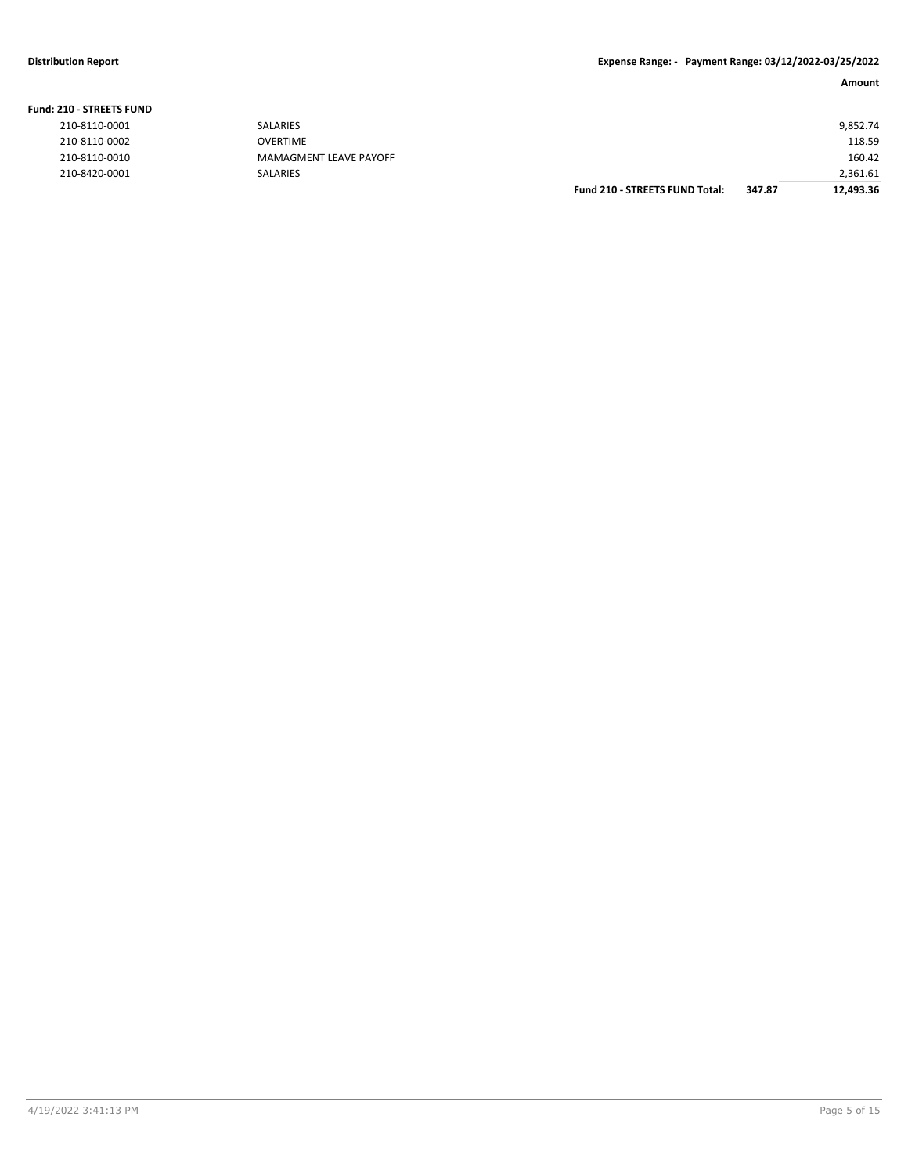#### **Fund: 210 - STREETS FUND**

|               |                        | <b>Fund 210 - STREETS FUND Total:</b> | 347.87 | 12,493.36 |
|---------------|------------------------|---------------------------------------|--------|-----------|
| 210-8420-0001 | <b>SALARIES</b>        |                                       |        | 2,361.61  |
| 210-8110-0010 | MAMAGMENT LEAVE PAYOFF |                                       |        | 160.42    |
| 210-8110-0002 | OVERTIME               |                                       |        | 118.59    |
| 210-8110-0001 | SALARIES               |                                       |        | 9,852.74  |
|               |                        |                                       |        |           |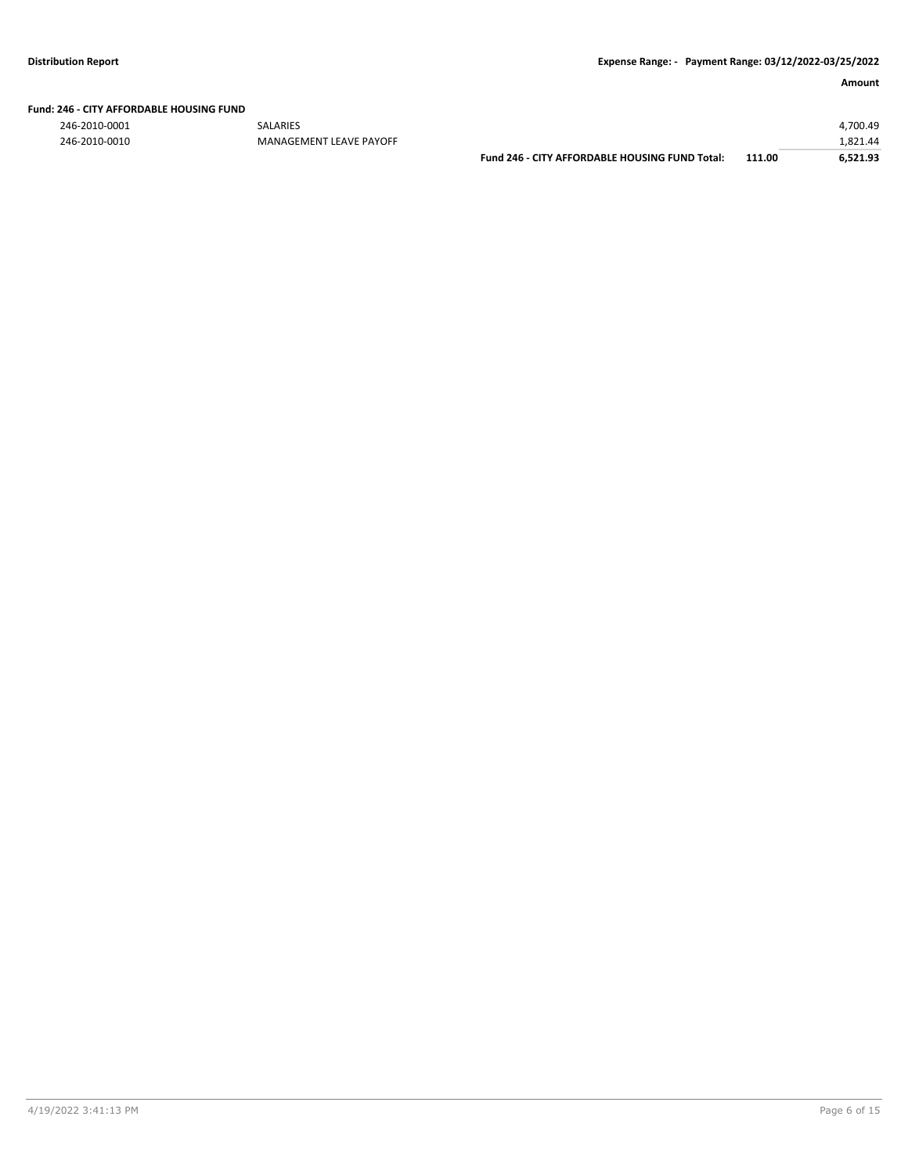### **Fund: 246 - CITY AFFORDABLE HOUSING FUND**

246-2010-0001 SALARIES 4,700.49 246-2010-0010 MANAGEMENT LEAVE PAYOFF 1,821.44

| Fund 246 - CITY AFFORDABLE HOUSING FUND Total: | 111.0 |
|------------------------------------------------|-------|
|                                                |       |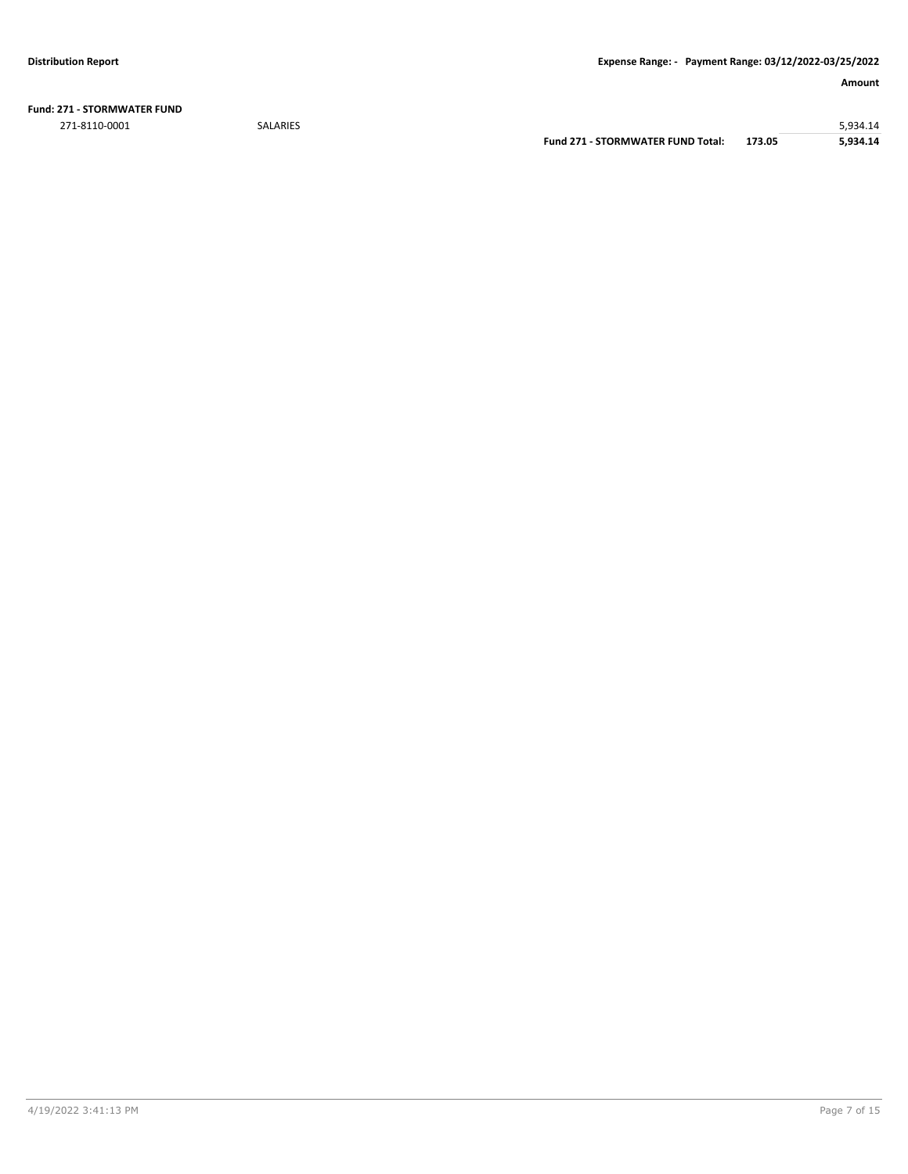**Fund: 271 - STORMWATER FUND** 271-8110-0001 SALARIES 5,934.14

**Fund 271 - STORMWATER FUND Total: 173.05 5,934.14**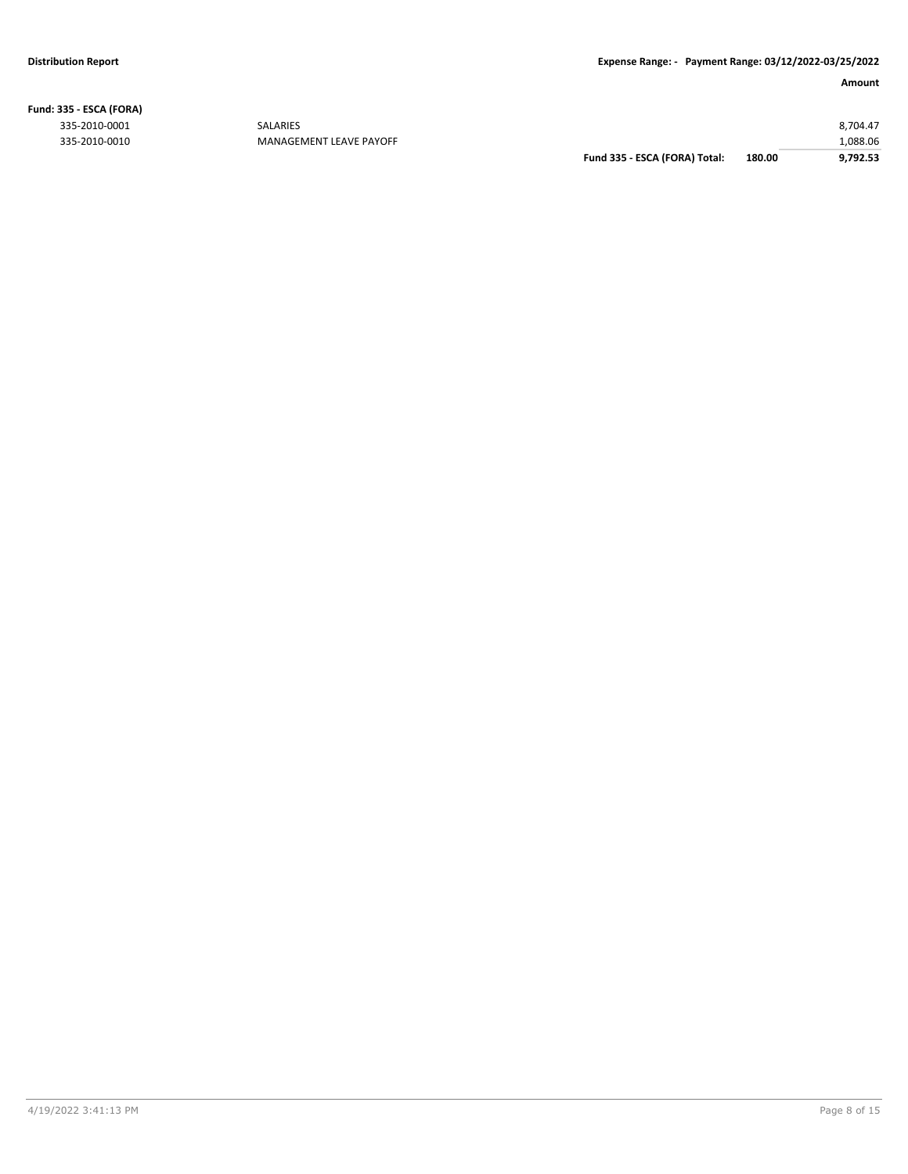**Fund: 335 - ESCA (FORA)**

335-2010-0010 MANAGEMENT LEAVE PAYOFF

|               |                         | Fund 335 - ESCA (FORA) Total: | 180.00 | 9.792.53 |
|---------------|-------------------------|-------------------------------|--------|----------|
| 335-2010-0010 | MANAGEMENT LEAVE PAYOFF |                               |        | ,088.06  |
| 335-2010-0001 | <b>SALARIES</b>         |                               |        | 8.704.47 |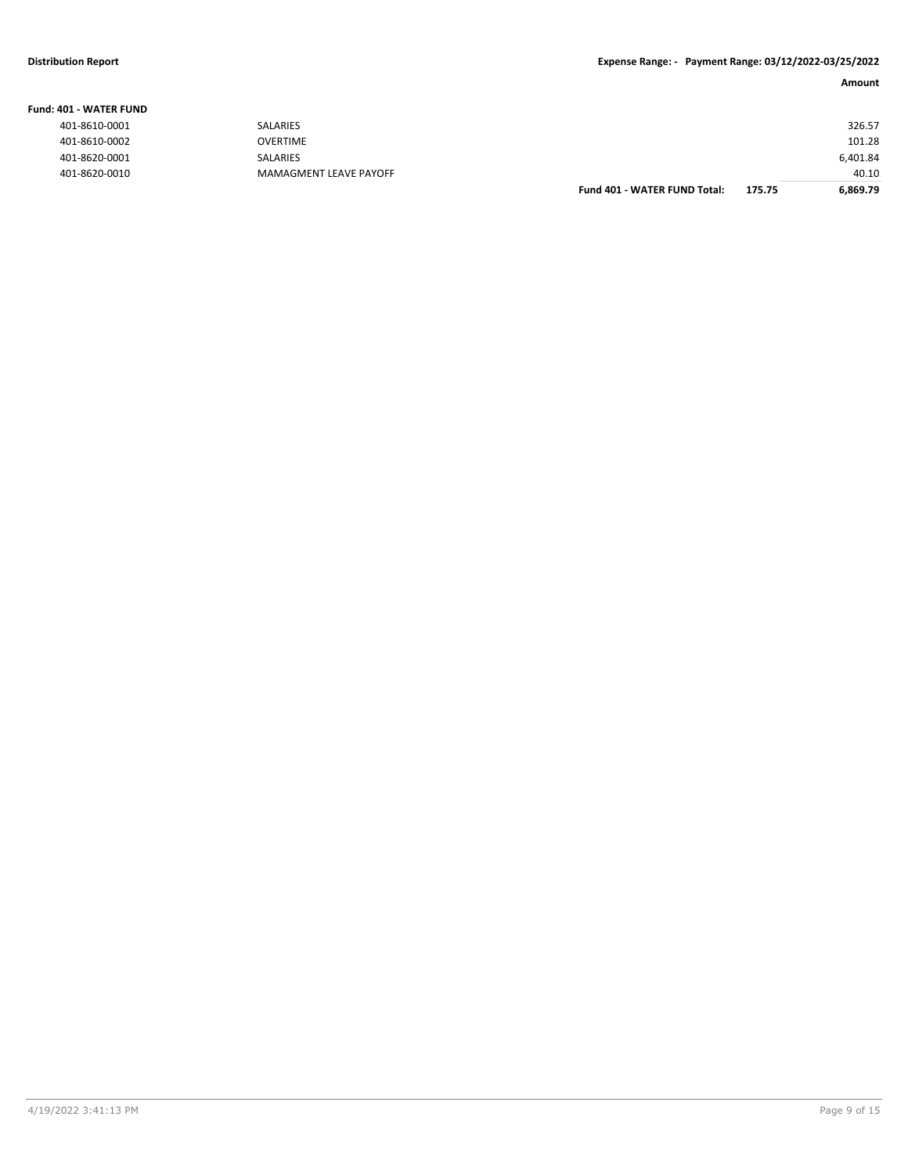| <b>Fund: 401 - WATER FUND</b> |                        |          |  |  |
|-------------------------------|------------------------|----------|--|--|
| 401-8610-0001                 | <b>SALARIES</b>        | 326.57   |  |  |
| 401-8610-0002                 | <b>OVERTIME</b>        | 101.28   |  |  |
| 401-8620-0001                 | SALARIES               | 6,401.84 |  |  |
| 401-8620-0010                 | MAMAGMENT LEAVE PAYOFF | 40.10    |  |  |

| Fund 401 - WATER FUND Total: | 175.75 | 6,869.79 |
|------------------------------|--------|----------|
|                              |        | 40.10    |
|                              |        | 6,401.84 |
|                              |        | 101.28   |
|                              |        | 326.57   |
|                              |        |          |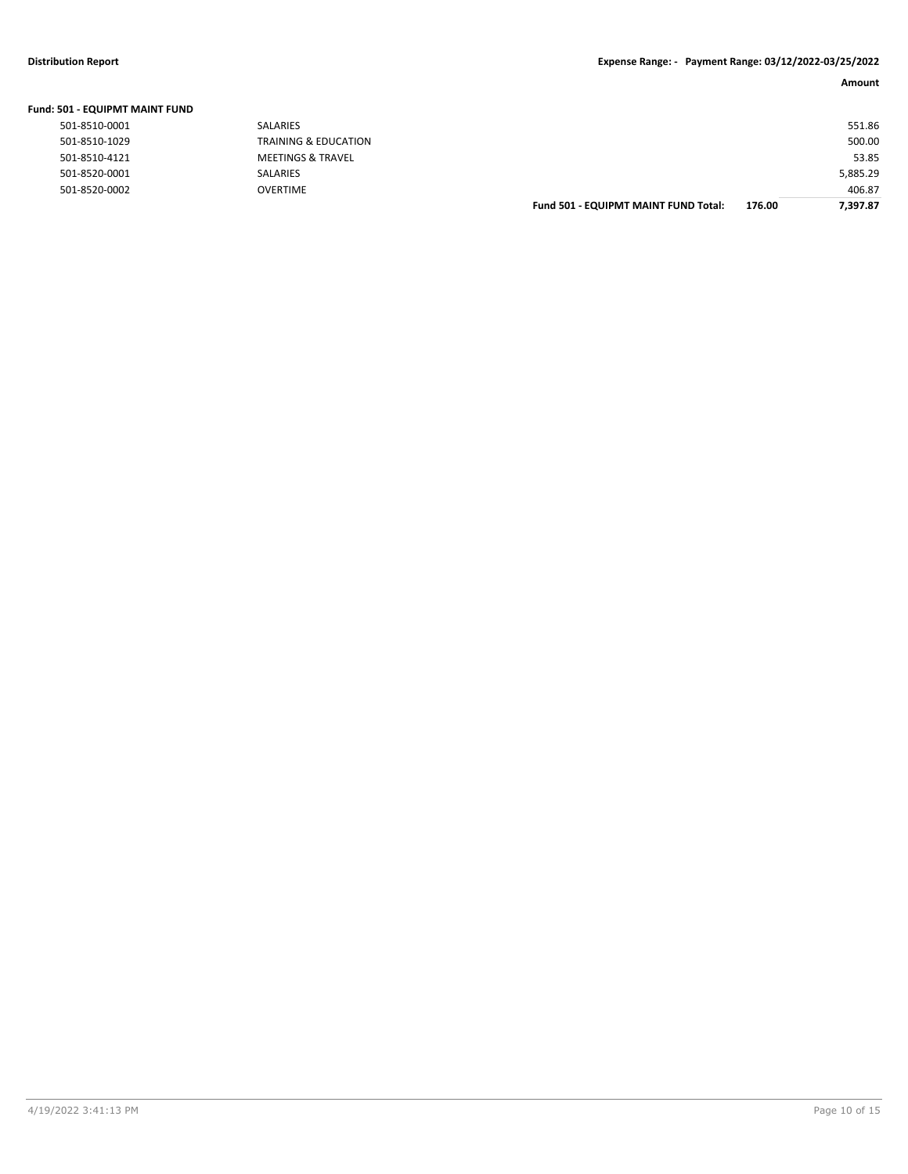| Fund: 501 - EQUIPMT MAINT FUND |                              |                                      |        |          |
|--------------------------------|------------------------------|--------------------------------------|--------|----------|
| 501-8510-0001                  | <b>SALARIES</b>              |                                      |        | 551.86   |
| 501-8510-1029                  | TRAINING & EDUCATION         |                                      |        | 500.00   |
| 501-8510-4121                  | <b>MEETINGS &amp; TRAVEL</b> |                                      |        | 53.85    |
| 501-8520-0001                  | <b>SALARIES</b>              |                                      |        | 5,885.29 |
| 501-8520-0002                  | <b>OVERTIME</b>              |                                      |        | 406.87   |
|                                |                              | Fund 501 - EQUIPMT MAINT FUND Total: | 176.00 | 7.397.87 |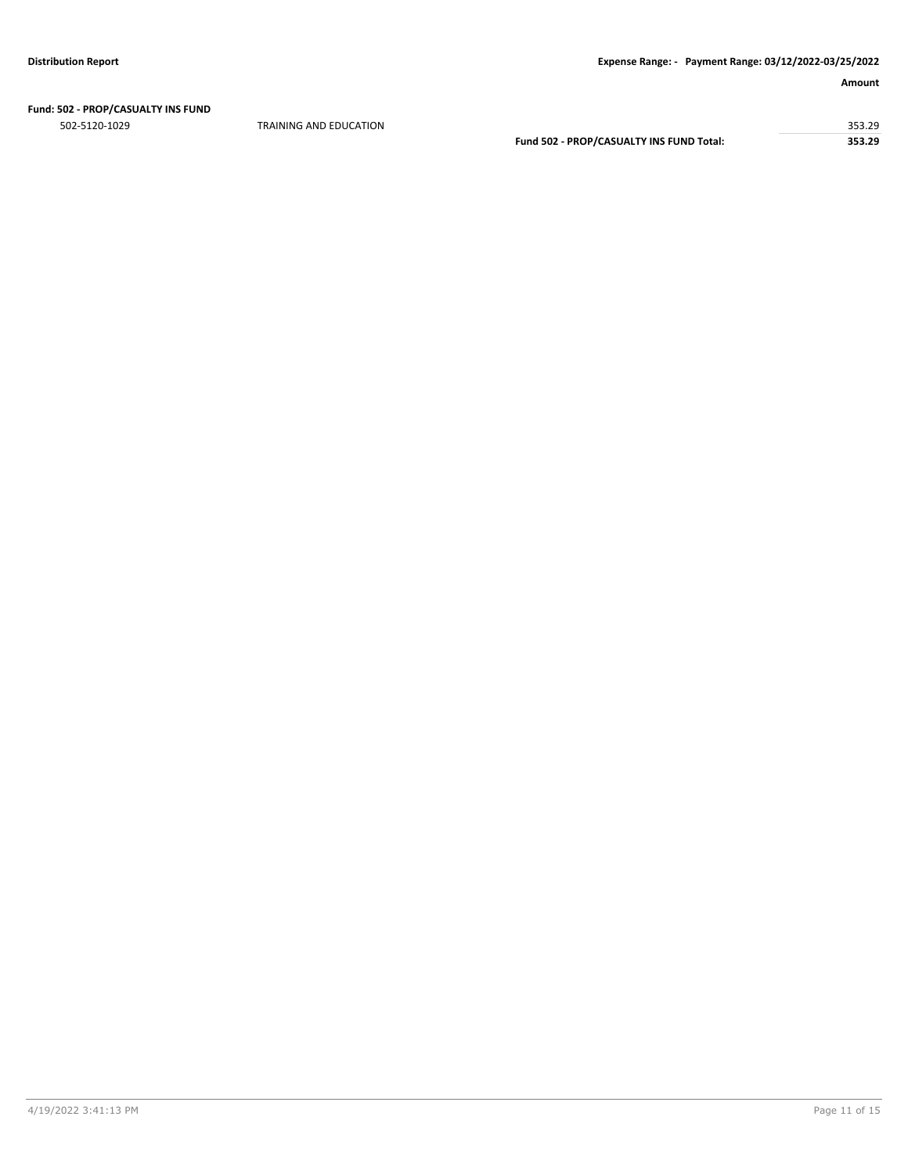# **Fund: 502 - PROP/CASUALTY INS FUND**

502-5120-1029 TRAINING AND EDUCATION 353.29 **Fund 502 - PROP/CASUALTY INS FUND Total: 353.29**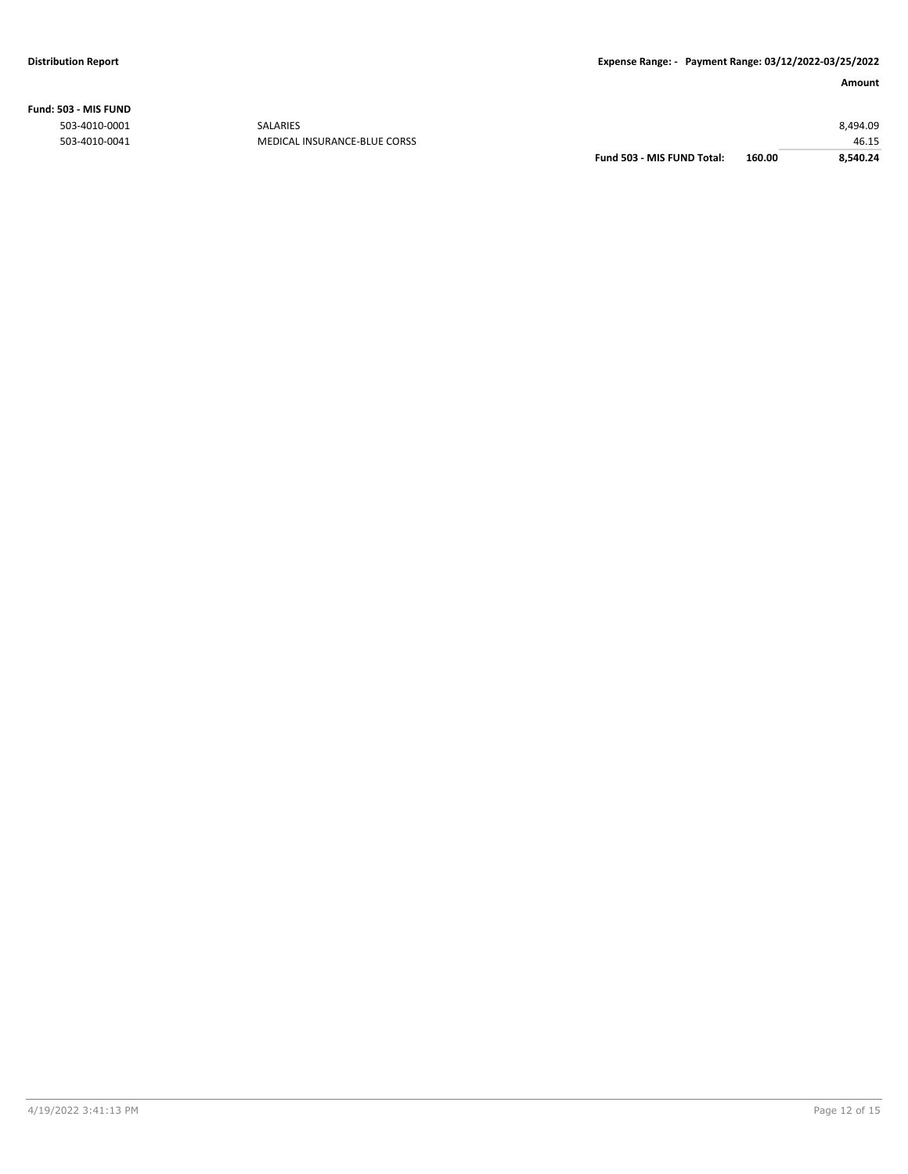**Fund: 503 - MIS FUND**

|                                                 |                            | 8.540.24 |
|-------------------------------------------------|----------------------------|----------|
|                                                 |                            | 46.15    |
|                                                 |                            | 8,494.09 |
| <b>SALARIES</b><br>MEDICAL INSURANCE-BLUE CORSS | Fund 503 - MIS FUND Total: | 160.00   |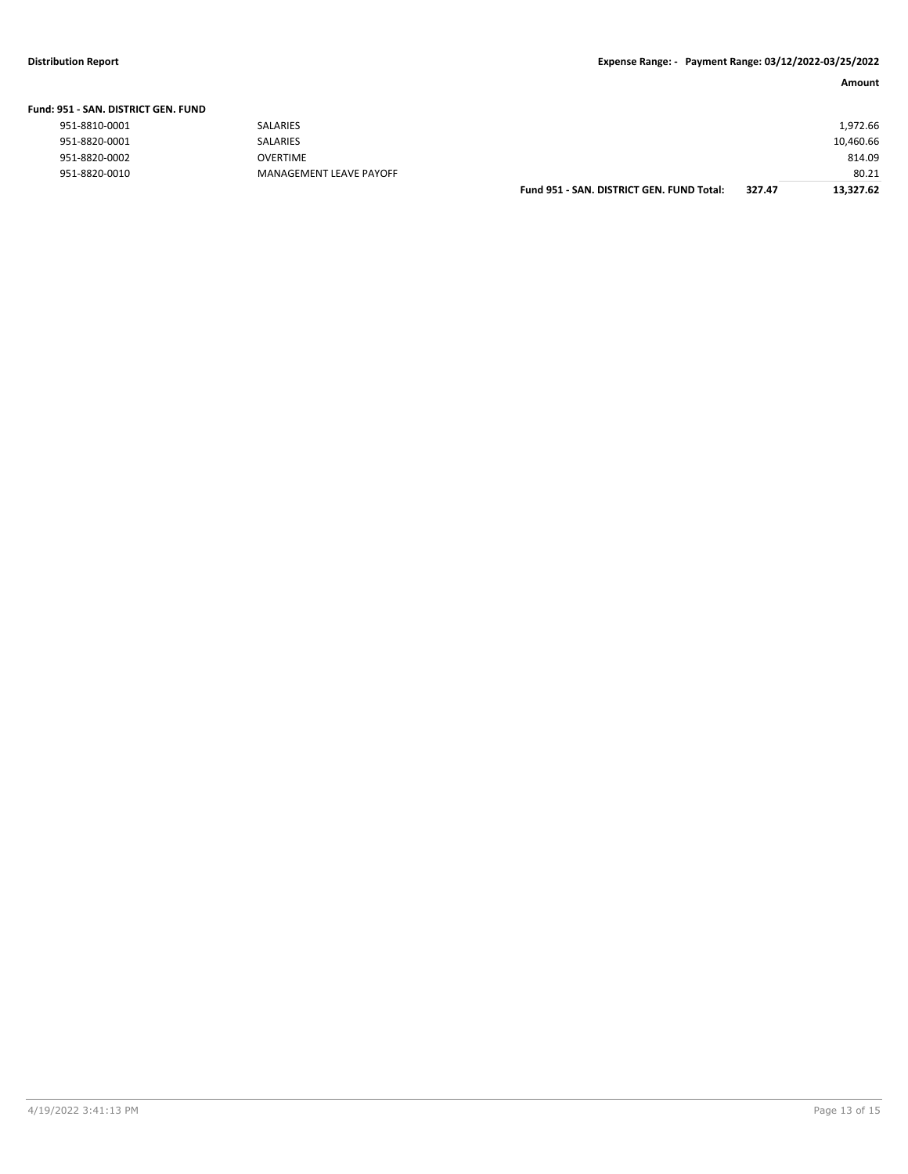#### **Fund: 951 - SAN. DISTRICT GEN. FUND**

| 951-8810-0001 |  |  |
|---------------|--|--|
| 951-8820-0001 |  |  |
| 951-8820-0002 |  |  |
| 951-8820-0010 |  |  |

| )51 - SAN. DISTRICT GEN. FUND |                         |                                           |        |           |
|-------------------------------|-------------------------|-------------------------------------------|--------|-----------|
| 951-8810-0001                 | SALARIES                |                                           |        | 1.972.66  |
| 951-8820-0001                 | SALARIES                |                                           |        | 10,460.66 |
| 951-8820-0002                 | OVERTIME                |                                           |        | 814.09    |
| 951-8820-0010                 | MANAGEMENT LEAVE PAYOFF |                                           |        | 80.21     |
|                               |                         | Fund 951 - SAN, DISTRICT GEN, FUND Total: | 327.47 | 13,327.62 |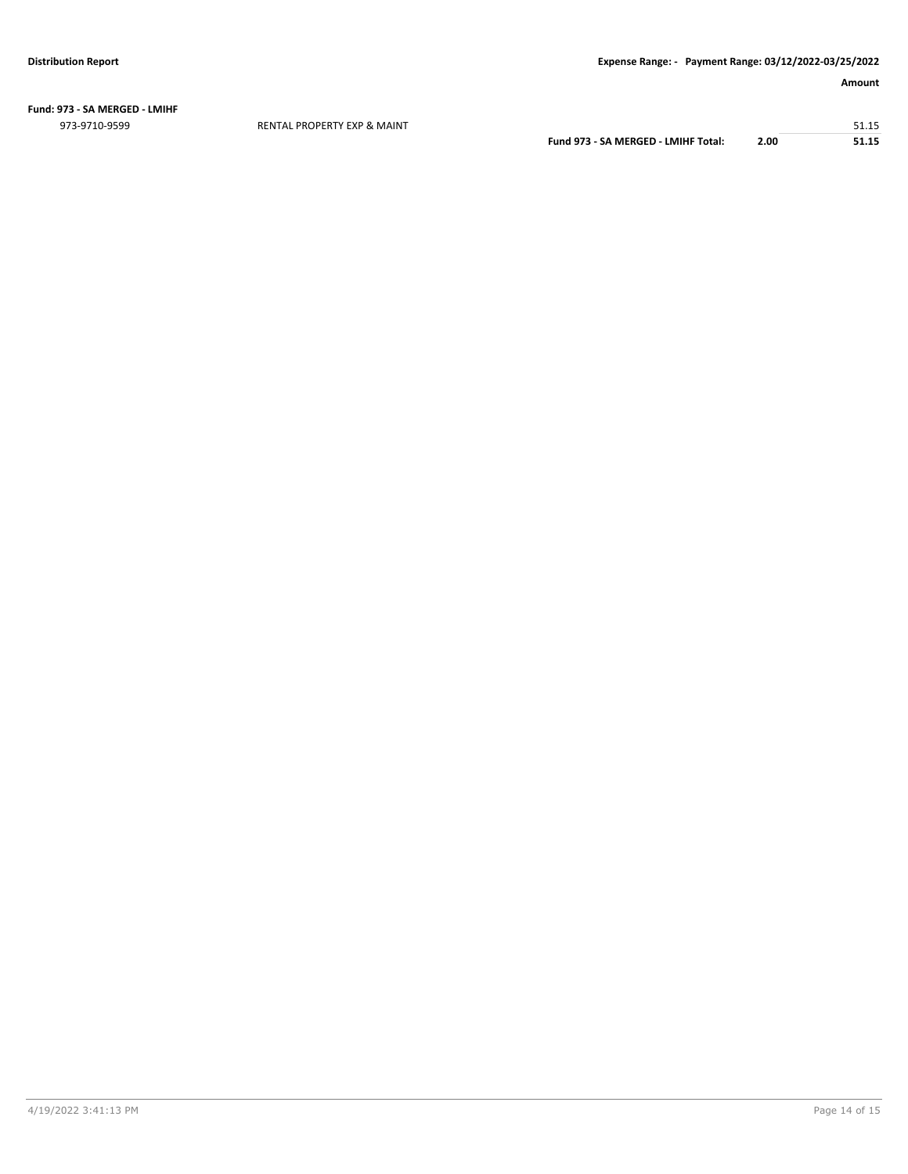**Fund: 973 - SA MERGED - LMIHF** 973-9710-9599 RENTAL PROPERTY EXP & MAINT 51.15

**Fund 973 - SA MERGED - LMIHF Total: 2.00 51.15**